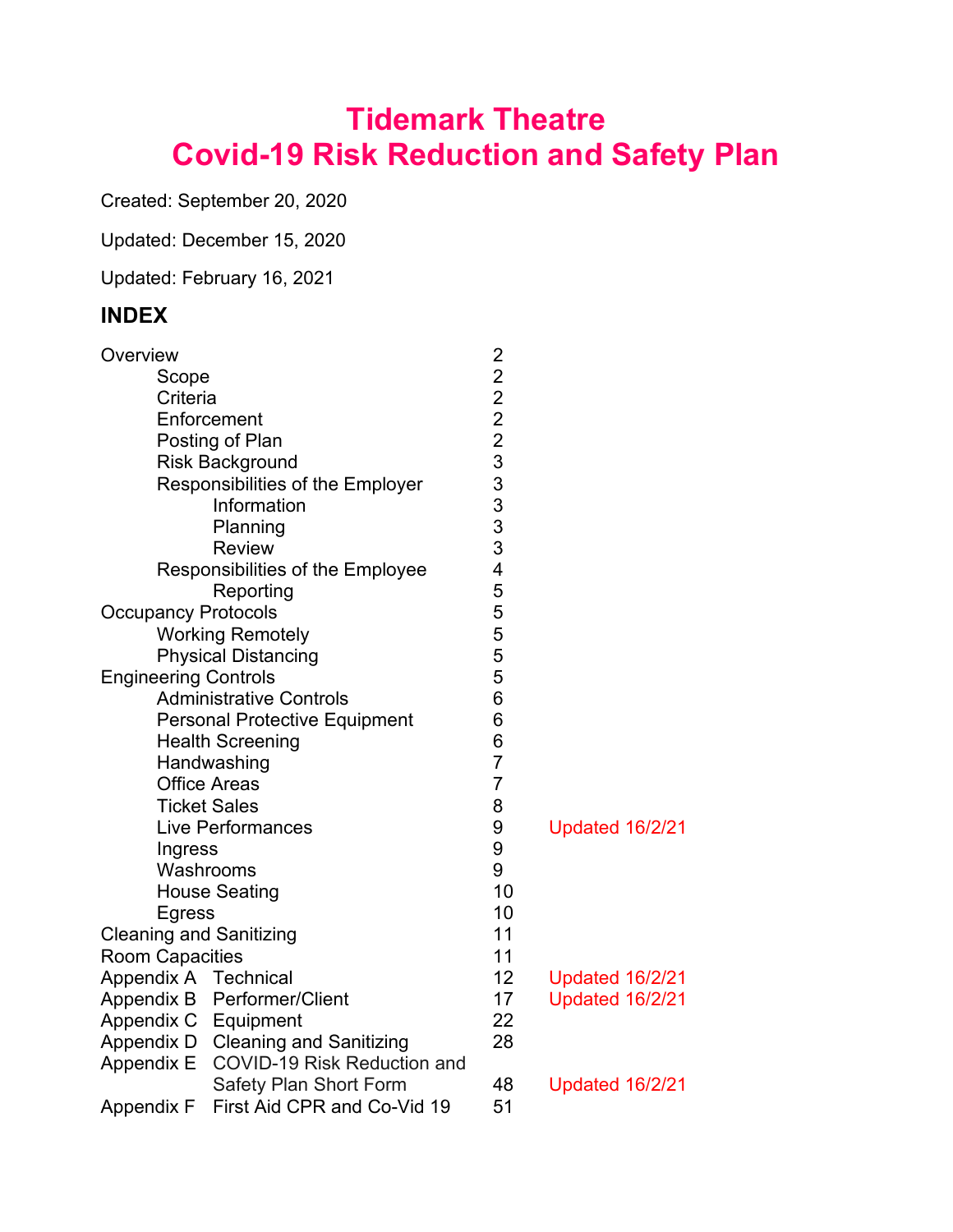# **Tidemark Theatre Covid-19 Risk Reduction and Safety Plan**

Created: September 20, 2020

Updated: December 15, 2020

Updated: February 16, 2021

# **INDEX**

| Overview                       |                                      |                         |                        |
|--------------------------------|--------------------------------------|-------------------------|------------------------|
| Scope                          |                                      | 2 2 2 2 3 3 3 3 3 3 3   |                        |
| Criteria                       |                                      |                         |                        |
|                                | Enforcement                          |                         |                        |
|                                | Posting of Plan                      |                         |                        |
|                                | <b>Risk Background</b>               |                         |                        |
|                                | Responsibilities of the Employer     |                         |                        |
|                                | Information                          |                         |                        |
|                                | Planning                             |                         |                        |
|                                | <b>Review</b>                        |                         |                        |
|                                | Responsibilities of the Employee     | $\overline{\mathbf{4}}$ |                        |
|                                | Reporting                            | 5                       |                        |
| <b>Occupancy Protocols</b>     |                                      | 5                       |                        |
|                                | <b>Working Remotely</b>              | 5                       |                        |
|                                | <b>Physical Distancing</b>           | 5                       |                        |
| <b>Engineering Controls</b>    |                                      | 5                       |                        |
|                                | <b>Administrative Controls</b>       | 6                       |                        |
|                                | <b>Personal Protective Equipment</b> | 6                       |                        |
|                                | <b>Health Screening</b>              | 6                       |                        |
|                                | Handwashing                          | $\overline{7}$          |                        |
|                                | <b>Office Areas</b>                  | $\overline{7}$          |                        |
|                                | <b>Ticket Sales</b>                  | 8                       |                        |
|                                | <b>Live Performances</b>             | 9                       | <b>Updated 16/2/21</b> |
| Ingress                        |                                      | 9                       |                        |
|                                | Washrooms                            | 9                       |                        |
|                                | <b>House Seating</b>                 | 10                      |                        |
| Egress                         |                                      | 10                      |                        |
| <b>Cleaning and Sanitizing</b> |                                      | 11                      |                        |
| <b>Room Capacities</b>         |                                      | 11                      |                        |
| Appendix A Technical           |                                      | 12                      | <b>Updated 16/2/21</b> |
| Appendix B                     | Performer/Client                     | 17                      | <b>Updated 16/2/21</b> |
| Appendix C                     | Equipment                            | 22                      |                        |
| Appendix D                     | <b>Cleaning and Sanitizing</b>       | 28                      |                        |
| <b>Appendix E</b>              | <b>COVID-19 Risk Reduction and</b>   |                         |                        |
|                                | <b>Safety Plan Short Form</b>        | 48                      | <b>Updated 16/2/21</b> |
| Appendix F                     | First Aid CPR and Co-Vid 19          | 51                      |                        |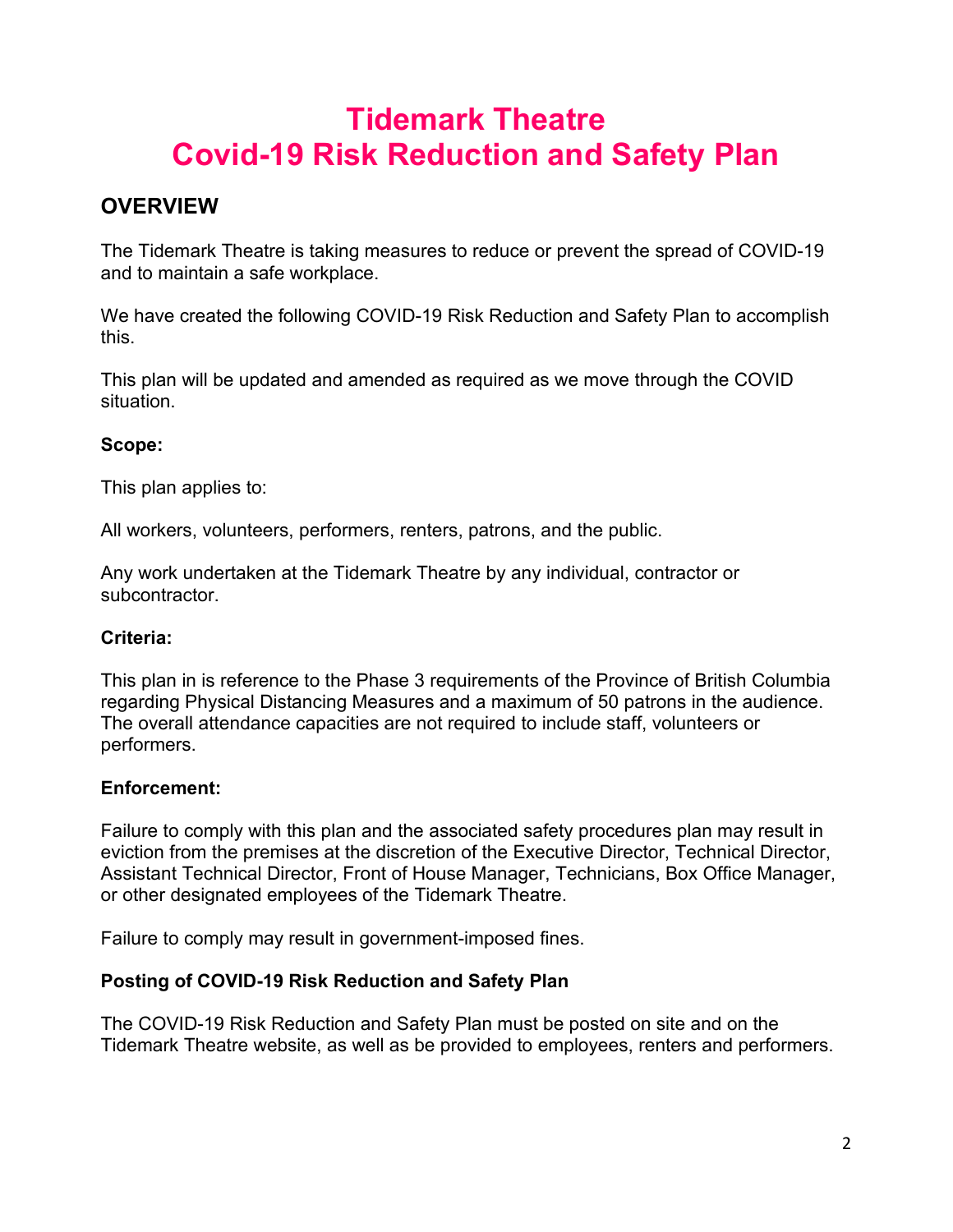# **Tidemark Theatre Covid-19 Risk Reduction and Safety Plan**

# **OVERVIEW**

The Tidemark Theatre is taking measures to reduce or prevent the spread of COVID-19 and to maintain a safe workplace.

We have created the following COVID-19 Risk Reduction and Safety Plan to accomplish this.

This plan will be updated and amended as required as we move through the COVID situation.

# **Scope:**

This plan applies to:

All workers, volunteers, performers, renters, patrons, and the public.

Any work undertaken at the Tidemark Theatre by any individual, contractor or subcontractor.

### **Criteria:**

This plan in is reference to the Phase 3 requirements of the Province of British Columbia regarding Physical Distancing Measures and a maximum of 50 patrons in the audience. The overall attendance capacities are not required to include staff, volunteers or performers.

# **Enforcement:**

Failure to comply with this plan and the associated safety procedures plan may result in eviction from the premises at the discretion of the Executive Director, Technical Director, Assistant Technical Director, Front of House Manager, Technicians, Box Office Manager, or other designated employees of the Tidemark Theatre.

Failure to comply may result in government-imposed fines.

# **Posting of COVID-19 Risk Reduction and Safety Plan**

The COVID-19 Risk Reduction and Safety Plan must be posted on site and on the Tidemark Theatre website, as well as be provided to employees, renters and performers.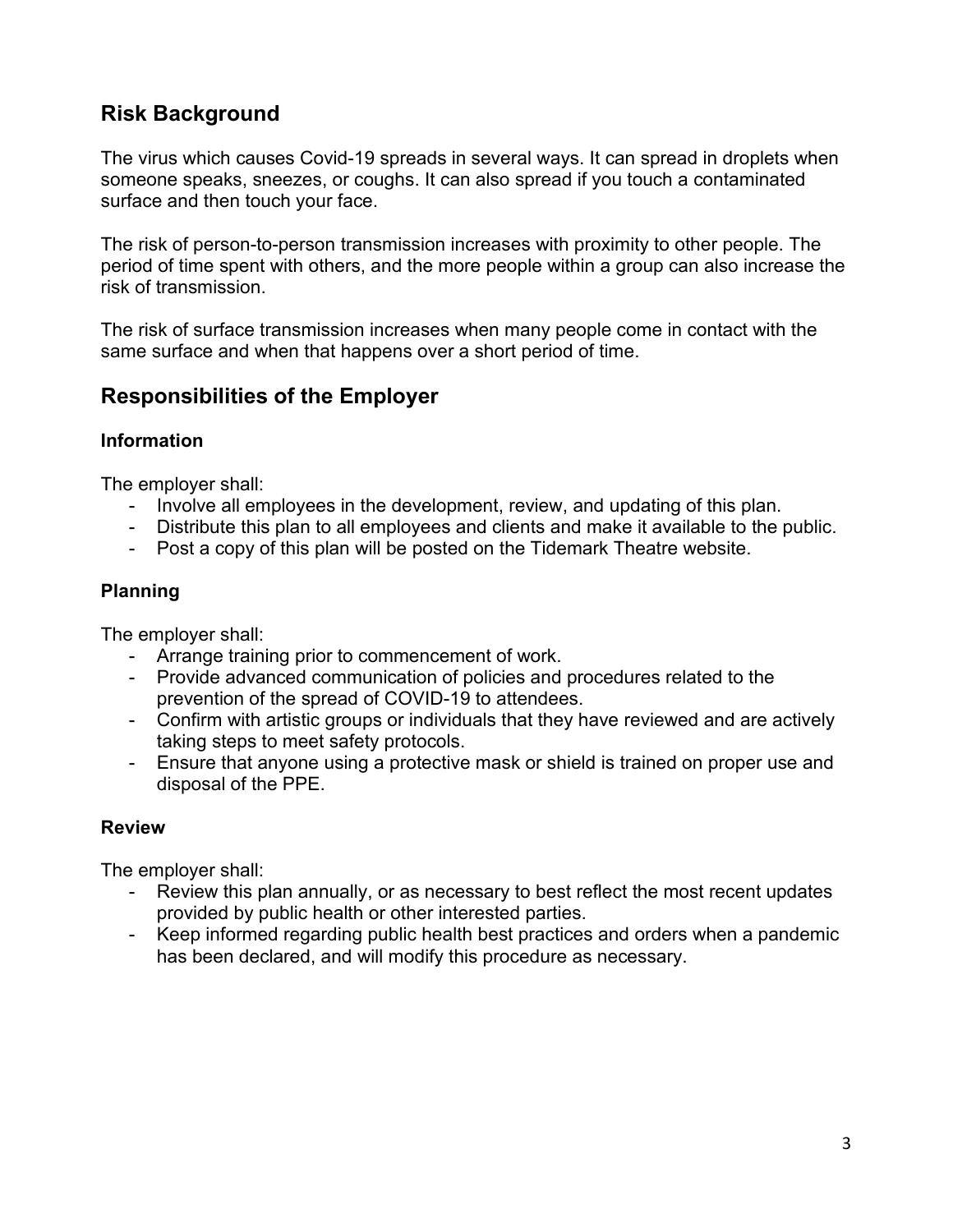# **Risk Background**

The virus which causes Covid-19 spreads in several ways. It can spread in droplets when someone speaks, sneezes, or coughs. It can also spread if you touch a contaminated surface and then touch your face.

The risk of person-to-person transmission increases with proximity to other people. The period of time spent with others, and the more people within a group can also increase the risk of transmission.

The risk of surface transmission increases when many people come in contact with the same surface and when that happens over a short period of time.

# **Responsibilities of the Employer**

### **Information**

The employer shall:

- Involve all employees in the development, review, and updating of this plan.
- Distribute this plan to all employees and clients and make it available to the public.
- Post a copy of this plan will be posted on the Tidemark Theatre website.

# **Planning**

The employer shall:

- Arrange training prior to commencement of work.
- Provide advanced communication of policies and procedures related to the prevention of the spread of COVID-19 to attendees.
- Confirm with artistic groups or individuals that they have reviewed and are actively taking steps to meet safety protocols.
- Ensure that anyone using a protective mask or shield is trained on proper use and disposal of the PPE.

# **Review**

The employer shall:

- Review this plan annually, or as necessary to best reflect the most recent updates provided by public health or other interested parties.
- Keep informed regarding public health best practices and orders when a pandemic has been declared, and will modify this procedure as necessary.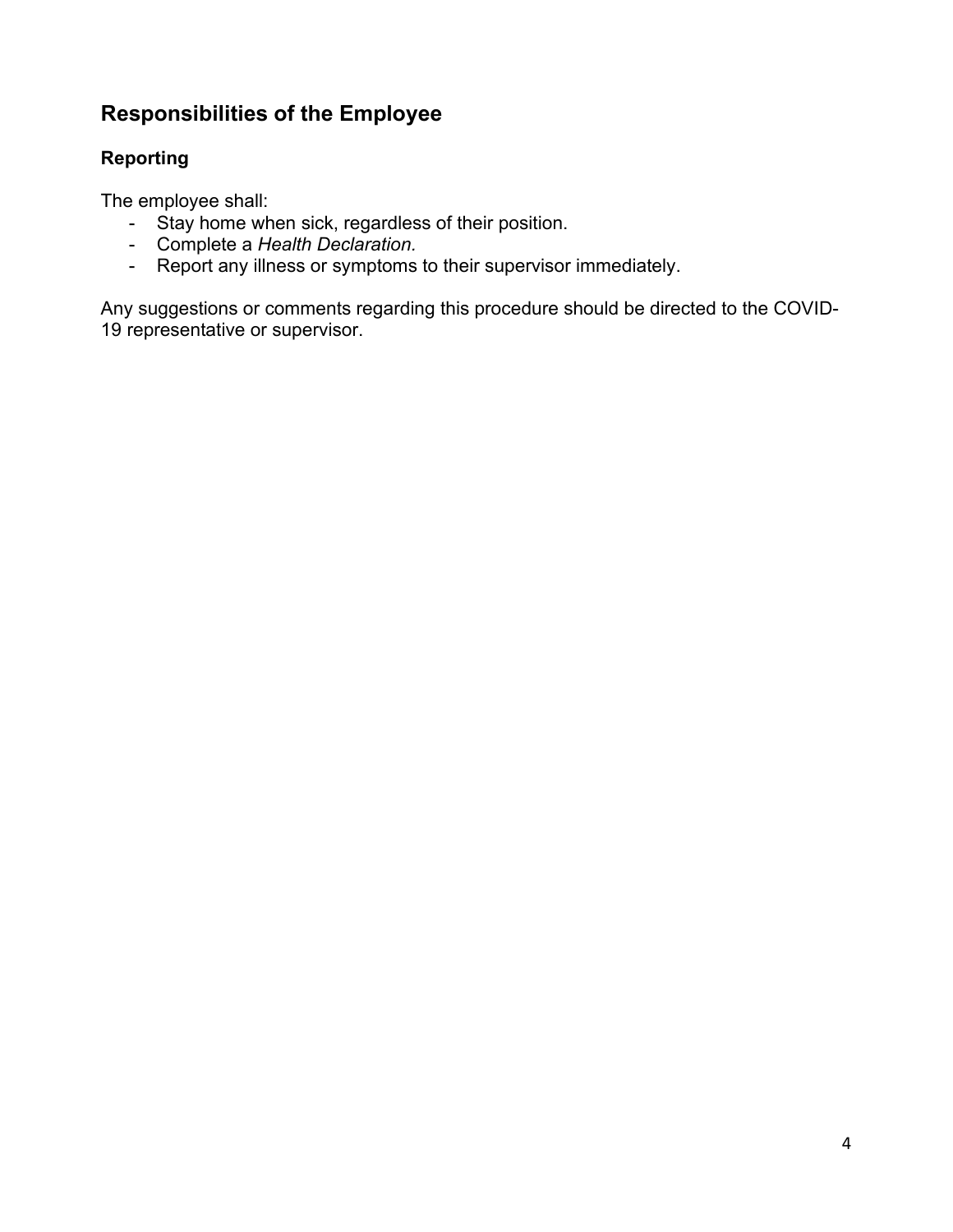# **Responsibilities of the Employee**

# **Reporting**

The employee shall:

- Stay home when sick, regardless of their position.
- Complete a *Health Declaration.*
- Report any illness or symptoms to their supervisor immediately.

Any suggestions or comments regarding this procedure should be directed to the COVID-19 representative or supervisor.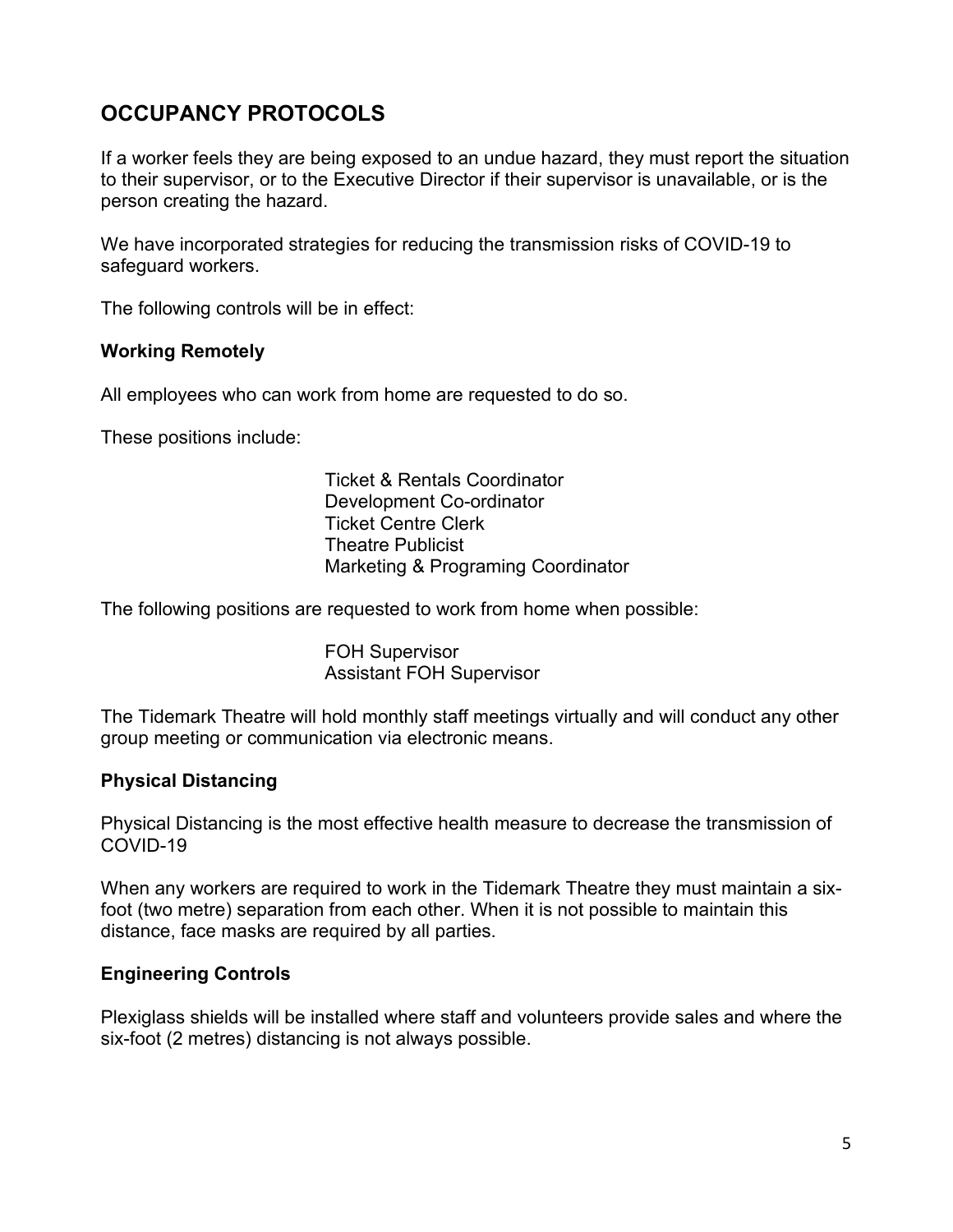# **OCCUPANCY PROTOCOLS**

If a worker feels they are being exposed to an undue hazard, they must report the situation to their supervisor, or to the Executive Director if their supervisor is unavailable, or is the person creating the hazard.

We have incorporated strategies for reducing the transmission risks of COVID-19 to safeguard workers.

The following controls will be in effect:

#### **Working Remotely**

All employees who can work from home are requested to do so.

These positions include:

Ticket & Rentals Coordinator Development Co-ordinator Ticket Centre Clerk Theatre Publicist Marketing & Programing Coordinator

The following positions are requested to work from home when possible:

FOH Supervisor Assistant FOH Supervisor

The Tidemark Theatre will hold monthly staff meetings virtually and will conduct any other group meeting or communication via electronic means.

#### **Physical Distancing**

Physical Distancing is the most effective health measure to decrease the transmission of COVID-19

When any workers are required to work in the Tidemark Theatre they must maintain a sixfoot (two metre) separation from each other. When it is not possible to maintain this distance, face masks are required by all parties.

### **Engineering Controls**

Plexiglass shields will be installed where staff and volunteers provide sales and where the six-foot (2 metres) distancing is not always possible.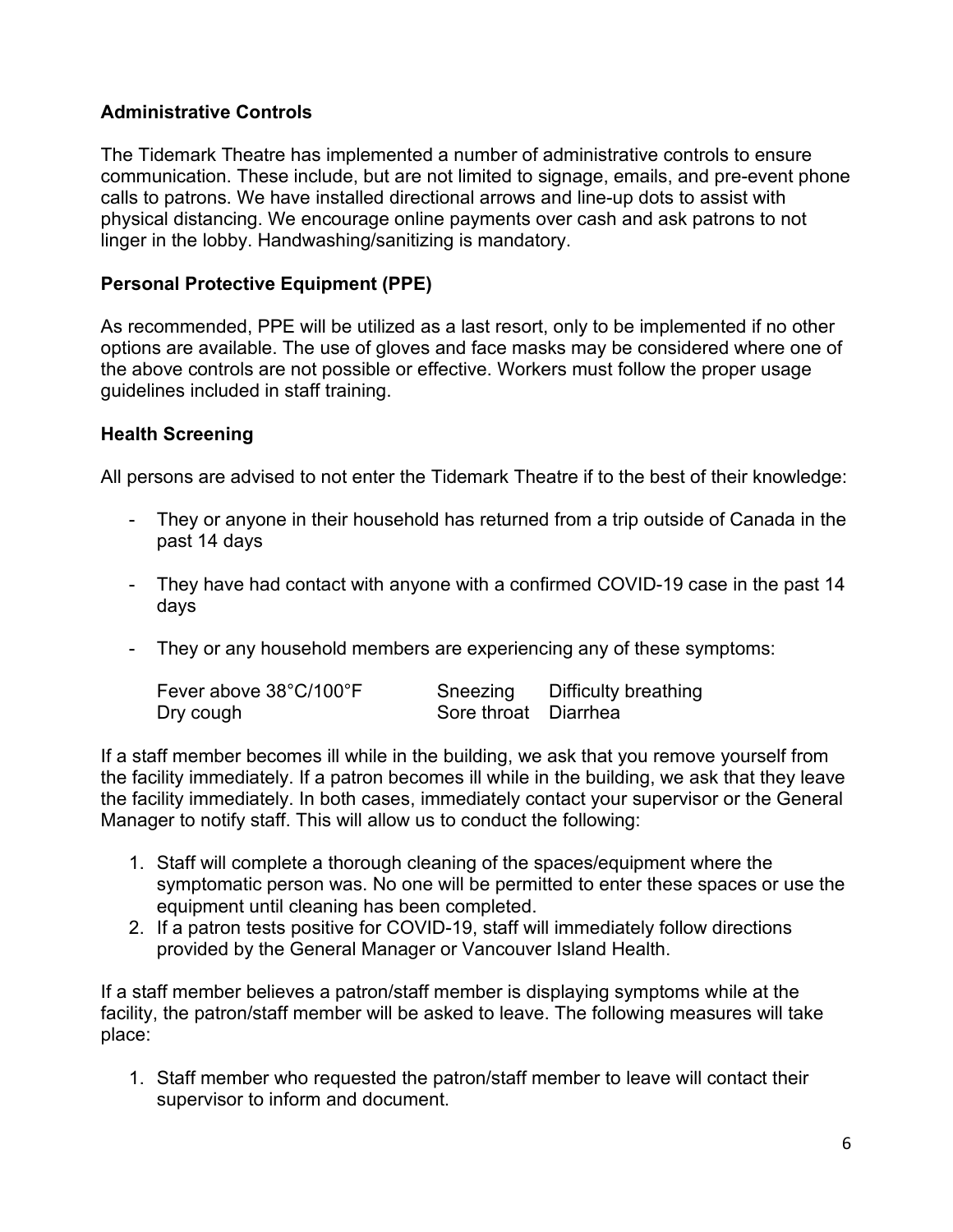# **Administrative Controls**

The Tidemark Theatre has implemented a number of administrative controls to ensure communication. These include, but are not limited to signage, emails, and pre-event phone calls to patrons. We have installed directional arrows and line-up dots to assist with physical distancing. We encourage online payments over cash and ask patrons to not linger in the lobby. Handwashing/sanitizing is mandatory.

### **Personal Protective Equipment (PPE)**

As recommended, PPE will be utilized as a last resort, only to be implemented if no other options are available. The use of gloves and face masks may be considered where one of the above controls are not possible or effective. Workers must follow the proper usage guidelines included in staff training.

### **Health Screening**

All persons are advised to not enter the Tidemark Theatre if to the best of their knowledge:

- They or anyone in their household has returned from a trip outside of Canada in the past 14 days
- They have had contact with anyone with a confirmed COVID-19 case in the past 14 days
- They or any household members are experiencing any of these symptoms:

| Fever above 38°C/100°F | Sneezing             | Difficulty breathing |
|------------------------|----------------------|----------------------|
| Dry cough              | Sore throat Diarrhea |                      |

If a staff member becomes ill while in the building, we ask that you remove yourself from the facility immediately. If a patron becomes ill while in the building, we ask that they leave the facility immediately. In both cases, immediately contact your supervisor or the General Manager to notify staff. This will allow us to conduct the following:

- 1. Staff will complete a thorough cleaning of the spaces/equipment where the symptomatic person was. No one will be permitted to enter these spaces or use the equipment until cleaning has been completed.
- 2. If a patron tests positive for COVID-19, staff will immediately follow directions provided by the General Manager or Vancouver Island Health.

If a staff member believes a patron/staff member is displaying symptoms while at the facility, the patron/staff member will be asked to leave. The following measures will take place:

1. Staff member who requested the patron/staff member to leave will contact their supervisor to inform and document.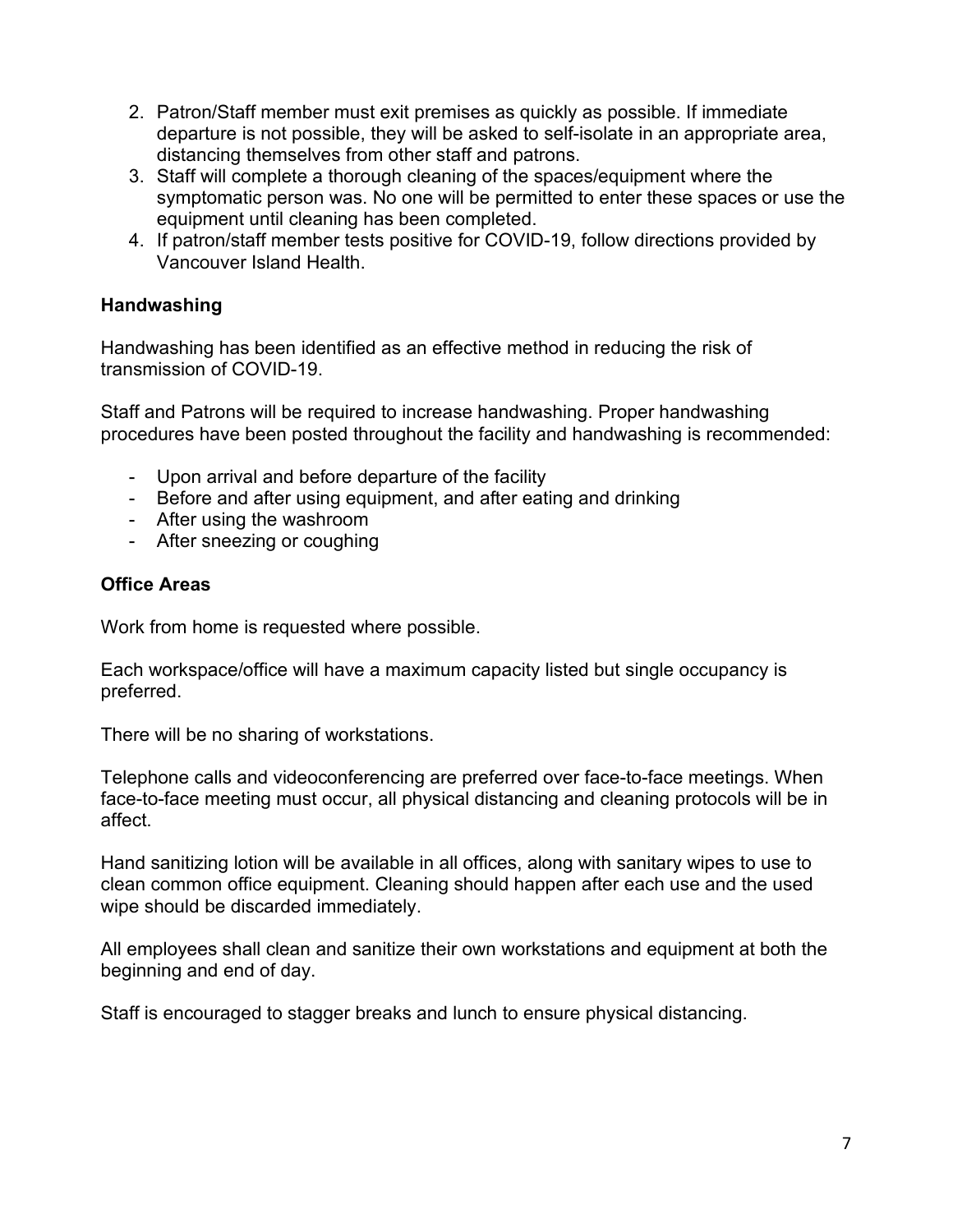- 2. Patron/Staff member must exit premises as quickly as possible. If immediate departure is not possible, they will be asked to self-isolate in an appropriate area, distancing themselves from other staff and patrons.
- 3. Staff will complete a thorough cleaning of the spaces/equipment where the symptomatic person was. No one will be permitted to enter these spaces or use the equipment until cleaning has been completed.
- 4. If patron/staff member tests positive for COVID-19, follow directions provided by Vancouver Island Health.

## **Handwashing**

Handwashing has been identified as an effective method in reducing the risk of transmission of COVID-19.

Staff and Patrons will be required to increase handwashing. Proper handwashing procedures have been posted throughout the facility and handwashing is recommended:

- Upon arrival and before departure of the facility
- Before and after using equipment, and after eating and drinking
- After using the washroom
- After sneezing or coughing

# **Office Areas**

Work from home is requested where possible.

Each workspace/office will have a maximum capacity listed but single occupancy is preferred.

There will be no sharing of workstations.

Telephone calls and videoconferencing are preferred over face-to-face meetings. When face-to-face meeting must occur, all physical distancing and cleaning protocols will be in affect.

Hand sanitizing lotion will be available in all offices, along with sanitary wipes to use to clean common office equipment. Cleaning should happen after each use and the used wipe should be discarded immediately.

All employees shall clean and sanitize their own workstations and equipment at both the beginning and end of day.

Staff is encouraged to stagger breaks and lunch to ensure physical distancing.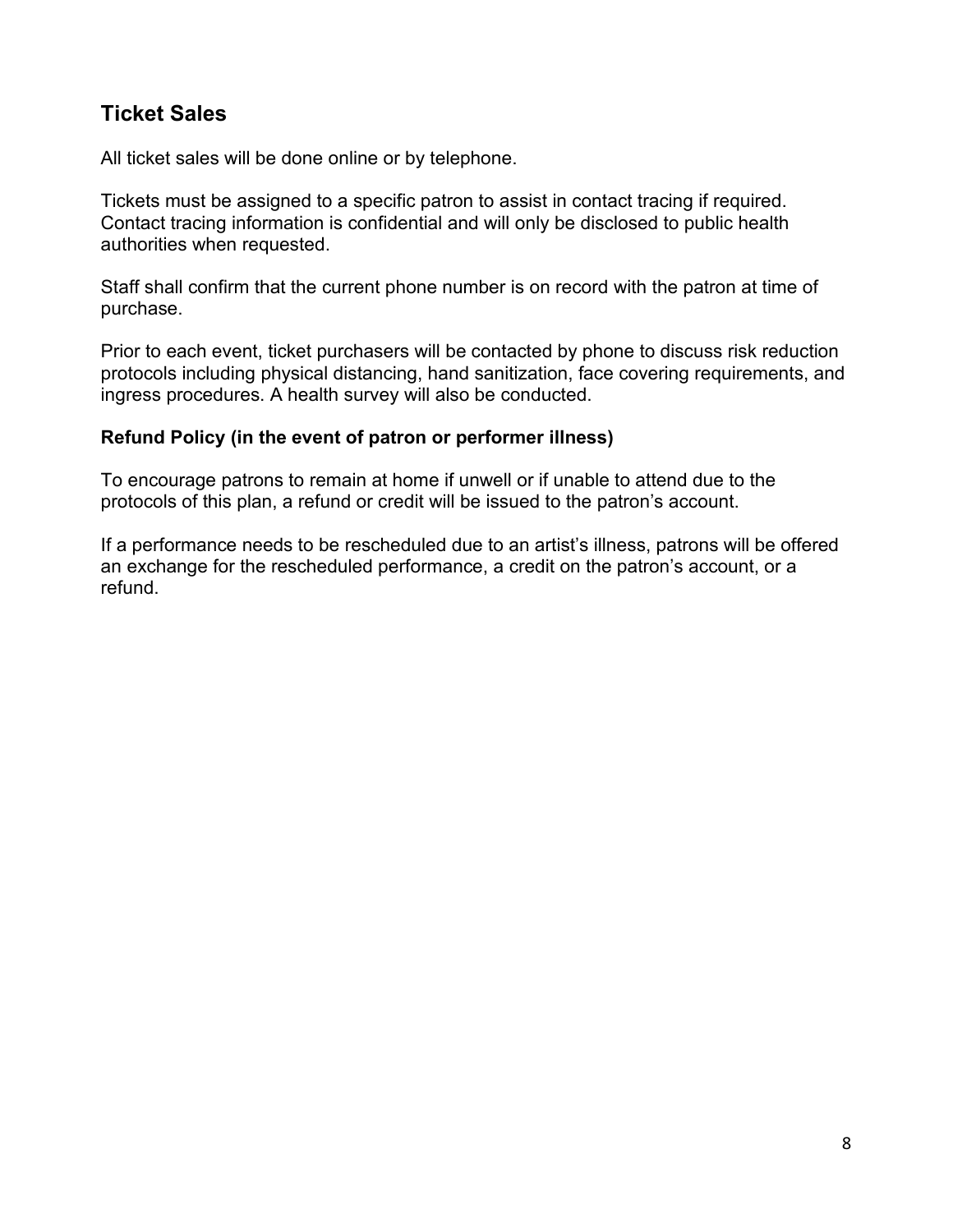# **Ticket Sales**

All ticket sales will be done online or by telephone.

Tickets must be assigned to a specific patron to assist in contact tracing if required. Contact tracing information is confidential and will only be disclosed to public health authorities when requested.

Staff shall confirm that the current phone number is on record with the patron at time of purchase.

Prior to each event, ticket purchasers will be contacted by phone to discuss risk reduction protocols including physical distancing, hand sanitization, face covering requirements, and ingress procedures. A health survey will also be conducted.

#### **Refund Policy (in the event of patron or performer illness)**

To encourage patrons to remain at home if unwell or if unable to attend due to the protocols of this plan, a refund or credit will be issued to the patron's account.

If a performance needs to be rescheduled due to an artist's illness, patrons will be offered an exchange for the rescheduled performance, a credit on the patron's account, or a refund.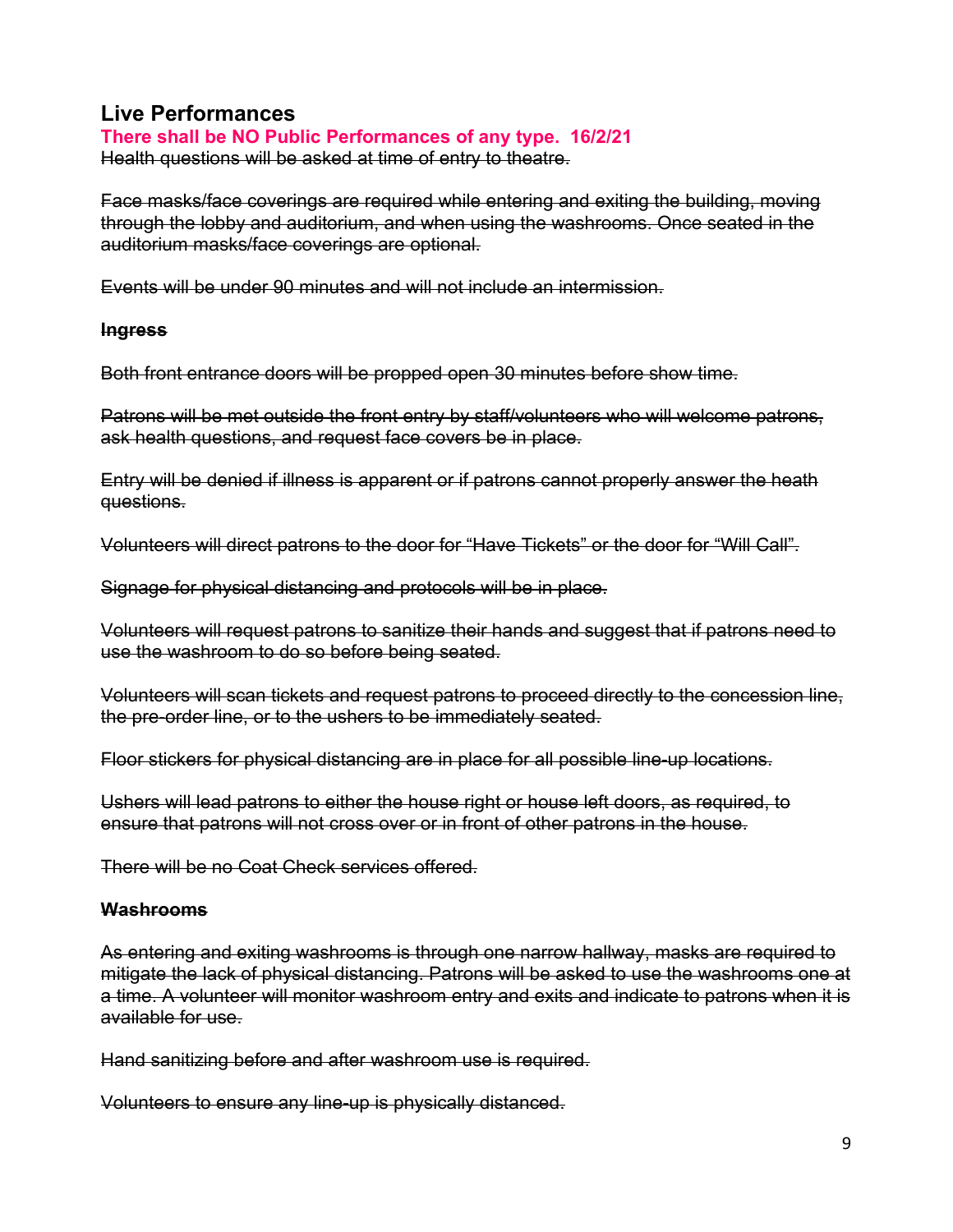# **Live Performances**

#### **There shall be NO Public Performances of any type. 16/2/21**

Health questions will be asked at time of entry to theatre.

Face masks/face coverings are required while entering and exiting the building, moving through the lobby and auditorium, and when using the washrooms. Once seated in the auditorium masks/face coverings are optional.

Events will be under 90 minutes and will not include an intermission.

#### **Ingress**

Both front entrance doors will be propped open 30 minutes before show time.

Patrons will be met outside the front entry by staff/volunteers who will welcome patrons, ask health questions, and request face covers be in place.

Entry will be denied if illness is apparent or if patrons cannot properly answer the heath questions.

Volunteers will direct patrons to the door for "Have Tickets" or the door for "Will Call".

Signage for physical distancing and protocols will be in place.

Volunteers will request patrons to sanitize their hands and suggest that if patrons need to use the washroom to do so before being seated.

Volunteers will scan tickets and request patrons to proceed directly to the concession line, the pre-order line, or to the ushers to be immediately seated.

Floor stickers for physical distancing are in place for all possible line-up locations.

Ushers will lead patrons to either the house right or house left doors, as required, to ensure that patrons will not cross over or in front of other patrons in the house.

There will be no Coat Check services offered.

#### **Washrooms**

As entering and exiting washrooms is through one narrow hallway, masks are required to mitigate the lack of physical distancing. Patrons will be asked to use the washrooms one at a time. A volunteer will monitor washroom entry and exits and indicate to patrons when it is available for use.

Hand sanitizing before and after washroom use is required.

Volunteers to ensure any line-up is physically distanced.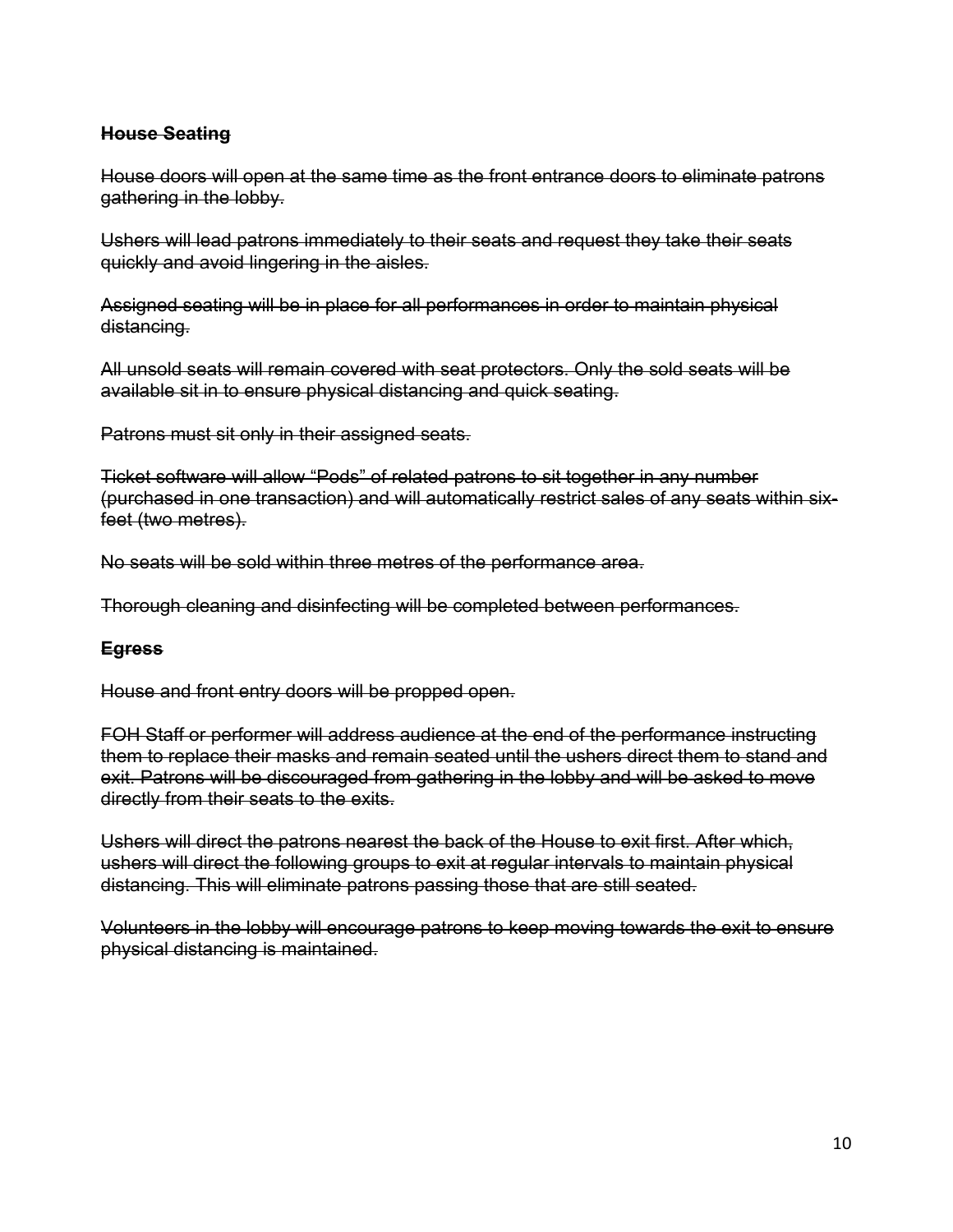### **House Seating**

House doors will open at the same time as the front entrance doors to eliminate patrons gathering in the lobby.

Ushers will lead patrons immediately to their seats and request they take their seats quickly and avoid lingering in the aisles.

Assigned seating will be in place for all performances in order to maintain physical distancing.

All unsold seats will remain covered with seat protectors. Only the sold seats will be available sit in to ensure physical distancing and quick seating.

Patrons must sit only in their assigned seats.

Ticket software will allow "Pods" of related patrons to sit together in any number (purchased in one transaction) and will automatically restrict sales of any seats within sixfeet (two metres).

No seats will be sold within three metres of the performance area.

Thorough cleaning and disinfecting will be completed between performances.

#### **Egress**

House and front entry doors will be propped open.

FOH Staff or performer will address audience at the end of the performance instructing them to replace their masks and remain seated until the ushers direct them to stand and exit. Patrons will be discouraged from gathering in the lobby and will be asked to move directly from their seats to the exits.

Ushers will direct the patrons nearest the back of the House to exit first. After which, ushers will direct the following groups to exit at regular intervals to maintain physical distancing. This will eliminate patrons passing those that are still seated.

Volunteers in the lobby will encourage patrons to keep moving towards the exit to ensure physical distancing is maintained.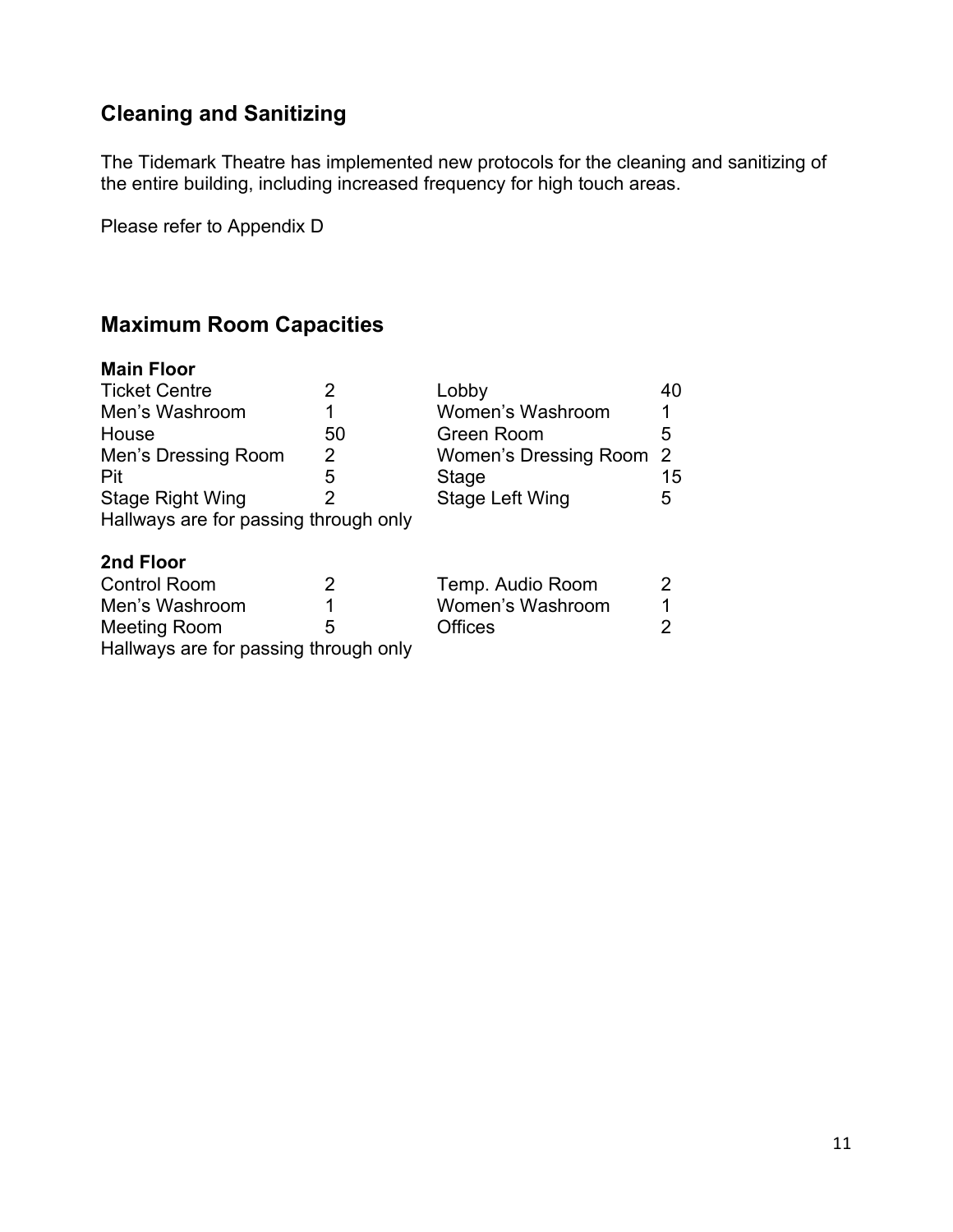# **Cleaning and Sanitizing**

The Tidemark Theatre has implemented new protocols for the cleaning and sanitizing of the entire building, including increased frequency for high touch areas.

Please refer to Appendix D

# **Maximum Room Capacities**

#### **Main Floor**

| <b>Ticket Centre</b>                  | 2  | Lobby                   | 40 |
|---------------------------------------|----|-------------------------|----|
| Men's Washroom                        |    | Women's Washroom        |    |
| House                                 | 50 | Green Room              | 5  |
| Men's Dressing Room                   | 2  | Women's Dressing Room 2 |    |
| Pit                                   | 5  | Stage                   | 15 |
| <b>Stage Right Wing</b>               | 2  | Stage Left Wing         | 5  |
| Hallways are for passing through only |    |                         |    |
| 2nd Floor                             |    |                         |    |
| <b>Control Room</b>                   | 2  | Temp. Audio Room        | 2  |
| Men's Washroom                        |    | Women's Washroom        |    |
| <b>Meeting Room</b>                   | 5  | <b>Offices</b>          | 2  |
| Hallways are for passing through only |    |                         |    |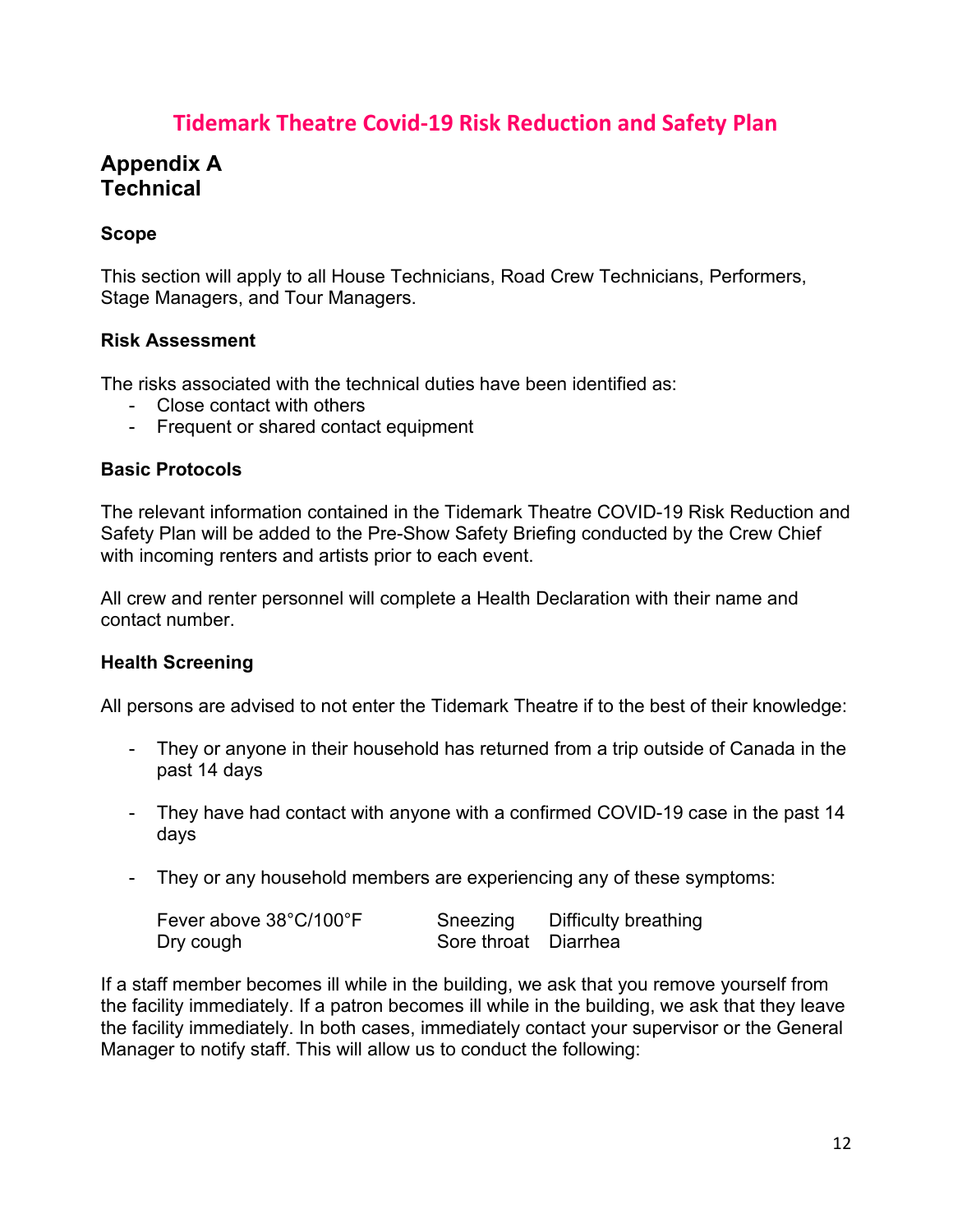# **Tidemark Theatre Covid-19 Risk Reduction and Safety Plan**

# **Appendix A Technical**

### **Scope**

This section will apply to all House Technicians, Road Crew Technicians, Performers, Stage Managers, and Tour Managers.

#### **Risk Assessment**

The risks associated with the technical duties have been identified as:

- Close contact with others
- Frequent or shared contact equipment

#### **Basic Protocols**

The relevant information contained in the Tidemark Theatre COVID-19 Risk Reduction and Safety Plan will be added to the Pre-Show Safety Briefing conducted by the Crew Chief with incoming renters and artists prior to each event.

All crew and renter personnel will complete a Health Declaration with their name and contact number.

#### **Health Screening**

All persons are advised to not enter the Tidemark Theatre if to the best of their knowledge:

- They or anyone in their household has returned from a trip outside of Canada in the past 14 days
- They have had contact with anyone with a confirmed COVID-19 case in the past 14 days
- They or any household members are experiencing any of these symptoms:

| Fever above 38°C/100°F | Sneezing             | Difficulty breathing |
|------------------------|----------------------|----------------------|
| Dry cough              | Sore throat Diarrhea |                      |

If a staff member becomes ill while in the building, we ask that you remove yourself from the facility immediately. If a patron becomes ill while in the building, we ask that they leave the facility immediately. In both cases, immediately contact your supervisor or the General Manager to notify staff. This will allow us to conduct the following: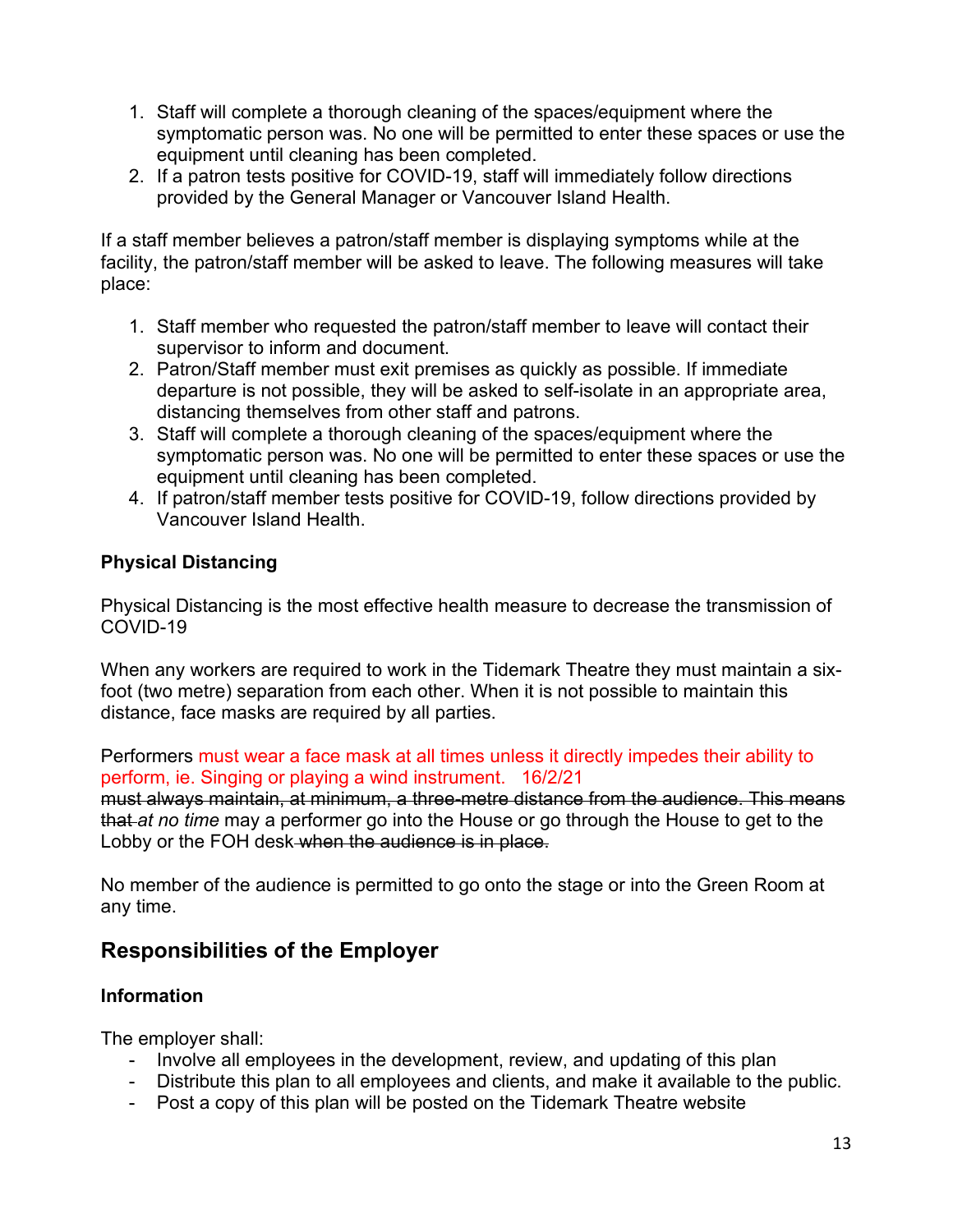- 1. Staff will complete a thorough cleaning of the spaces/equipment where the symptomatic person was. No one will be permitted to enter these spaces or use the equipment until cleaning has been completed.
- 2. If a patron tests positive for COVID-19, staff will immediately follow directions provided by the General Manager or Vancouver Island Health.

If a staff member believes a patron/staff member is displaying symptoms while at the facility, the patron/staff member will be asked to leave. The following measures will take place:

- 1. Staff member who requested the patron/staff member to leave will contact their supervisor to inform and document.
- 2. Patron/Staff member must exit premises as quickly as possible. If immediate departure is not possible, they will be asked to self-isolate in an appropriate area, distancing themselves from other staff and patrons.
- 3. Staff will complete a thorough cleaning of the spaces/equipment where the symptomatic person was. No one will be permitted to enter these spaces or use the equipment until cleaning has been completed.
- 4. If patron/staff member tests positive for COVID-19, follow directions provided by Vancouver Island Health.

# **Physical Distancing**

Physical Distancing is the most effective health measure to decrease the transmission of COVID-19

When any workers are required to work in the Tidemark Theatre they must maintain a sixfoot (two metre) separation from each other. When it is not possible to maintain this distance, face masks are required by all parties.

Performers must wear a face mask at all times unless it directly impedes their ability to perform, ie. Singing or playing a wind instrument. 16/2/21

must always maintain, at minimum, a three-metre distance from the audience. This means that *at no time* may a performer go into the House or go through the House to get to the Lobby or the FOH desk when the audience is in place.

No member of the audience is permitted to go onto the stage or into the Green Room at any time.

# **Responsibilities of the Employer**

# **Information**

The employer shall:

- Involve all employees in the development, review, and updating of this plan
- Distribute this plan to all employees and clients, and make it available to the public.
- Post a copy of this plan will be posted on the Tidemark Theatre website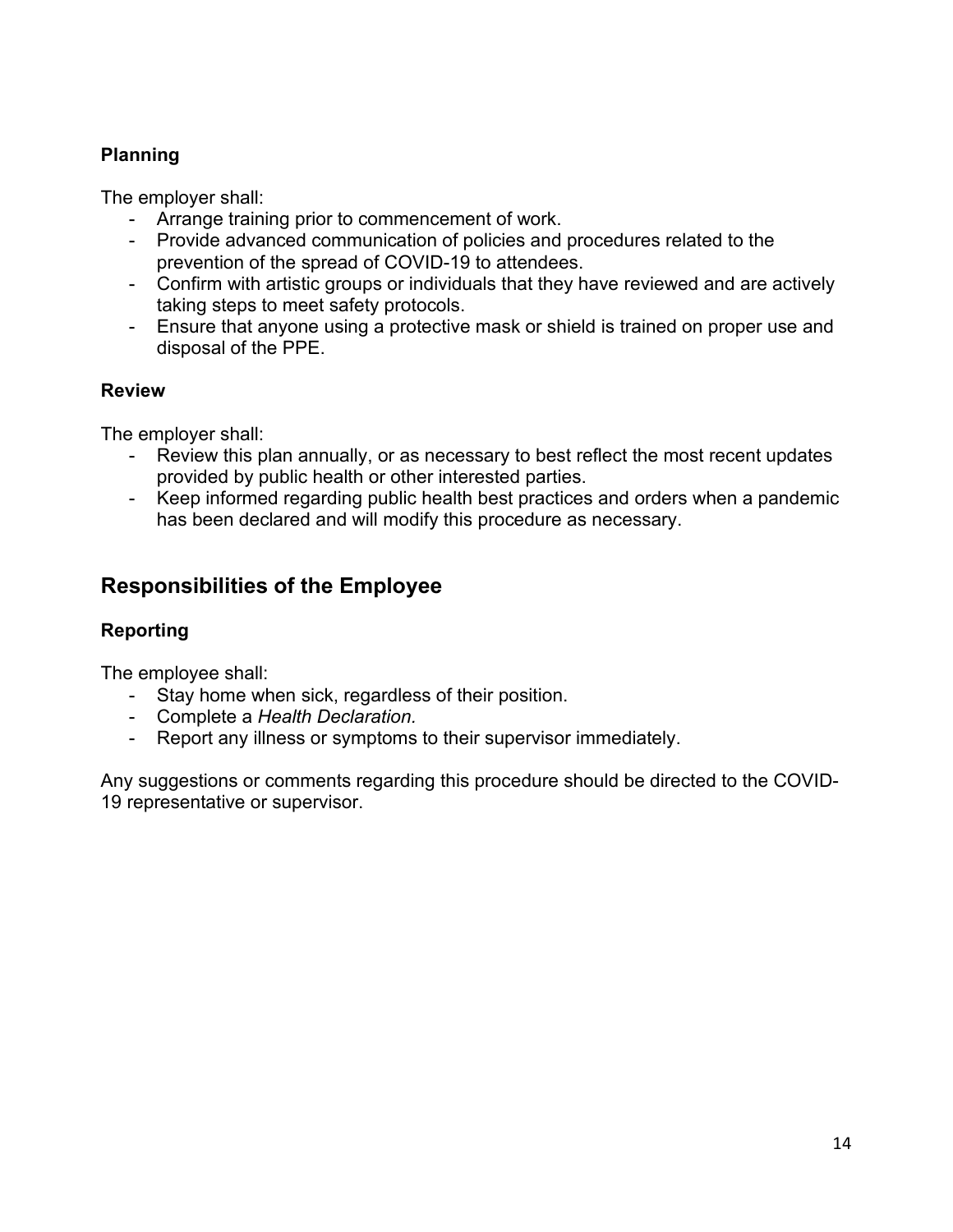# **Planning**

The employer shall:

- Arrange training prior to commencement of work.
- Provide advanced communication of policies and procedures related to the prevention of the spread of COVID-19 to attendees.
- Confirm with artistic groups or individuals that they have reviewed and are actively taking steps to meet safety protocols.
- Ensure that anyone using a protective mask or shield is trained on proper use and disposal of the PPE.

# **Review**

The employer shall:

- Review this plan annually, or as necessary to best reflect the most recent updates provided by public health or other interested parties.
- Keep informed regarding public health best practices and orders when a pandemic has been declared and will modify this procedure as necessary.

# **Responsibilities of the Employee**

# **Reporting**

The employee shall:

- Stay home when sick, regardless of their position.
- Complete a *Health Declaration.*
- Report any illness or symptoms to their supervisor immediately.

Any suggestions or comments regarding this procedure should be directed to the COVID-19 representative or supervisor.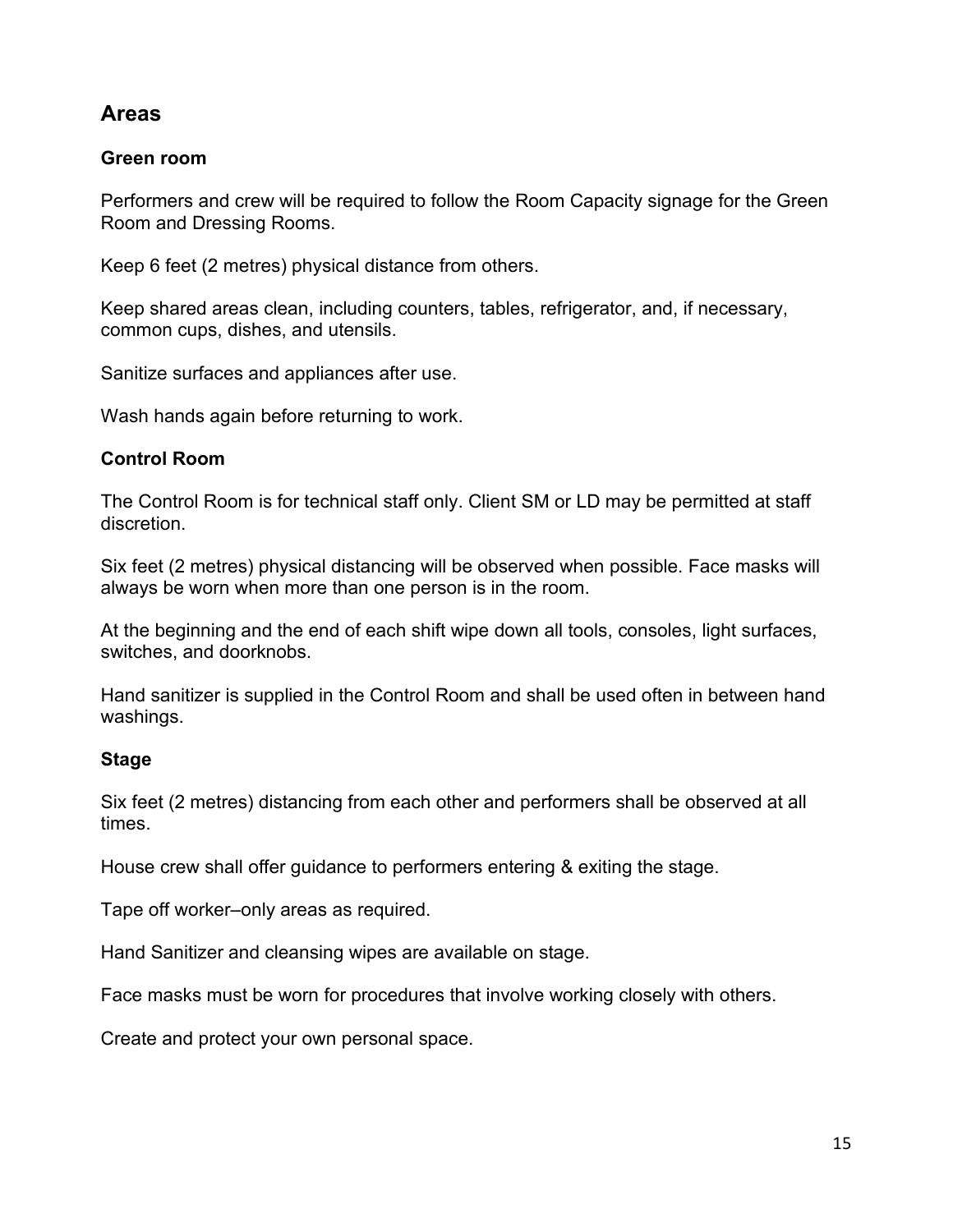# **Areas**

### **Green room**

Performers and crew will be required to follow the Room Capacity signage for the Green Room and Dressing Rooms.

Keep 6 feet (2 metres) physical distance from others.

Keep shared areas clean, including counters, tables, refrigerator, and, if necessary, common cups, dishes, and utensils.

Sanitize surfaces and appliances after use.

Wash hands again before returning to work.

### **Control Room**

The Control Room is for technical staff only. Client SM or LD may be permitted at staff discretion.

Six feet (2 metres) physical distancing will be observed when possible. Face masks will always be worn when more than one person is in the room.

At the beginning and the end of each shift wipe down all tools, consoles, light surfaces, switches, and doorknobs.

Hand sanitizer is supplied in the Control Room and shall be used often in between hand washings.

### **Stage**

Six feet (2 metres) distancing from each other and performers shall be observed at all times.

House crew shall offer guidance to performers entering & exiting the stage.

Tape off worker–only areas as required.

Hand Sanitizer and cleansing wipes are available on stage.

Face masks must be worn for procedures that involve working closely with others.

Create and protect your own personal space.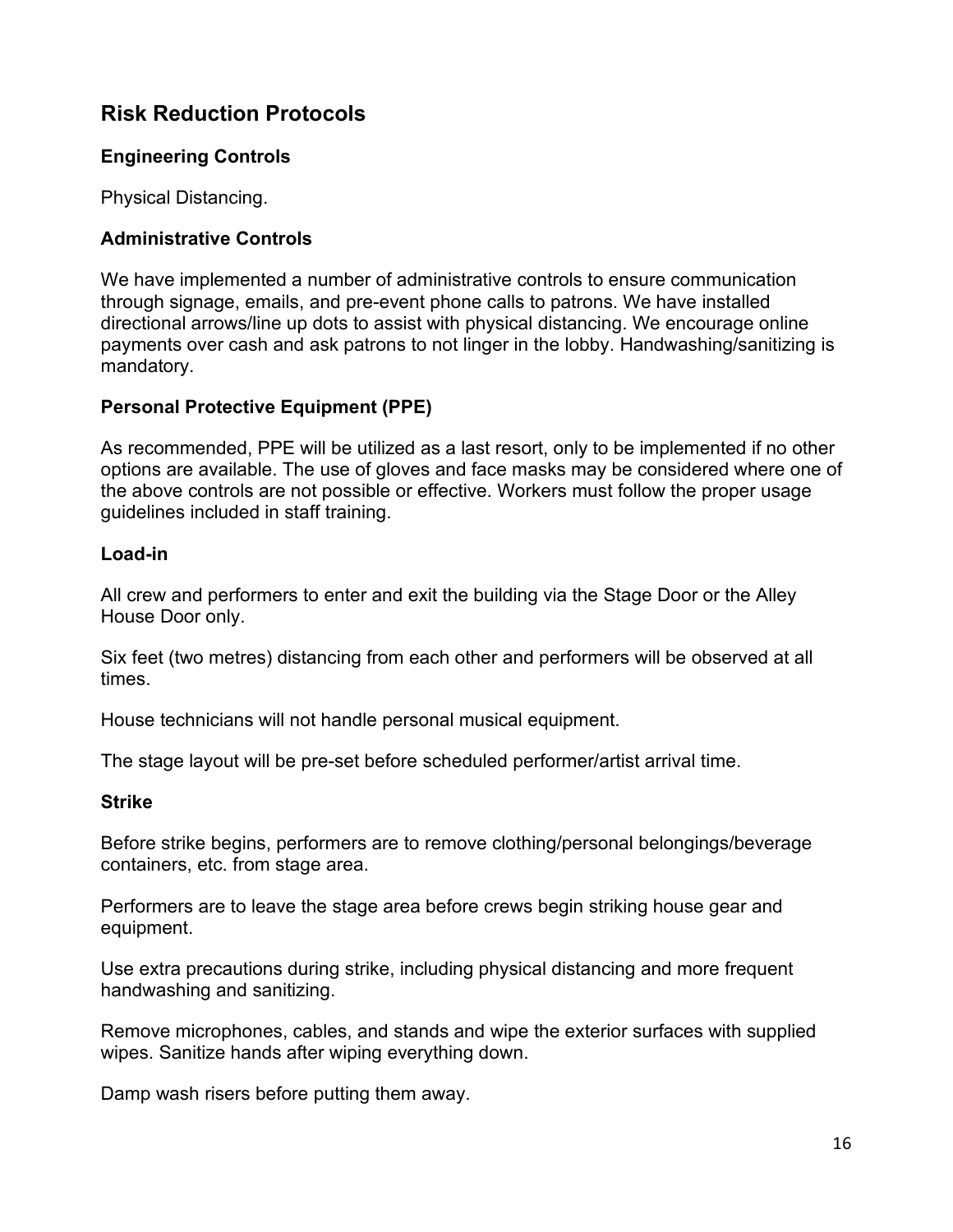# **Risk Reduction Protocols**

## **Engineering Controls**

Physical Distancing.

## **Administrative Controls**

We have implemented a number of administrative controls to ensure communication through signage, emails, and pre-event phone calls to patrons. We have installed directional arrows/line up dots to assist with physical distancing. We encourage online payments over cash and ask patrons to not linger in the lobby. Handwashing/sanitizing is mandatory.

### **Personal Protective Equipment (PPE)**

As recommended, PPE will be utilized as a last resort, only to be implemented if no other options are available. The use of gloves and face masks may be considered where one of the above controls are not possible or effective. Workers must follow the proper usage guidelines included in staff training.

### **Load-in**

All crew and performers to enter and exit the building via the Stage Door or the Alley House Door only.

Six feet (two metres) distancing from each other and performers will be observed at all times.

House technicians will not handle personal musical equipment.

The stage layout will be pre-set before scheduled performer/artist arrival time.

# **Strike**

Before strike begins, performers are to remove clothing/personal belongings/beverage containers, etc. from stage area.

Performers are to leave the stage area before crews begin striking house gear and equipment.

Use extra precautions during strike, including physical distancing and more frequent handwashing and sanitizing.

Remove microphones, cables, and stands and wipe the exterior surfaces with supplied wipes. Sanitize hands after wiping everything down.

Damp wash risers before putting them away.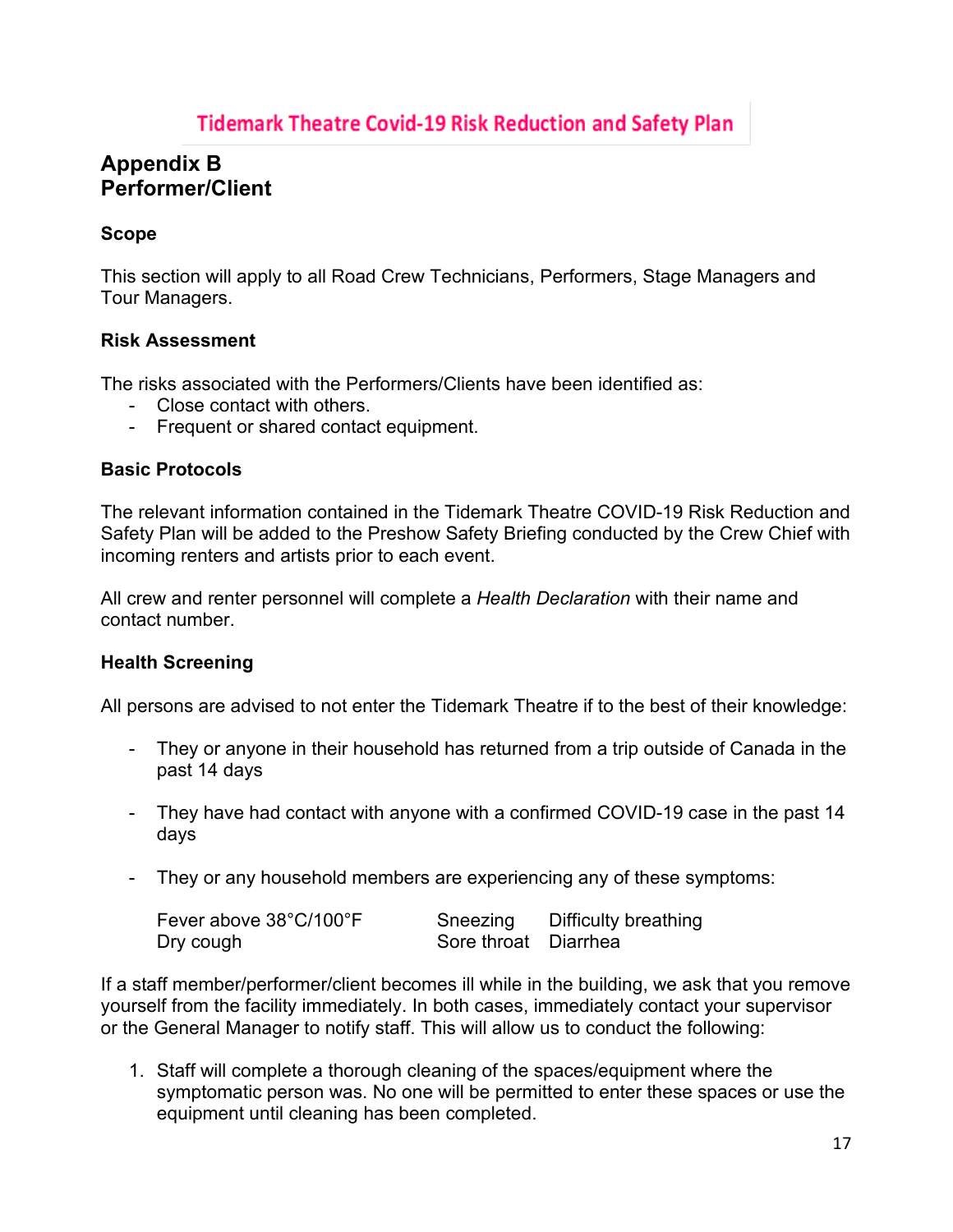# **Appendix B Performer/Client**

## **Scope**

This section will apply to all Road Crew Technicians, Performers, Stage Managers and Tour Managers.

### **Risk Assessment**

The risks associated with the Performers/Clients have been identified as:

- Close contact with others.
- Frequent or shared contact equipment.

### **Basic Protocols**

The relevant information contained in the Tidemark Theatre COVID-19 Risk Reduction and Safety Plan will be added to the Preshow Safety Briefing conducted by the Crew Chief with incoming renters and artists prior to each event.

All crew and renter personnel will complete a *Health Declaration* with their name and contact number.

### **Health Screening**

All persons are advised to not enter the Tidemark Theatre if to the best of their knowledge:

- They or anyone in their household has returned from a trip outside of Canada in the past 14 days
- They have had contact with anyone with a confirmed COVID-19 case in the past 14 days
- They or any household members are experiencing any of these symptoms:

| Fever above 38°C/100°F | Sneezing             | Difficulty breathing |
|------------------------|----------------------|----------------------|
| Dry cough              | Sore throat Diarrhea |                      |

If a staff member/performer/client becomes ill while in the building, we ask that you remove yourself from the facility immediately. In both cases, immediately contact your supervisor or the General Manager to notify staff. This will allow us to conduct the following:

1. Staff will complete a thorough cleaning of the spaces/equipment where the symptomatic person was. No one will be permitted to enter these spaces or use the equipment until cleaning has been completed.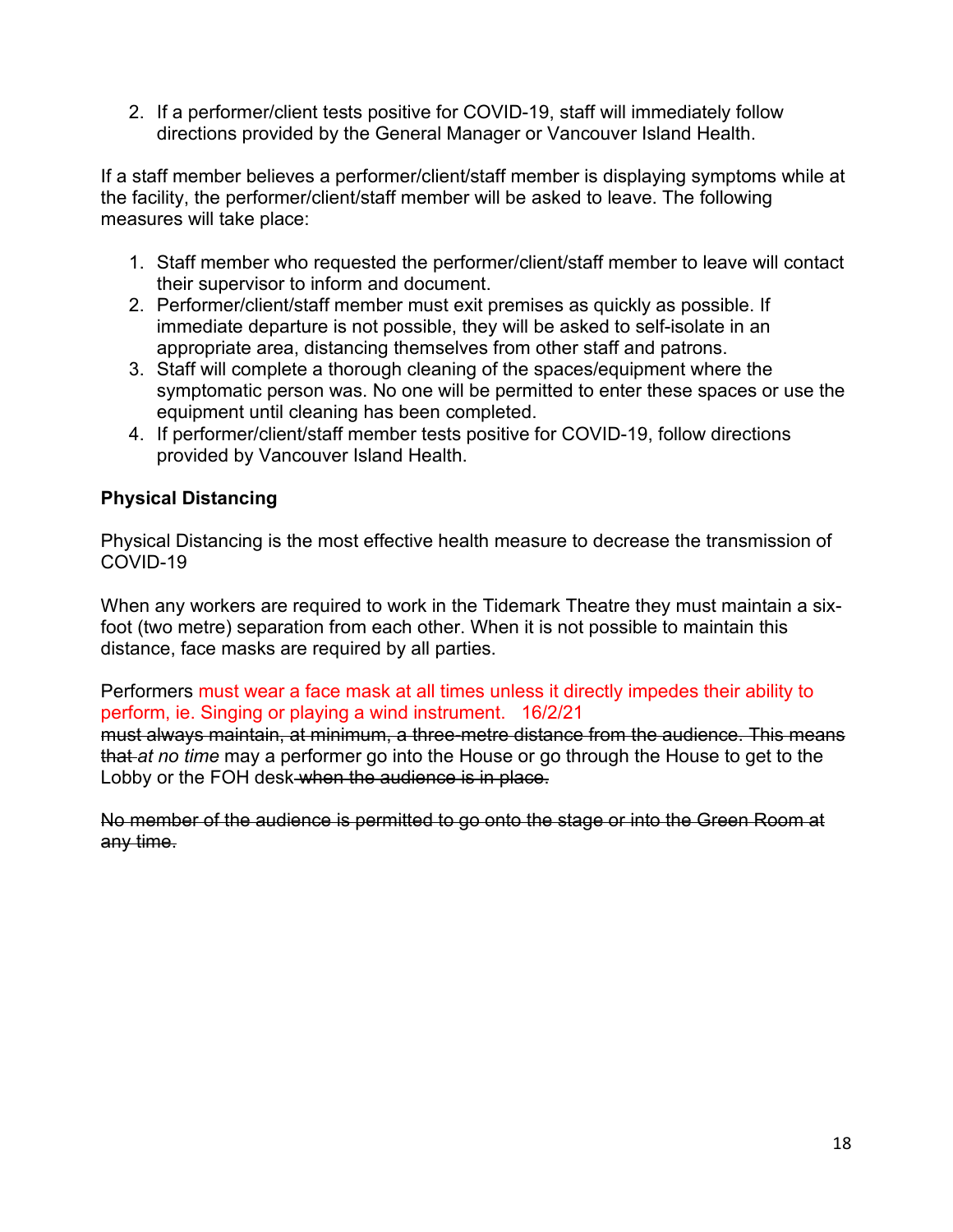2. If a performer/client tests positive for COVID-19, staff will immediately follow directions provided by the General Manager or Vancouver Island Health.

If a staff member believes a performer/client/staff member is displaying symptoms while at the facility, the performer/client/staff member will be asked to leave. The following measures will take place:

- 1. Staff member who requested the performer/client/staff member to leave will contact their supervisor to inform and document.
- 2. Performer/client/staff member must exit premises as quickly as possible. If immediate departure is not possible, they will be asked to self-isolate in an appropriate area, distancing themselves from other staff and patrons.
- 3. Staff will complete a thorough cleaning of the spaces/equipment where the symptomatic person was. No one will be permitted to enter these spaces or use the equipment until cleaning has been completed.
- 4. If performer/client/staff member tests positive for COVID-19, follow directions provided by Vancouver Island Health.

# **Physical Distancing**

Physical Distancing is the most effective health measure to decrease the transmission of COVID-19

When any workers are required to work in the Tidemark Theatre they must maintain a sixfoot (two metre) separation from each other. When it is not possible to maintain this distance, face masks are required by all parties.

Performers must wear a face mask at all times unless it directly impedes their ability to perform, ie. Singing or playing a wind instrument. 16/2/21

must always maintain, at minimum, a three-metre distance from the audience. This means that *at no time* may a performer go into the House or go through the House to get to the Lobby or the FOH desk when the audience is in place.

No member of the audience is permitted to go onto the stage or into the Green Room at any time.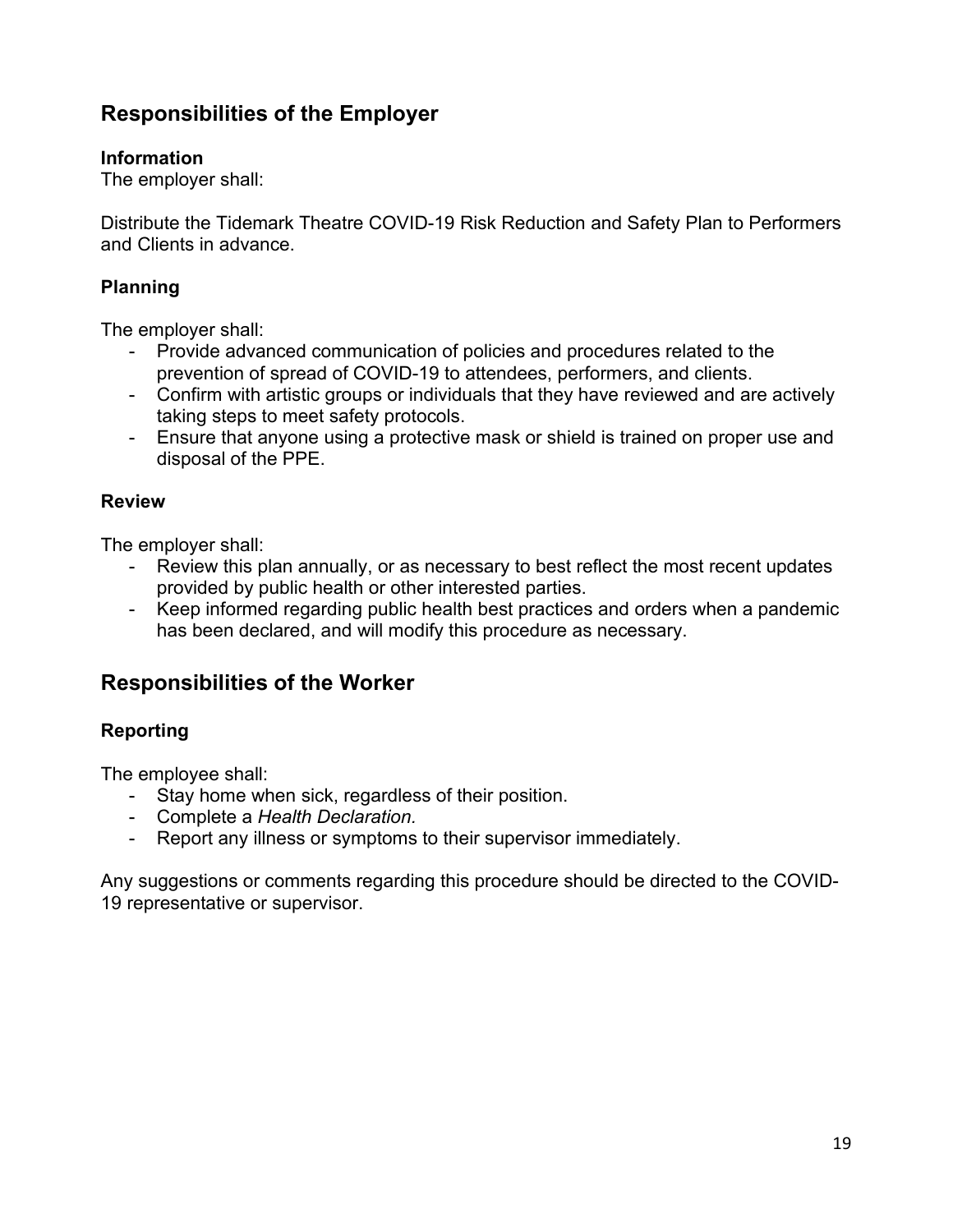# **Responsibilities of the Employer**

### **Information**

The employer shall:

Distribute the Tidemark Theatre COVID-19 Risk Reduction and Safety Plan to Performers and Clients in advance.

## **Planning**

The employer shall:

- Provide advanced communication of policies and procedures related to the prevention of spread of COVID-19 to attendees, performers, and clients.
- Confirm with artistic groups or individuals that they have reviewed and are actively taking steps to meet safety protocols.
- Ensure that anyone using a protective mask or shield is trained on proper use and disposal of the PPE.

#### **Review**

The employer shall:

- Review this plan annually, or as necessary to best reflect the most recent updates provided by public health or other interested parties.
- Keep informed regarding public health best practices and orders when a pandemic has been declared, and will modify this procedure as necessary.

# **Responsibilities of the Worker**

# **Reporting**

The employee shall:

- Stay home when sick, regardless of their position.
- Complete a *Health Declaration.*
- Report any illness or symptoms to their supervisor immediately.

Any suggestions or comments regarding this procedure should be directed to the COVID-19 representative or supervisor.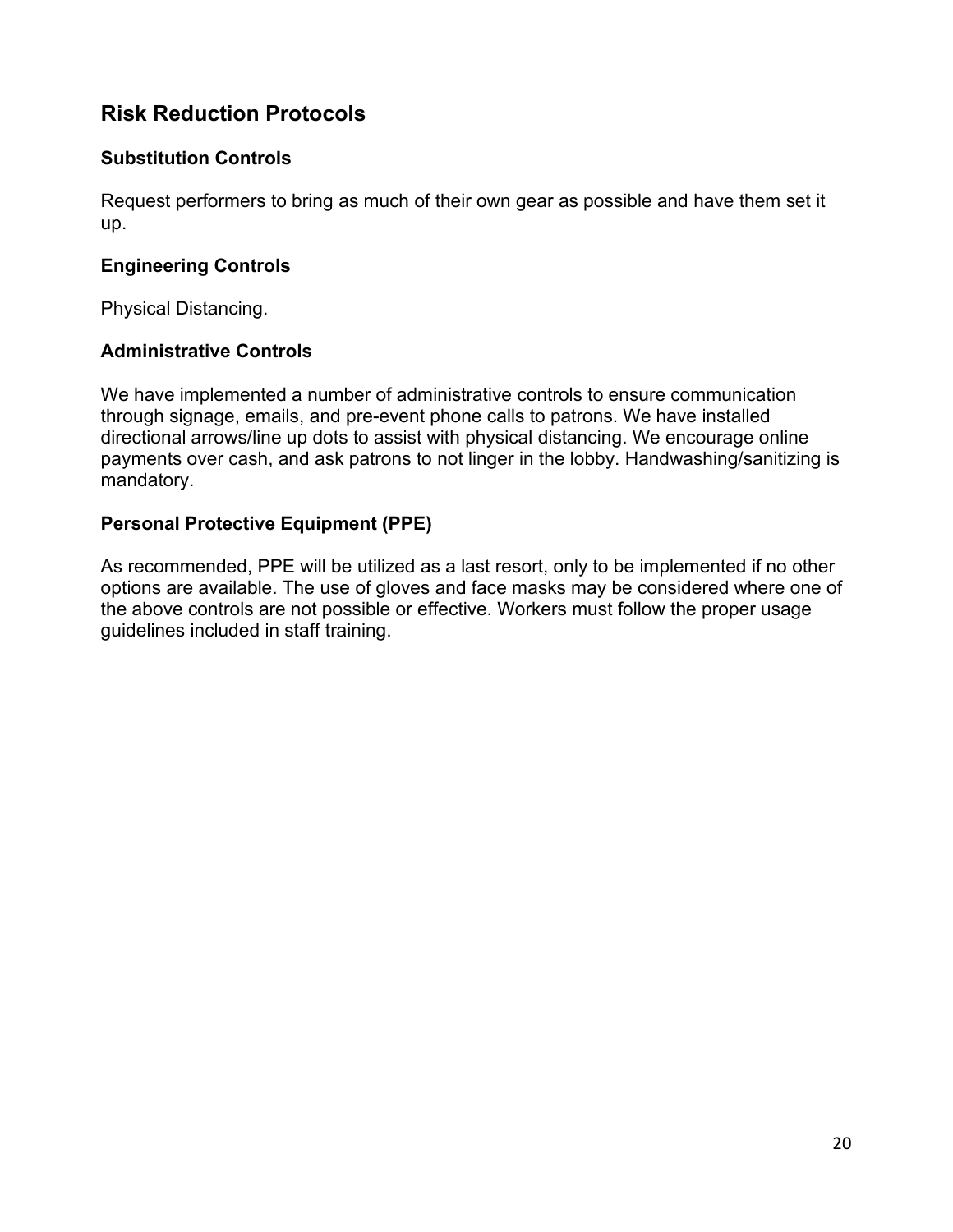# **Risk Reduction Protocols**

## **Substitution Controls**

Request performers to bring as much of their own gear as possible and have them set it up.

## **Engineering Controls**

Physical Distancing.

# **Administrative Controls**

We have implemented a number of administrative controls to ensure communication through signage, emails, and pre-event phone calls to patrons. We have installed directional arrows/line up dots to assist with physical distancing. We encourage online payments over cash, and ask patrons to not linger in the lobby. Handwashing/sanitizing is mandatory.

# **Personal Protective Equipment (PPE)**

As recommended, PPE will be utilized as a last resort, only to be implemented if no other options are available. The use of gloves and face masks may be considered where one of the above controls are not possible or effective. Workers must follow the proper usage guidelines included in staff training.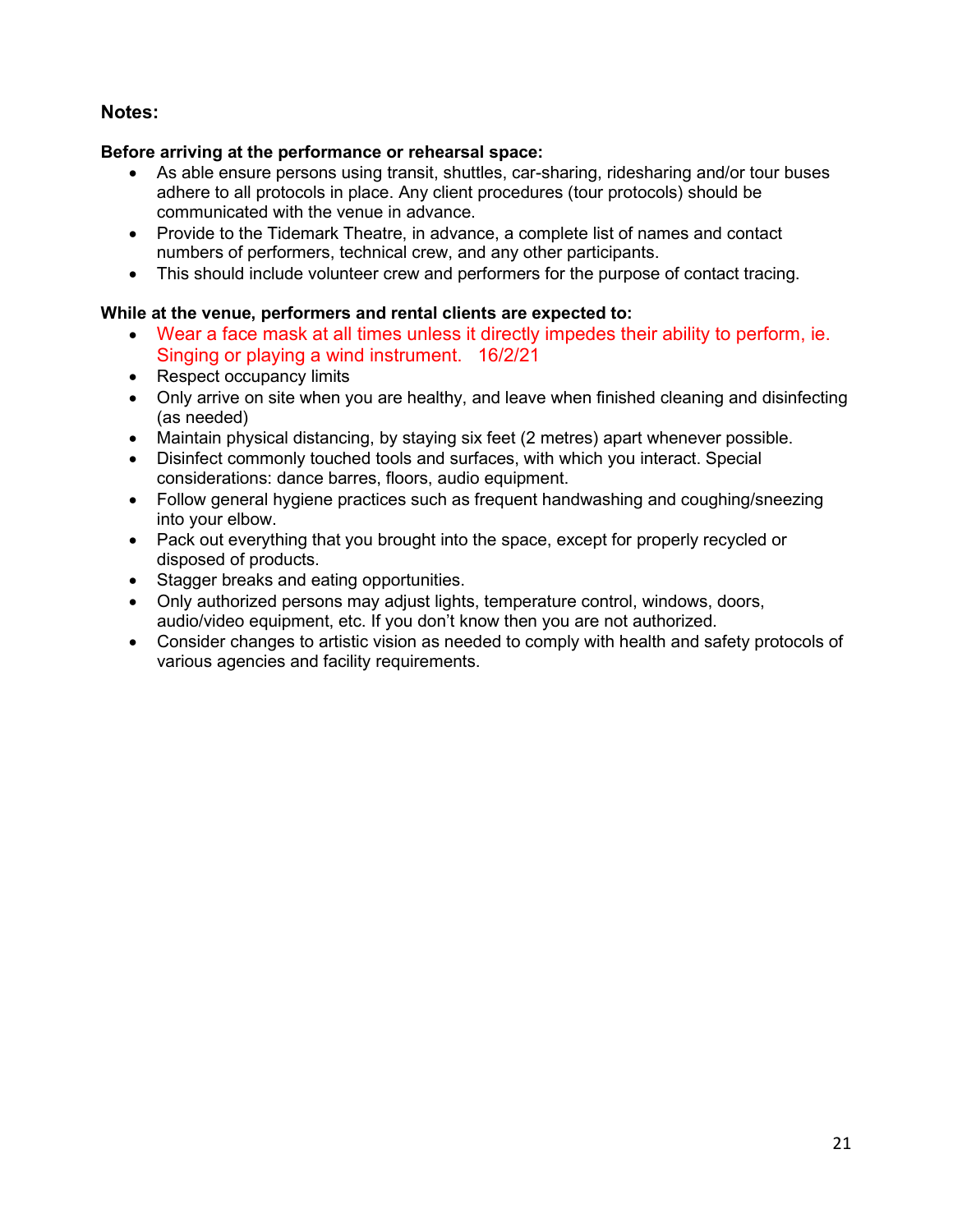#### **Notes:**

#### **Before arriving at the performance or rehearsal space:**

- As able ensure persons using transit, shuttles, car-sharing, ridesharing and/or tour buses adhere to all protocols in place. Any client procedures (tour protocols) should be communicated with the venue in advance.
- Provide to the Tidemark Theatre, in advance, a complete list of names and contact numbers of performers, technical crew, and any other participants.
- This should include volunteer crew and performers for the purpose of contact tracing.

#### **While at the venue, performers and rental clients are expected to:**

- Wear a face mask at all times unless it directly impedes their ability to perform, ie. Singing or playing a wind instrument. 16/2/21
- Respect occupancy limits
- Only arrive on site when you are healthy, and leave when finished cleaning and disinfecting (as needed)
- Maintain physical distancing, by staying six feet (2 metres) apart whenever possible.
- Disinfect commonly touched tools and surfaces, with which you interact. Special considerations: dance barres, floors, audio equipment.
- Follow general hygiene practices such as frequent handwashing and coughing/sneezing into your elbow.
- Pack out everything that you brought into the space, except for properly recycled or disposed of products.
- Stagger breaks and eating opportunities.
- Only authorized persons may adjust lights, temperature control, windows, doors, audio/video equipment, etc. If you don't know then you are not authorized.
- Consider changes to artistic vision as needed to comply with health and safety protocols of various agencies and facility requirements.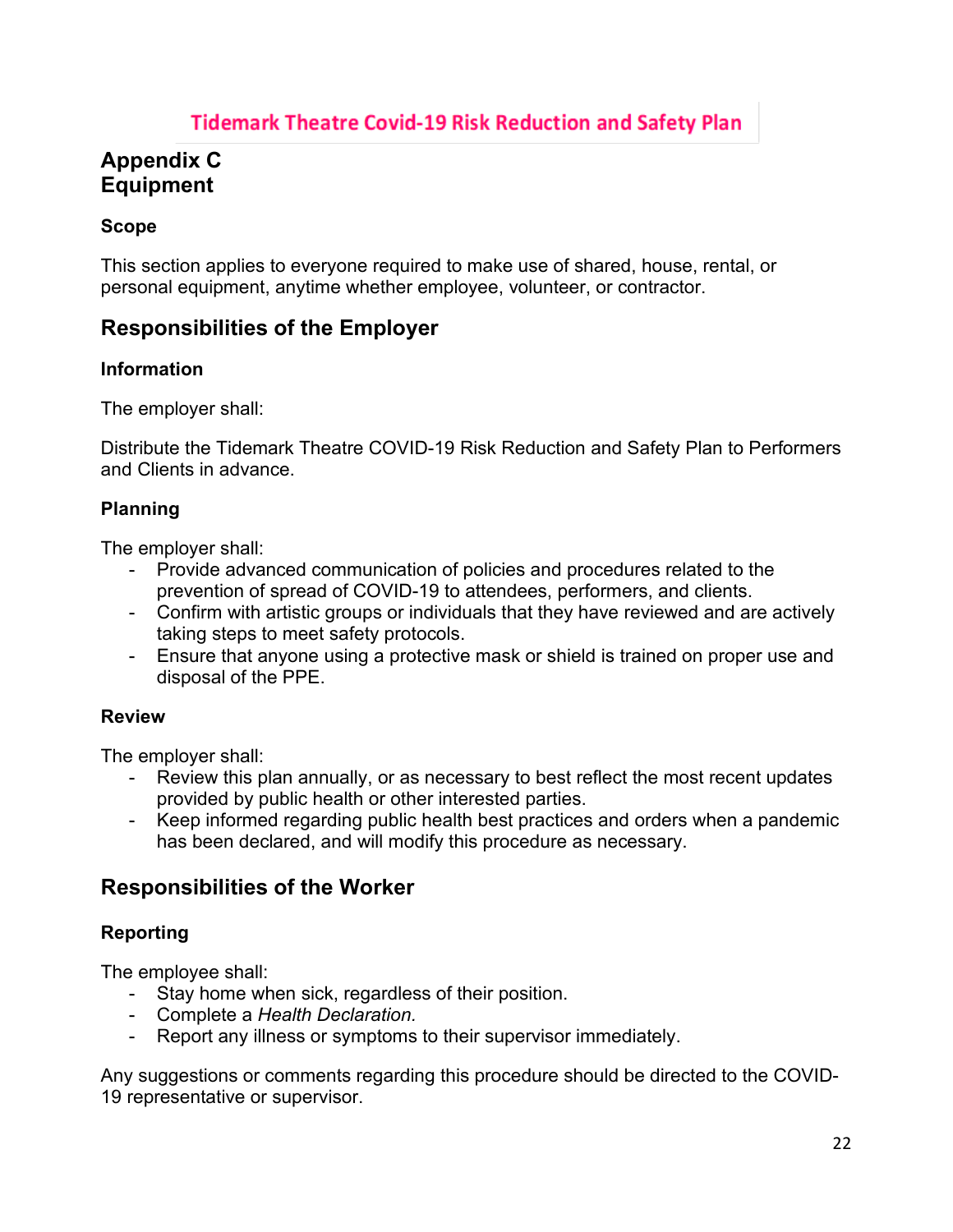# **Tidemark Theatre Covid-19 Risk Reduction and Safety Plan**

# **Appendix C Equipment**

# **Scope**

This section applies to everyone required to make use of shared, house, rental, or personal equipment, anytime whether employee, volunteer, or contractor.

# **Responsibilities of the Employer**

#### **Information**

The employer shall:

Distribute the Tidemark Theatre COVID-19 Risk Reduction and Safety Plan to Performers and Clients in advance.

#### **Planning**

The employer shall:

- Provide advanced communication of policies and procedures related to the prevention of spread of COVID-19 to attendees, performers, and clients.
- Confirm with artistic groups or individuals that they have reviewed and are actively taking steps to meet safety protocols.
- Ensure that anyone using a protective mask or shield is trained on proper use and disposal of the PPE.

#### **Review**

The employer shall:

- Review this plan annually, or as necessary to best reflect the most recent updates provided by public health or other interested parties.
- Keep informed regarding public health best practices and orders when a pandemic has been declared, and will modify this procedure as necessary.

# **Responsibilities of the Worker**

### **Reporting**

The employee shall:

- Stay home when sick, regardless of their position.
- Complete a *Health Declaration.*
- Report any illness or symptoms to their supervisor immediately.

Any suggestions or comments regarding this procedure should be directed to the COVID-19 representative or supervisor.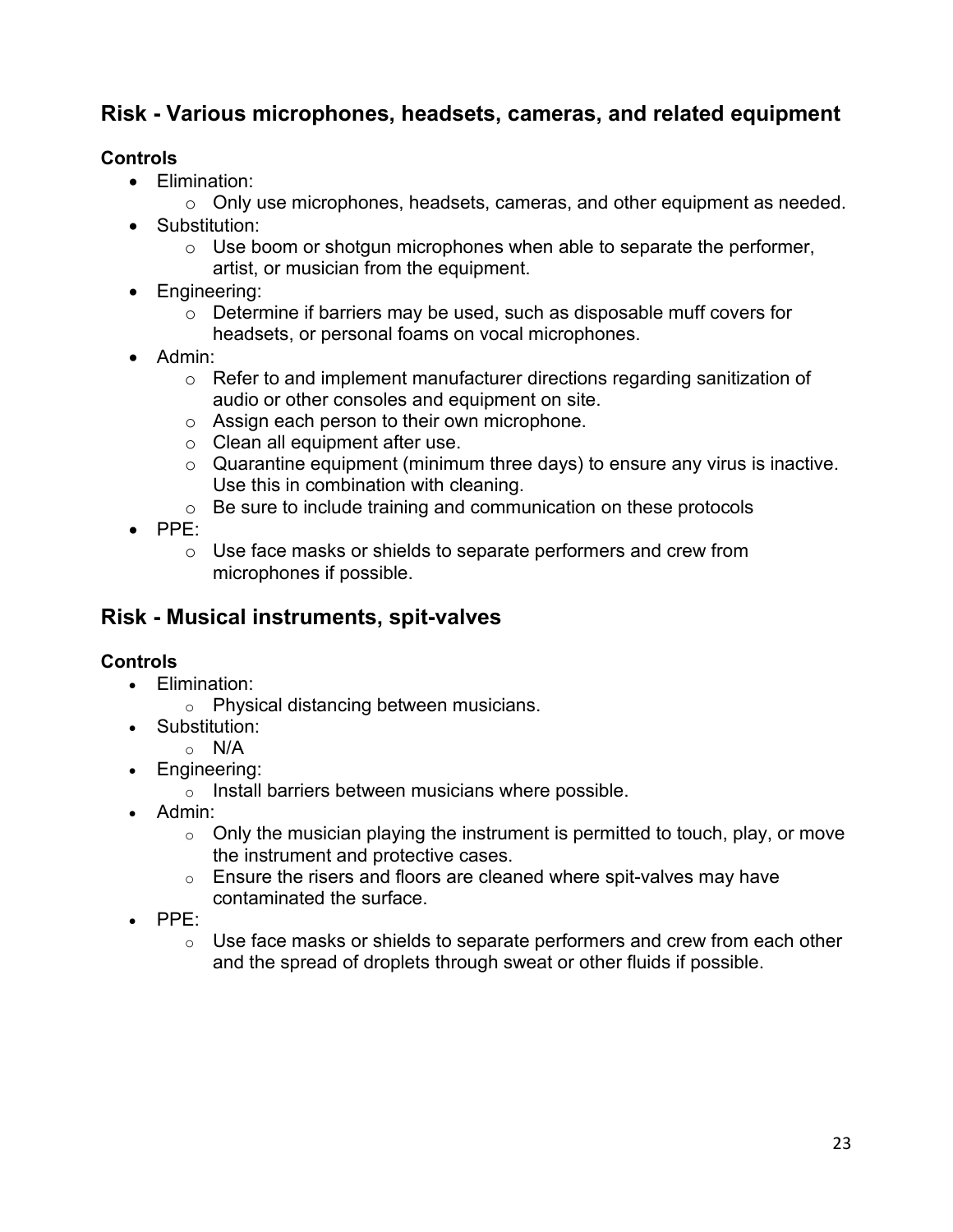# **Risk - Various microphones, headsets, cameras, and related equipment**

## **Controls**

- Elimination:
	- o Only use microphones, headsets, cameras, and other equipment as needed.
- Substitution:
	- $\circ$  Use boom or shotgun microphones when able to separate the performer, artist, or musician from the equipment.
- Engineering:
	- o Determine if barriers may be used, such as disposable muff covers for headsets, or personal foams on vocal microphones.
- Admin:
	- o Refer to and implement manufacturer directions regarding sanitization of audio or other consoles and equipment on site.
	- o Assign each person to their own microphone.
	- o Clean all equipment after use.
	- $\circ$  Quarantine equipment (minimum three days) to ensure any virus is inactive. Use this in combination with cleaning.
	- o Be sure to include training and communication on these protocols
- PPE:
	- o Use face masks or shields to separate performers and crew from microphones if possible.

# **Risk - Musical instruments, spit-valves**

### **Controls**

- Elimination:
	- o Physical distancing between musicians.
- Substitution:
	- $\circ$  N/A
- Engineering:
	- o Install barriers between musicians where possible.
- Admin:
	- $\circ$  Only the musician playing the instrument is permitted to touch, play, or move the instrument and protective cases.
	- $\circ$  Ensure the risers and floors are cleaned where spit-valves may have contaminated the surface.
- PPE:
	- $\circ$  Use face masks or shields to separate performers and crew from each other and the spread of droplets through sweat or other fluids if possible.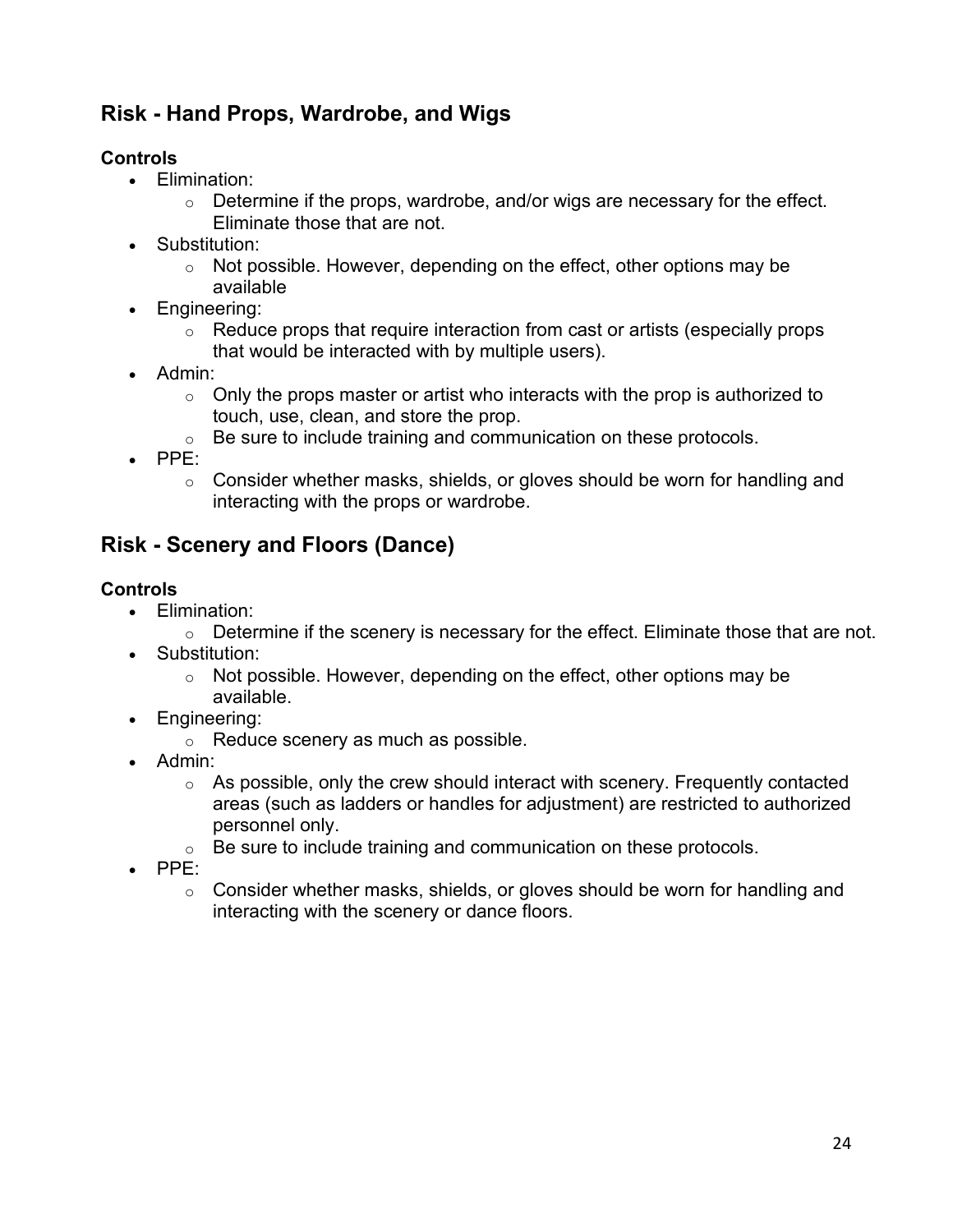# **Risk - Hand Props, Wardrobe, and Wigs**

# **Controls**

- Elimination:
	- $\circ$  Determine if the props, wardrobe, and/or wigs are necessary for the effect. Eliminate those that are not.
- Substitution:
	- $\circ$  Not possible. However, depending on the effect, other options may be available
- Engineering:
	- $\circ$  Reduce props that require interaction from cast or artists (especially props that would be interacted with by multiple users).
- Admin:
	- $\circ$  Only the props master or artist who interacts with the prop is authorized to touch, use, clean, and store the prop.
	- $\circ$  Be sure to include training and communication on these protocols.
- PPE:
	- $\circ$  Consider whether masks, shields, or gloves should be worn for handling and interacting with the props or wardrobe.

# **Risk - Scenery and Floors (Dance)**

# **Controls**

- Elimination:
	- $\circ$  Determine if the scenery is necessary for the effect. Eliminate those that are not.
- Substitution:
	- $\circ$  Not possible. However, depending on the effect, other options may be available.
- Engineering:
	- o Reduce scenery as much as possible.
- Admin:
	- $\circ$  As possible, only the crew should interact with scenery. Frequently contacted areas (such as ladders or handles for adjustment) are restricted to authorized personnel only.
	- $\circ$  Be sure to include training and communication on these protocols.
- PPE:
	- o Consider whether masks, shields, or gloves should be worn for handling and interacting with the scenery or dance floors.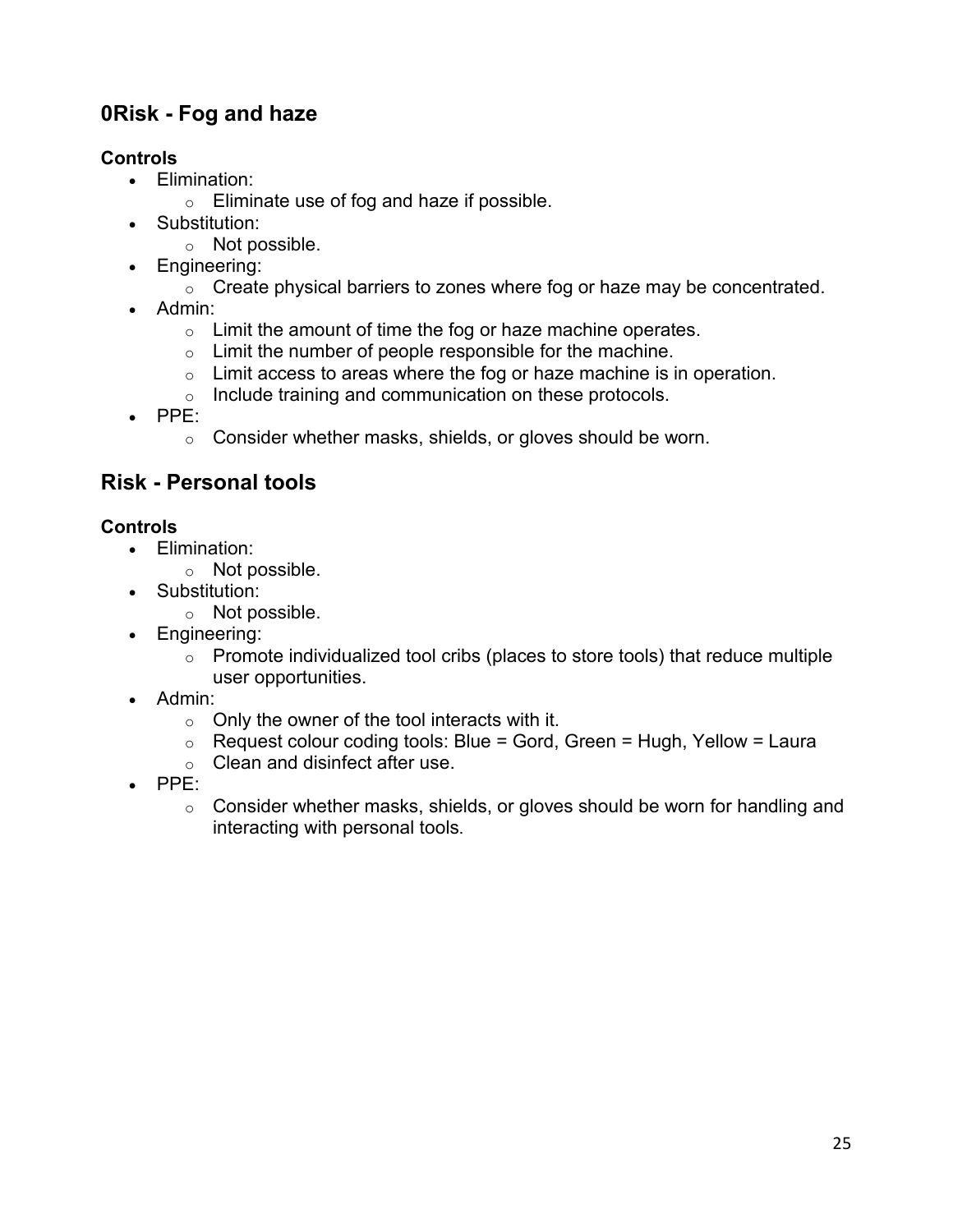# **0Risk - Fog and haze**

# **Controls**

- Elimination:
	- o Eliminate use of fog and haze if possible.
- Substitution:
	- o Not possible.
- Engineering:
	- $\circ$  Create physical barriers to zones where fog or haze may be concentrated.
- Admin:
	- $\circ$  Limit the amount of time the fog or haze machine operates.
	- $\circ$  Limit the number of people responsible for the machine.
	- $\circ$  Limit access to areas where the fog or haze machine is in operation.
	- o Include training and communication on these protocols.
- PPE:
	- o Consider whether masks, shields, or gloves should be worn.

# **Risk - Personal tools**

# **Controls**

- Elimination:
	- o Not possible.
- Substitution:
	- o Not possible.
- Engineering:
	- $\circ$  Promote individualized tool cribs (places to store tools) that reduce multiple user opportunities.
- Admin:
	- $\circ$  Only the owner of the tool interacts with it.
	- $\circ$  Request colour coding tools: Blue = Gord, Green = Hugh, Yellow = Laura
	- o Clean and disinfect after use.
- PPE:
	- o Consider whether masks, shields, or gloves should be worn for handling and interacting with personal tools.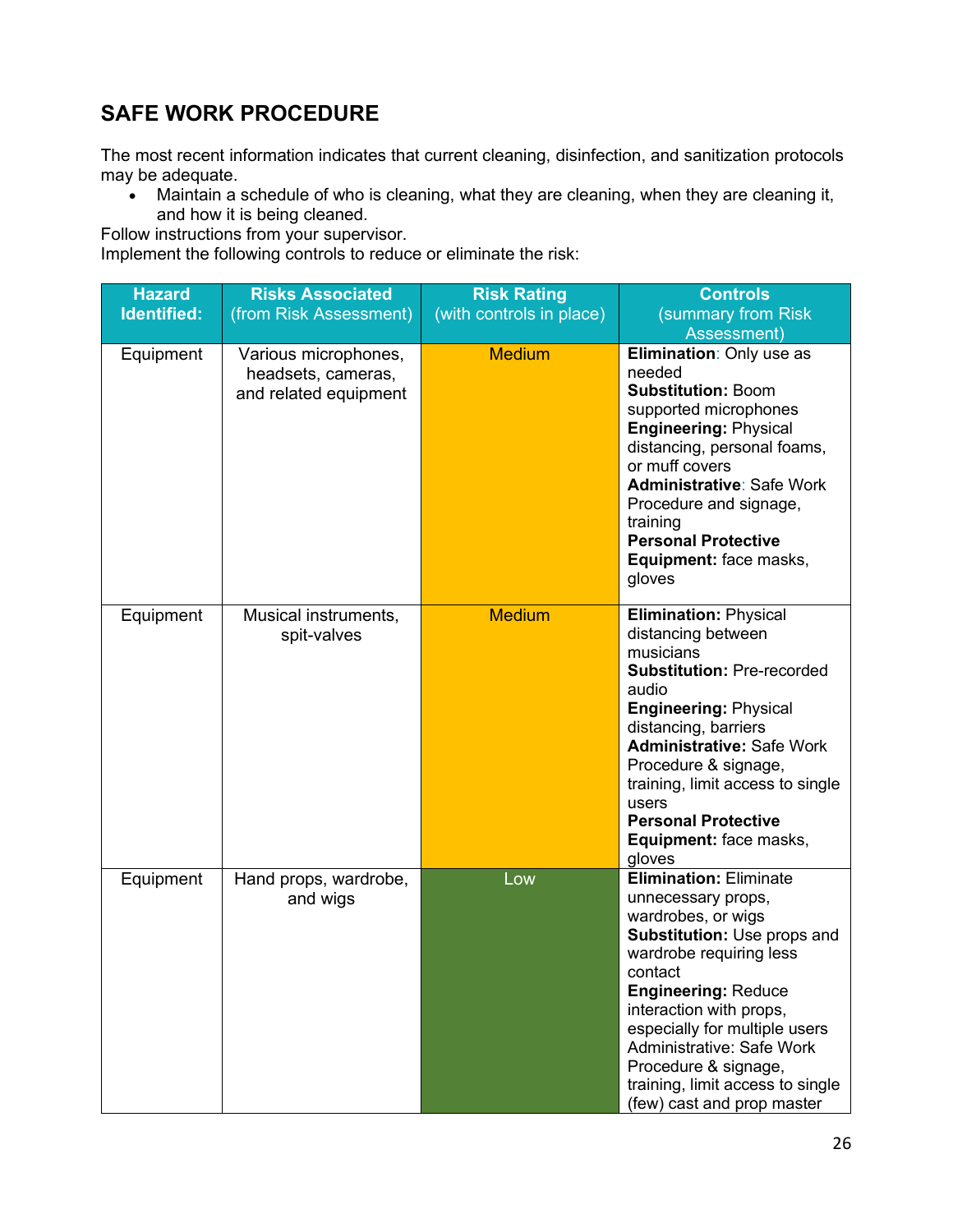# **SAFE WORK PROCEDURE**

The most recent information indicates that current cleaning, disinfection, and sanitization protocols may be adequate.

• Maintain a schedule of who is cleaning, what they are cleaning, when they are cleaning it, and how it is being cleaned.

Follow instructions from your supervisor.

Implement the following controls to reduce or eliminate the risk:

| <b>Hazard</b><br><b>Identified:</b> | <b>Risks Associated</b><br>(from Risk Assessment)                   | <b>Risk Rating</b><br>(with controls in place) | <b>Controls</b><br>(summary from Risk<br>Assessment)                                                                                                                                                                                                                                                                                                            |
|-------------------------------------|---------------------------------------------------------------------|------------------------------------------------|-----------------------------------------------------------------------------------------------------------------------------------------------------------------------------------------------------------------------------------------------------------------------------------------------------------------------------------------------------------------|
| Equipment                           | Various microphones,<br>headsets, cameras,<br>and related equipment | <b>Medium</b>                                  | Elimination: Only use as<br>needed<br><b>Substitution: Boom</b><br>supported microphones<br><b>Engineering: Physical</b><br>distancing, personal foams,<br>or muff covers<br><b>Administrative: Safe Work</b><br>Procedure and signage,<br>training<br><b>Personal Protective</b><br>Equipment: face masks,<br>gloves                                           |
| Equipment                           | Musical instruments,<br>spit-valves                                 | <b>Medium</b>                                  | <b>Elimination: Physical</b><br>distancing between<br>musicians<br><b>Substitution: Pre-recorded</b><br>audio<br><b>Engineering: Physical</b><br>distancing, barriers<br><b>Administrative: Safe Work</b><br>Procedure & signage,<br>training, limit access to single<br>users<br><b>Personal Protective</b><br>Equipment: face masks,<br>gloves                |
| Equipment                           | Hand props, wardrobe,<br>and wigs                                   | Low                                            | <b>Elimination: Eliminate</b><br>unnecessary props,<br>wardrobes, or wigs<br>Substitution: Use props and<br>wardrobe requiring less<br>contact<br><b>Engineering: Reduce</b><br>interaction with props,<br>especially for multiple users<br>Administrative: Safe Work<br>Procedure & signage,<br>training, limit access to single<br>(few) cast and prop master |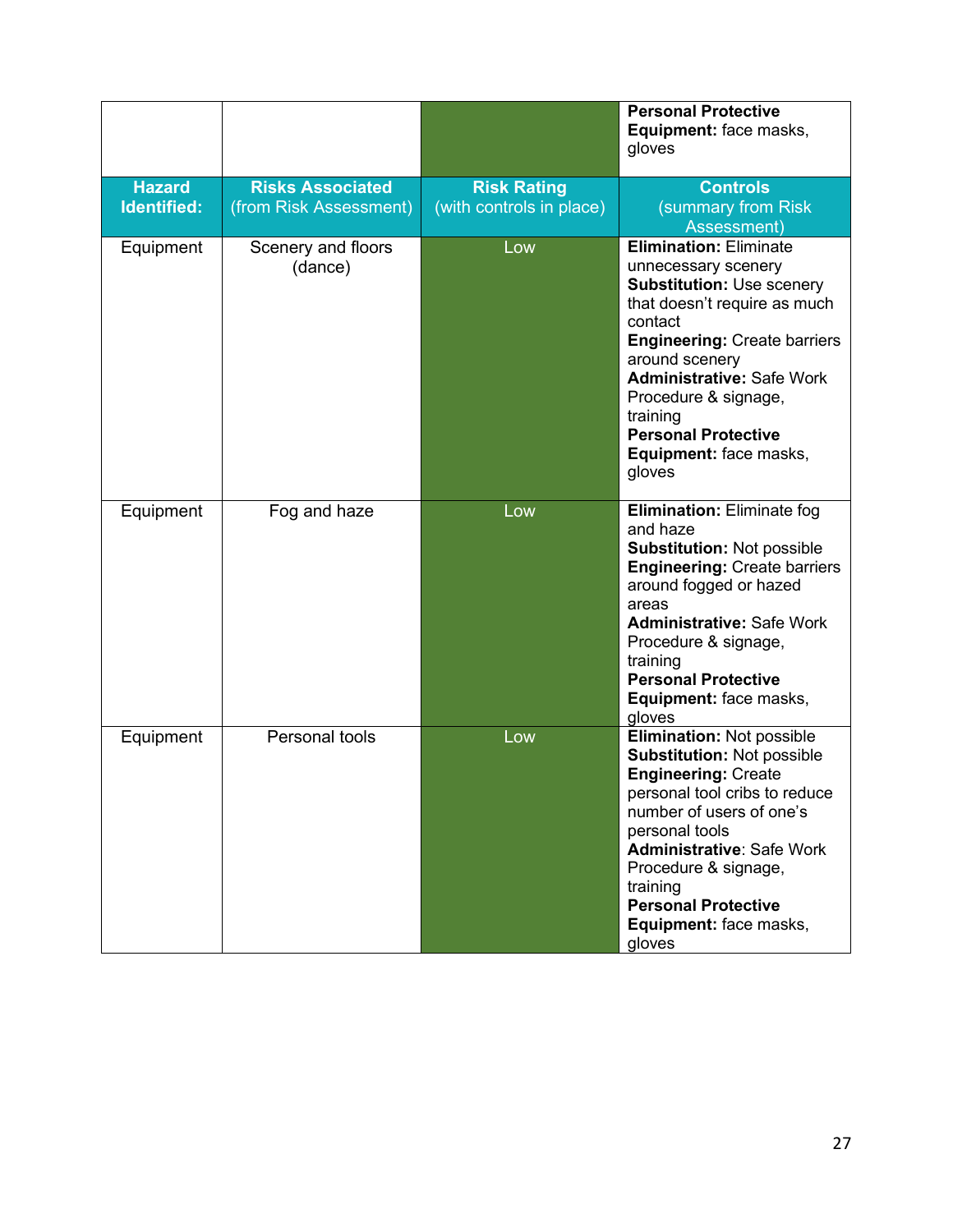|                              |                                                   |                                                | <b>Personal Protective</b><br>Equipment: face masks,<br>gloves                                                                                                                                                                                                                                                                         |
|------------------------------|---------------------------------------------------|------------------------------------------------|----------------------------------------------------------------------------------------------------------------------------------------------------------------------------------------------------------------------------------------------------------------------------------------------------------------------------------------|
| <b>Hazard</b><br>Identified: | <b>Risks Associated</b><br>(from Risk Assessment) | <b>Risk Rating</b><br>(with controls in place) | <b>Controls</b><br>(summary from Risk<br>Assessment)                                                                                                                                                                                                                                                                                   |
| Equipment                    | Scenery and floors<br>(dance)                     | Low                                            | <b>Elimination: Eliminate</b><br>unnecessary scenery<br><b>Substitution: Use scenery</b><br>that doesn't require as much<br>contact<br><b>Engineering: Create barriers</b><br>around scenery<br><b>Administrative: Safe Work</b><br>Procedure & signage,<br>training<br><b>Personal Protective</b><br>Equipment: face masks,<br>gloves |
| Equipment                    | Fog and haze                                      | Low                                            | <b>Elimination: Eliminate fog</b><br>and haze<br>Substitution: Not possible<br><b>Engineering: Create barriers</b><br>around fogged or hazed<br>areas<br><b>Administrative: Safe Work</b><br>Procedure & signage,<br>training<br><b>Personal Protective</b><br>Equipment: face masks,<br>gloves                                        |
| Equipment                    | Personal tools                                    | Low                                            | <b>Elimination: Not possible</b><br>Substitution: Not possible<br><b>Engineering: Create</b><br>personal tool cribs to reduce<br>number of users of one's<br>personal tools<br><b>Administrative: Safe Work</b><br>Procedure & signage,<br>training<br><b>Personal Protective</b><br>Equipment: face masks,<br>gloves                  |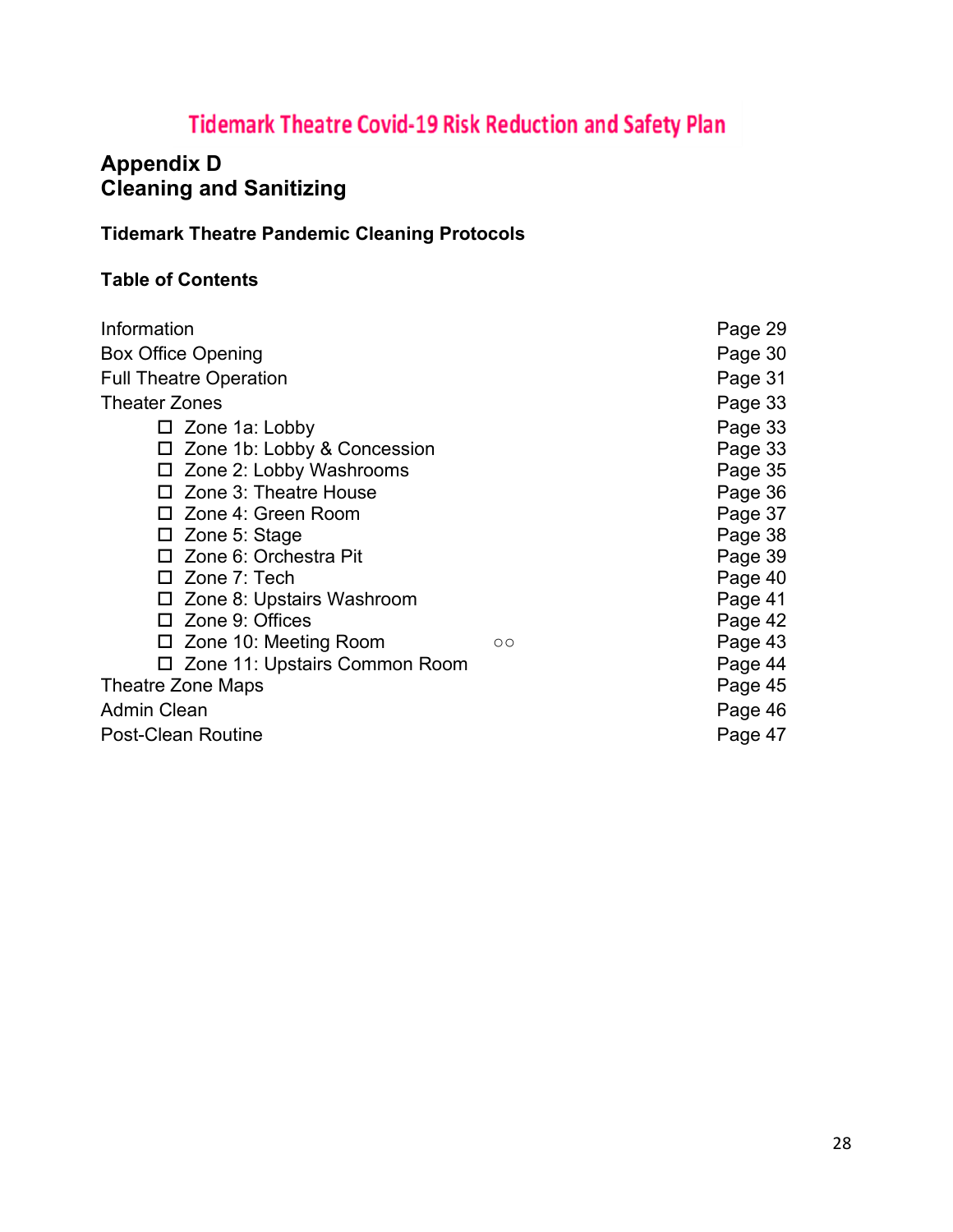# **Tidemark Theatre Covid-19 Risk Reduction and Safety Plan**

# **Appendix D Cleaning and Sanitizing**

# **Tidemark Theatre Pandemic Cleaning Protocols**

# **Table of Contents**

| Information                      |         | Page 29 |
|----------------------------------|---------|---------|
| <b>Box Office Opening</b>        |         | Page 30 |
| <b>Full Theatre Operation</b>    |         | Page 31 |
| Theater Zones                    |         | Page 33 |
| $\Box$ Zone 1a: Lobby            |         | Page 33 |
| □ Zone 1b: Lobby & Concession    |         | Page 33 |
| $\Box$ Zone 2: Lobby Washrooms   |         | Page 35 |
| □ Zone 3: Theatre House          |         | Page 36 |
| □ Zone 4: Green Room             |         | Page 37 |
| $\Box$ Zone 5: Stage             |         | Page 38 |
| □ Zone 6: Orchestra Pit          |         | Page 39 |
| $\Box$ Zone 7: Tech              |         | Page 40 |
| $\Box$ Zone 8: Upstairs Washroom |         | Page 41 |
| $\Box$ Zone 9: Offices           |         | Page 42 |
| $\Box$ Zone 10: Meeting Room     | $\circ$ | Page 43 |
| □ Zone 11: Upstairs Common Room  |         | Page 44 |
| Theatre Zone Maps                |         | Page 45 |
| Admin Clean                      |         | Page 46 |
| Post-Clean Routine               |         | Page 47 |
|                                  |         |         |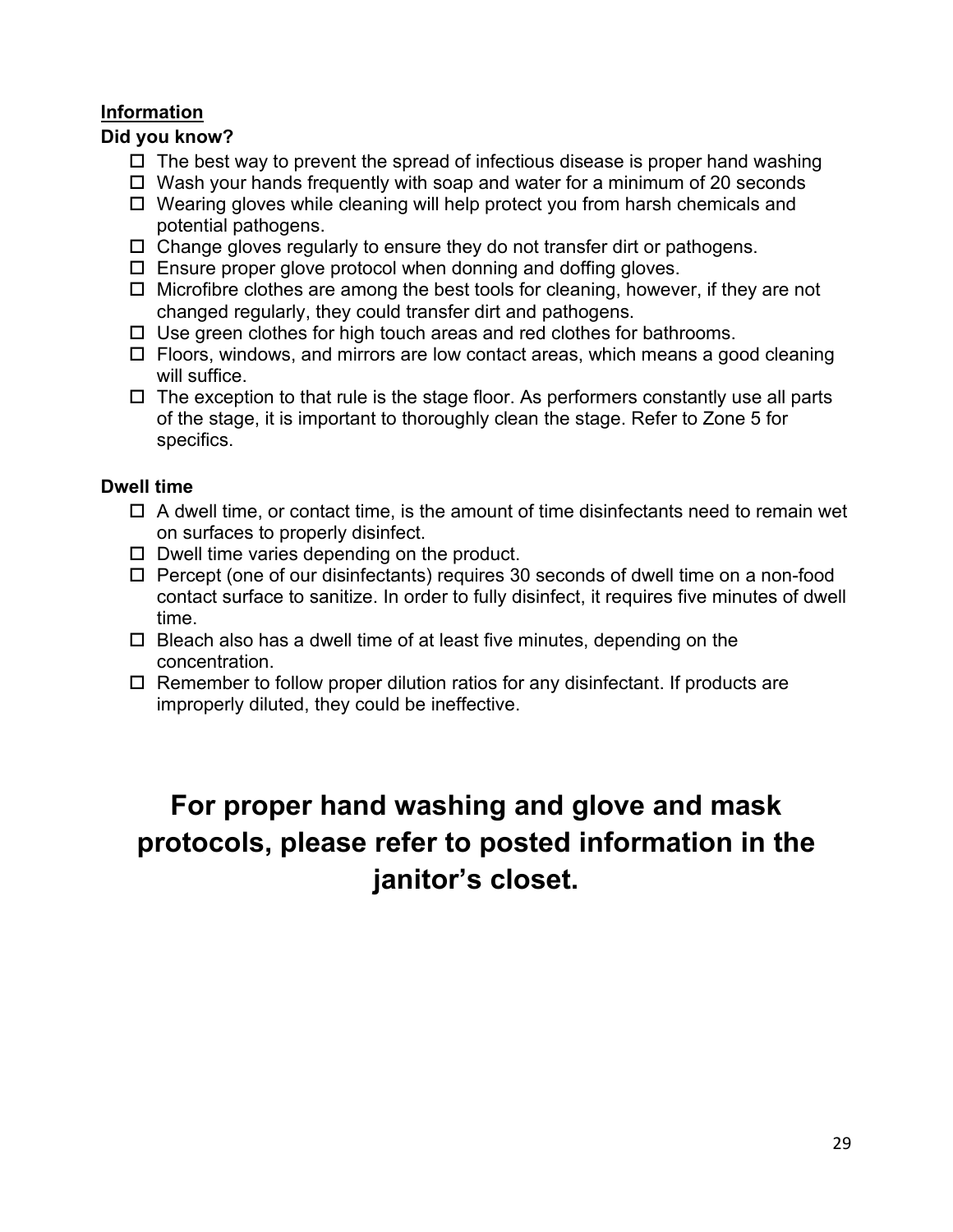## **Information**

### **Did you know?**

- $\Box$  The best way to prevent the spread of infectious disease is proper hand washing
- $\Box$  Wash your hands frequently with soap and water for a minimum of 20 seconds
- $\Box$  Wearing gloves while cleaning will help protect you from harsh chemicals and potential pathogens.
- $\Box$  Change gloves regularly to ensure they do not transfer dirt or pathogens.
- $\Box$  Ensure proper glove protocol when donning and doffing gloves.
- $\Box$  Microfibre clothes are among the best tools for cleaning, however, if they are not changed regularly, they could transfer dirt and pathogens.
- $\Box$  Use green clothes for high touch areas and red clothes for bathrooms.
- $\Box$  Floors, windows, and mirrors are low contact areas, which means a good cleaning will suffice.
- $\Box$  The exception to that rule is the stage floor. As performers constantly use all parts of the stage, it is important to thoroughly clean the stage. Refer to Zone 5 for specifics.

### **Dwell time**

- $\Box$  A dwell time, or contact time, is the amount of time disinfectants need to remain wet on surfaces to properly disinfect.
- $\square$  Dwell time varies depending on the product.
- $\Box$  Percept (one of our disinfectants) requires 30 seconds of dwell time on a non-food contact surface to sanitize. In order to fully disinfect, it requires five minutes of dwell time.
- $\Box$  Bleach also has a dwell time of at least five minutes, depending on the concentration.
- $\Box$  Remember to follow proper dilution ratios for any disinfectant. If products are improperly diluted, they could be ineffective.

# **For proper hand washing and glove and mask protocols, please refer to posted information in the janitor's closet.**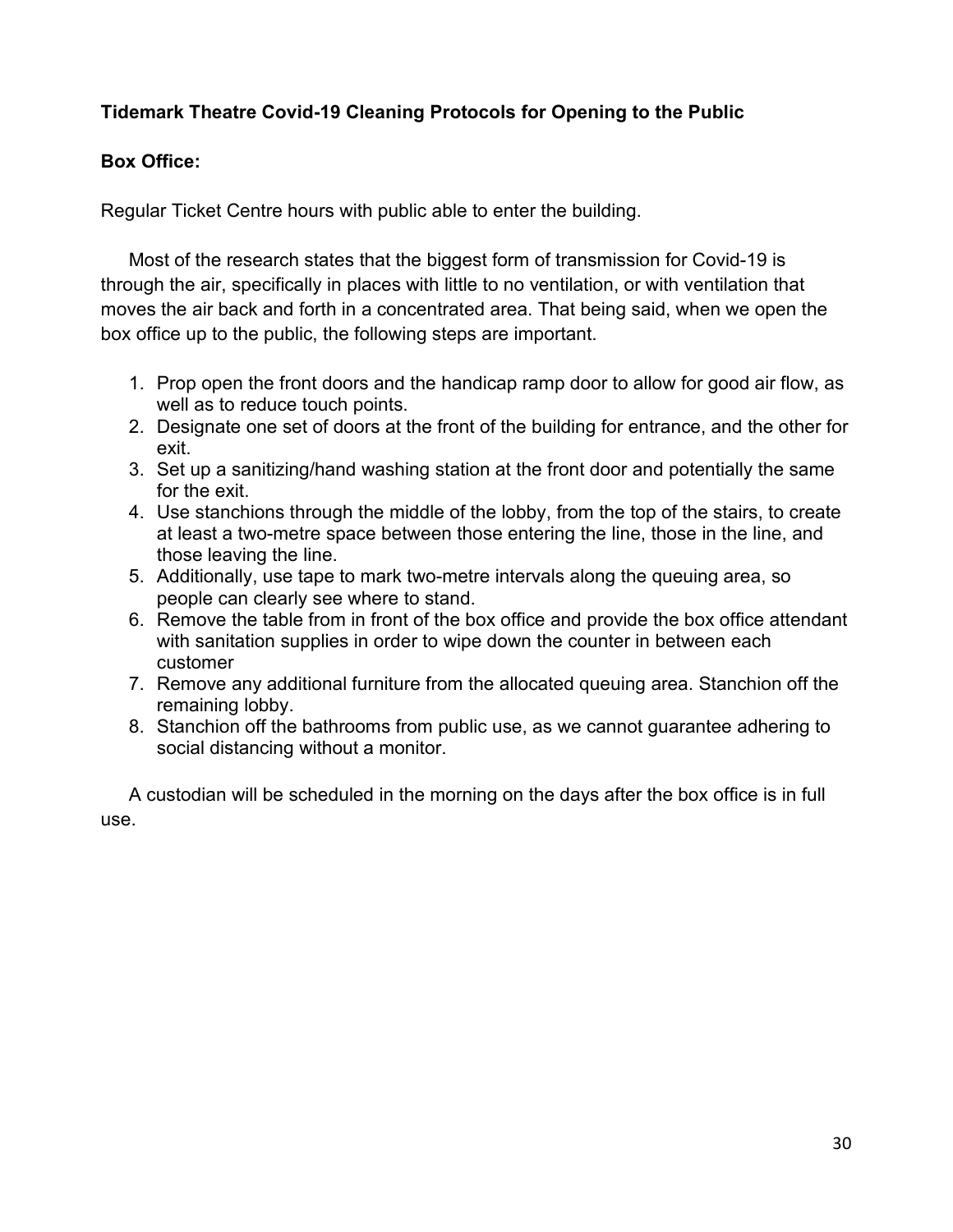# **Tidemark Theatre Covid-19 Cleaning Protocols for Opening to the Public**

### **Box Office:**

Regular Ticket Centre hours with public able to enter the building.

Most of the research states that the biggest form of transmission for Covid-19 is through the air, specifically in places with little to no ventilation, or with ventilation that moves the air back and forth in a concentrated area. That being said, when we open the box office up to the public, the following steps are important.

- 1. Prop open the front doors and the handicap ramp door to allow for good air flow, as well as to reduce touch points.
- 2. Designate one set of doors at the front of the building for entrance, and the other for exit.
- 3. Set up a sanitizing/hand washing station at the front door and potentially the same for the exit.
- 4. Use stanchions through the middle of the lobby, from the top of the stairs, to create at least a two-metre space between those entering the line, those in the line, and those leaving the line.
- 5. Additionally, use tape to mark two-metre intervals along the queuing area, so people can clearly see where to stand.
- 6. Remove the table from in front of the box office and provide the box office attendant with sanitation supplies in order to wipe down the counter in between each customer
- 7. Remove any additional furniture from the allocated queuing area. Stanchion off the remaining lobby.
- 8. Stanchion off the bathrooms from public use, as we cannot guarantee adhering to social distancing without a monitor.

A custodian will be scheduled in the morning on the days after the box office is in full use.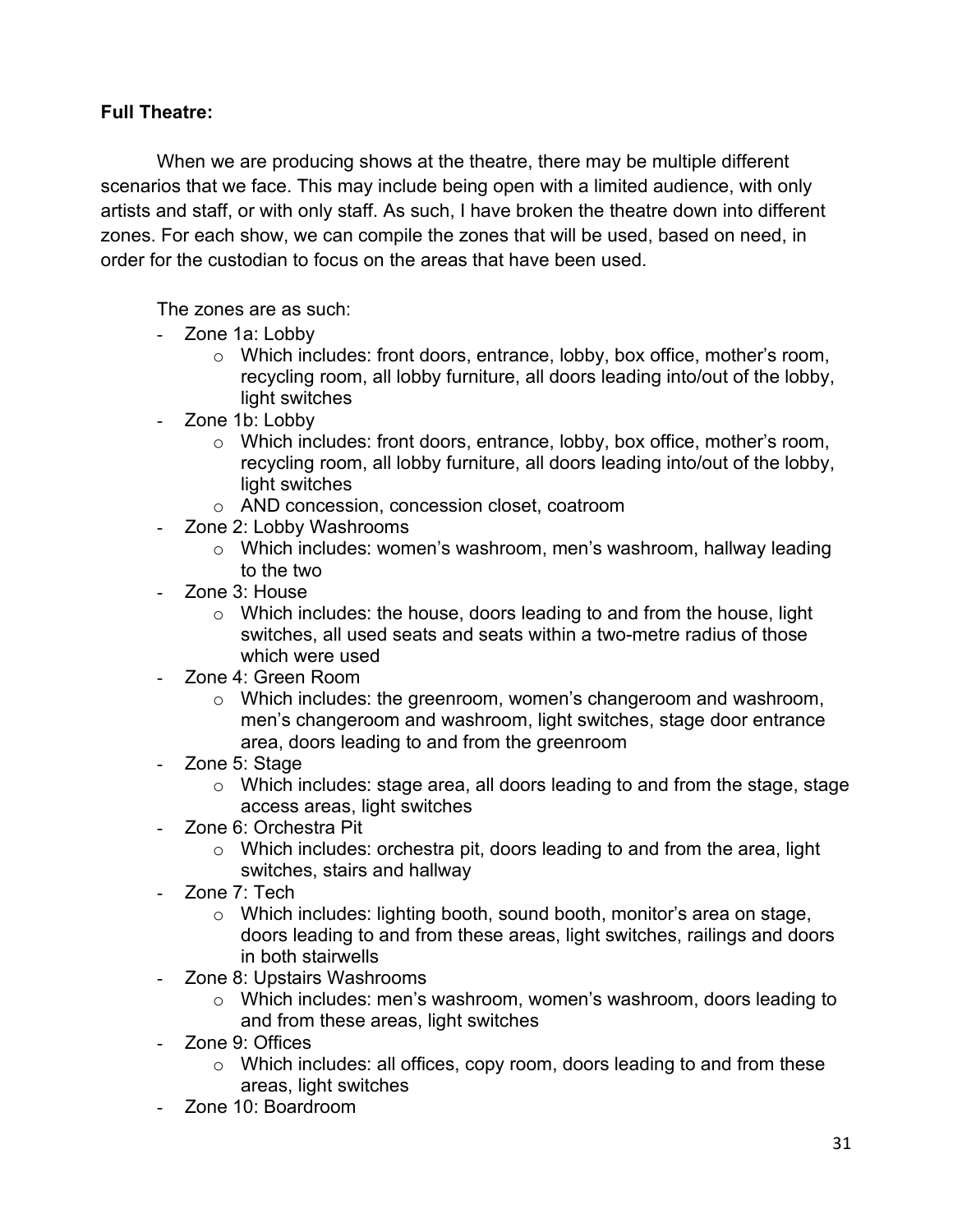# **Full Theatre:**

When we are producing shows at the theatre, there may be multiple different scenarios that we face. This may include being open with a limited audience, with only artists and staff, or with only staff. As such, I have broken the theatre down into different zones. For each show, we can compile the zones that will be used, based on need, in order for the custodian to focus on the areas that have been used.

The zones are as such:

- Zone 1a: Lobby
	- o Which includes: front doors, entrance, lobby, box office, mother's room, recycling room, all lobby furniture, all doors leading into/out of the lobby, light switches
- Zone 1b: Lobby
	- o Which includes: front doors, entrance, lobby, box office, mother's room, recycling room, all lobby furniture, all doors leading into/out of the lobby, light switches
	- o AND concession, concession closet, coatroom
- Zone 2: Lobby Washrooms
	- o Which includes: women's washroom, men's washroom, hallway leading to the two
- Zone 3: House
	- $\circ$  Which includes: the house, doors leading to and from the house, light switches, all used seats and seats within a two-metre radius of those which were used
- Zone 4: Green Room
	- $\circ$  Which includes: the greenroom, women's changeroom and washroom, men's changeroom and washroom, light switches, stage door entrance area, doors leading to and from the greenroom
- Zone 5: Stage
	- o Which includes: stage area, all doors leading to and from the stage, stage access areas, light switches
- Zone 6: Orchestra Pit
	- o Which includes: orchestra pit, doors leading to and from the area, light switches, stairs and hallway
- Zone 7: Tech
	- o Which includes: lighting booth, sound booth, monitor's area on stage, doors leading to and from these areas, light switches, railings and doors in both stairwells
- Zone 8: Upstairs Washrooms
	- o Which includes: men's washroom, women's washroom, doors leading to and from these areas, light switches
- Zone 9: Offices
	- o Which includes: all offices, copy room, doors leading to and from these areas, light switches
- Zone 10: Boardroom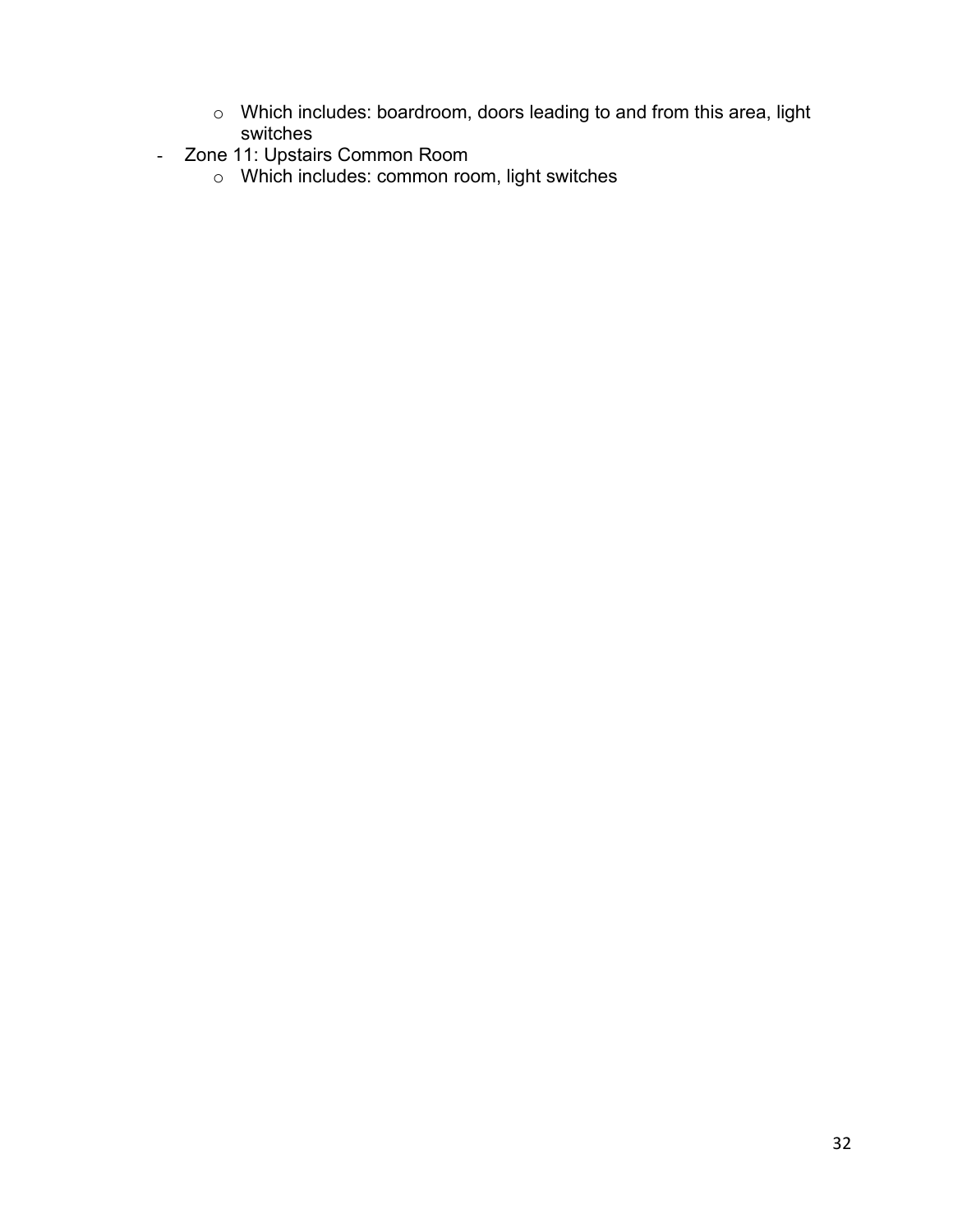- o Which includes: boardroom, doors leading to and from this area, light switches
- Zone 11: Upstairs Common Room
	- o Which includes: common room, light switches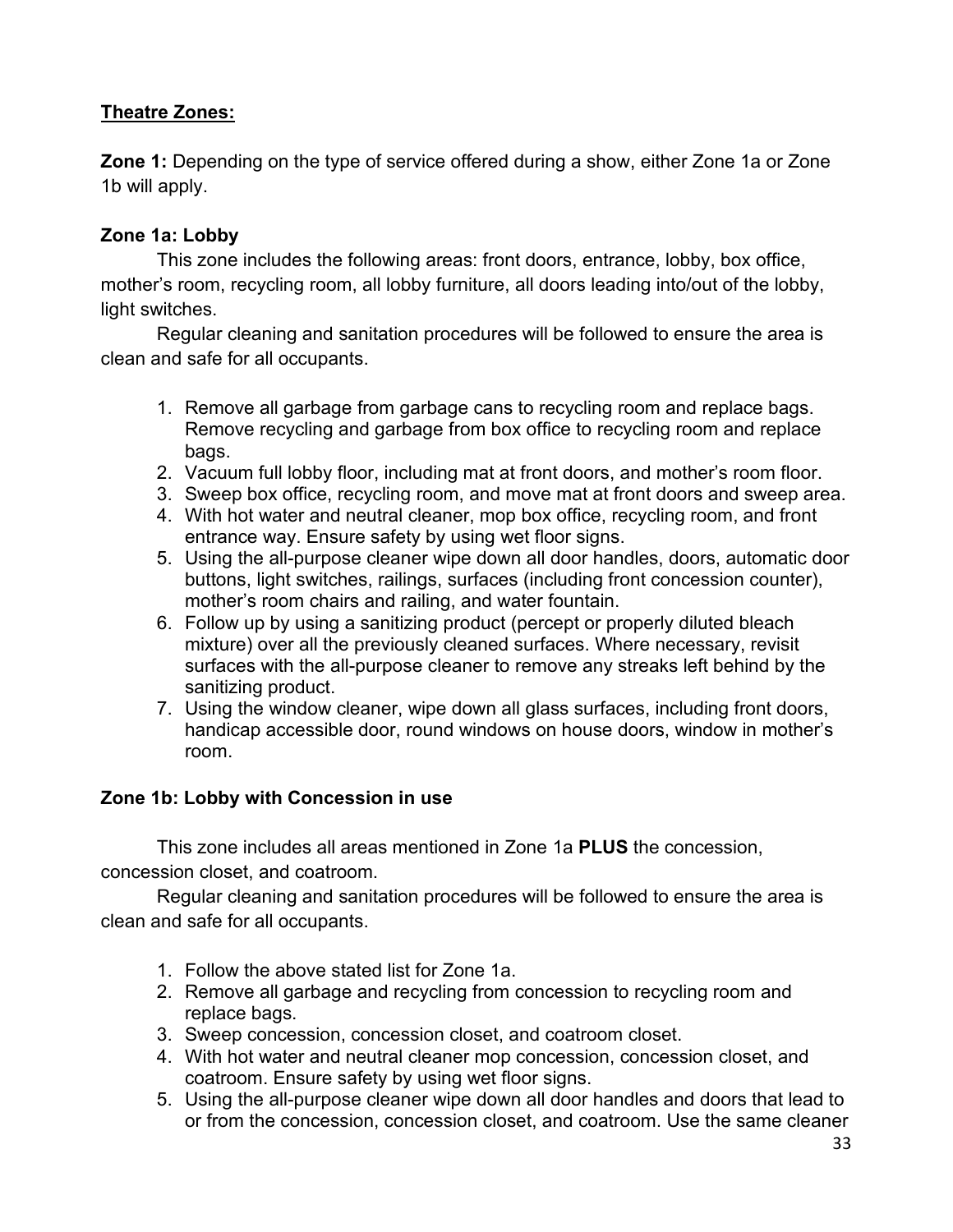# **Theatre Zones:**

**Zone 1:** Depending on the type of service offered during a show, either Zone 1a or Zone 1b will apply.

# **Zone 1a: Lobby**

This zone includes the following areas: front doors, entrance, lobby, box office, mother's room, recycling room, all lobby furniture, all doors leading into/out of the lobby, light switches.

Regular cleaning and sanitation procedures will be followed to ensure the area is clean and safe for all occupants.

- 1. Remove all garbage from garbage cans to recycling room and replace bags. Remove recycling and garbage from box office to recycling room and replace bags.
- 2. Vacuum full lobby floor, including mat at front doors, and mother's room floor.
- 3. Sweep box office, recycling room, and move mat at front doors and sweep area.
- 4. With hot water and neutral cleaner, mop box office, recycling room, and front entrance way. Ensure safety by using wet floor signs.
- 5. Using the all-purpose cleaner wipe down all door handles, doors, automatic door buttons, light switches, railings, surfaces (including front concession counter), mother's room chairs and railing, and water fountain.
- 6. Follow up by using a sanitizing product (percept or properly diluted bleach mixture) over all the previously cleaned surfaces. Where necessary, revisit surfaces with the all-purpose cleaner to remove any streaks left behind by the sanitizing product.
- 7. Using the window cleaner, wipe down all glass surfaces, including front doors, handicap accessible door, round windows on house doors, window in mother's room.

### **Zone 1b: Lobby with Concession in use**

This zone includes all areas mentioned in Zone 1a **PLUS** the concession, concession closet, and coatroom.

- 1. Follow the above stated list for Zone 1a.
- 2. Remove all garbage and recycling from concession to recycling room and replace bags.
- 3. Sweep concession, concession closet, and coatroom closet.
- 4. With hot water and neutral cleaner mop concession, concession closet, and coatroom. Ensure safety by using wet floor signs.
- 5. Using the all-purpose cleaner wipe down all door handles and doors that lead to or from the concession, concession closet, and coatroom. Use the same cleaner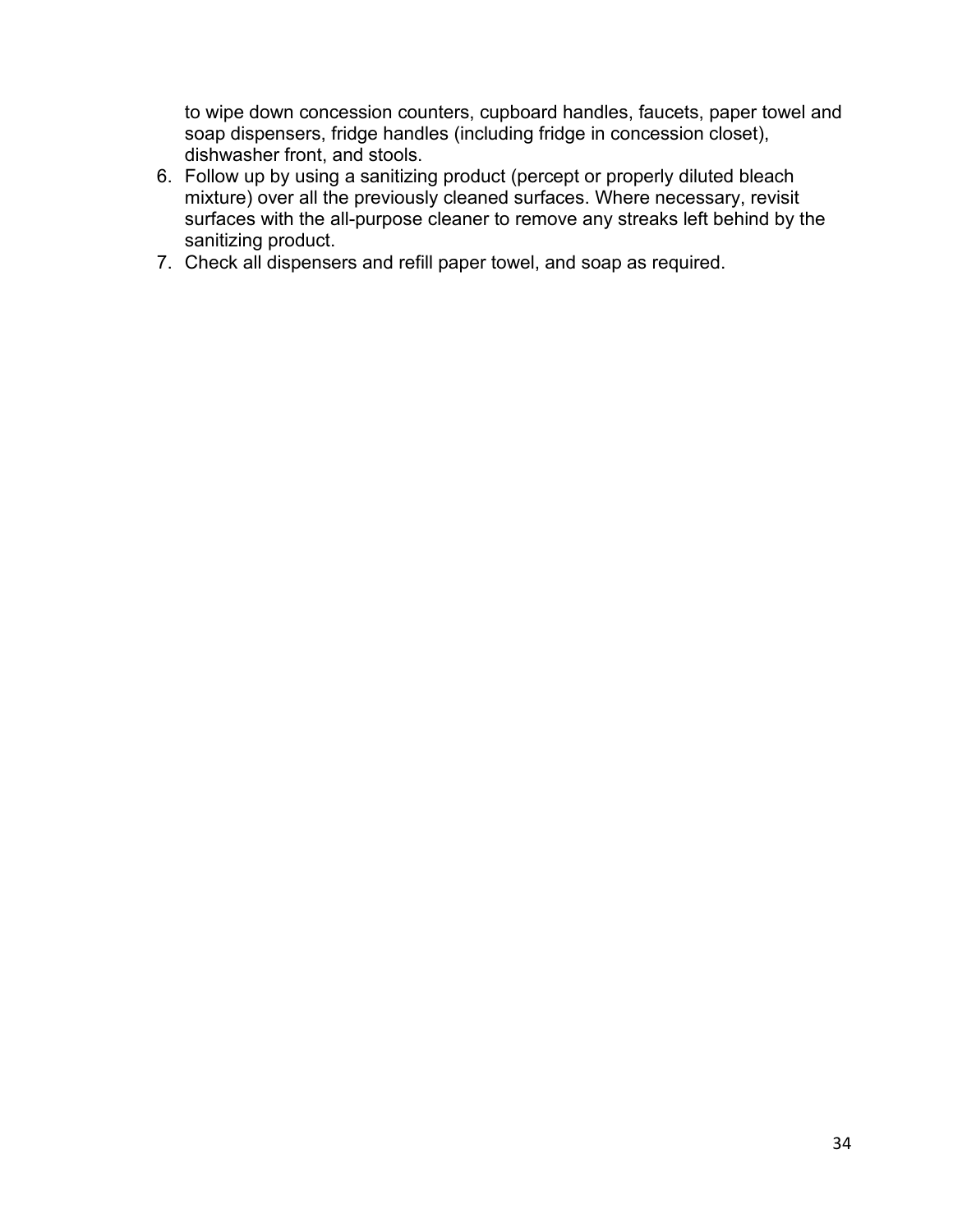to wipe down concession counters, cupboard handles, faucets, paper towel and soap dispensers, fridge handles (including fridge in concession closet), dishwasher front, and stools.

- 6. Follow up by using a sanitizing product (percept or properly diluted bleach mixture) over all the previously cleaned surfaces. Where necessary, revisit surfaces with the all-purpose cleaner to remove any streaks left behind by the sanitizing product.
- 7. Check all dispensers and refill paper towel, and soap as required.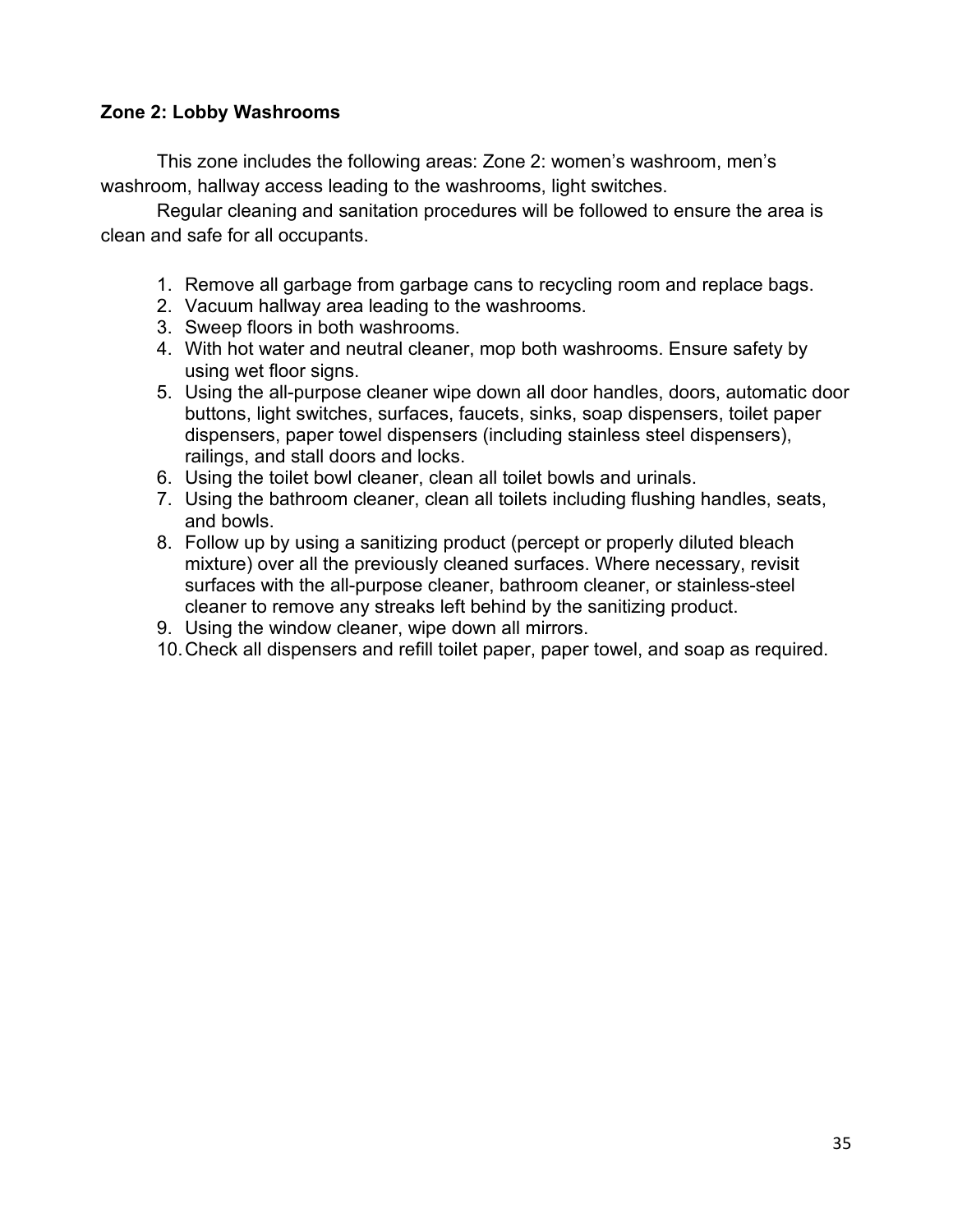### **Zone 2: Lobby Washrooms**

This zone includes the following areas: Zone 2: women's washroom, men's washroom, hallway access leading to the washrooms, light switches.

- 1. Remove all garbage from garbage cans to recycling room and replace bags.
- 2. Vacuum hallway area leading to the washrooms.
- 3. Sweep floors in both washrooms.
- 4. With hot water and neutral cleaner, mop both washrooms. Ensure safety by using wet floor signs.
- 5. Using the all-purpose cleaner wipe down all door handles, doors, automatic door buttons, light switches, surfaces, faucets, sinks, soap dispensers, toilet paper dispensers, paper towel dispensers (including stainless steel dispensers), railings, and stall doors and locks.
- 6. Using the toilet bowl cleaner, clean all toilet bowls and urinals.
- 7. Using the bathroom cleaner, clean all toilets including flushing handles, seats, and bowls.
- 8. Follow up by using a sanitizing product (percept or properly diluted bleach mixture) over all the previously cleaned surfaces. Where necessary, revisit surfaces with the all-purpose cleaner, bathroom cleaner, or stainless-steel cleaner to remove any streaks left behind by the sanitizing product.
- 9. Using the window cleaner, wipe down all mirrors.
- 10.Check all dispensers and refill toilet paper, paper towel, and soap as required.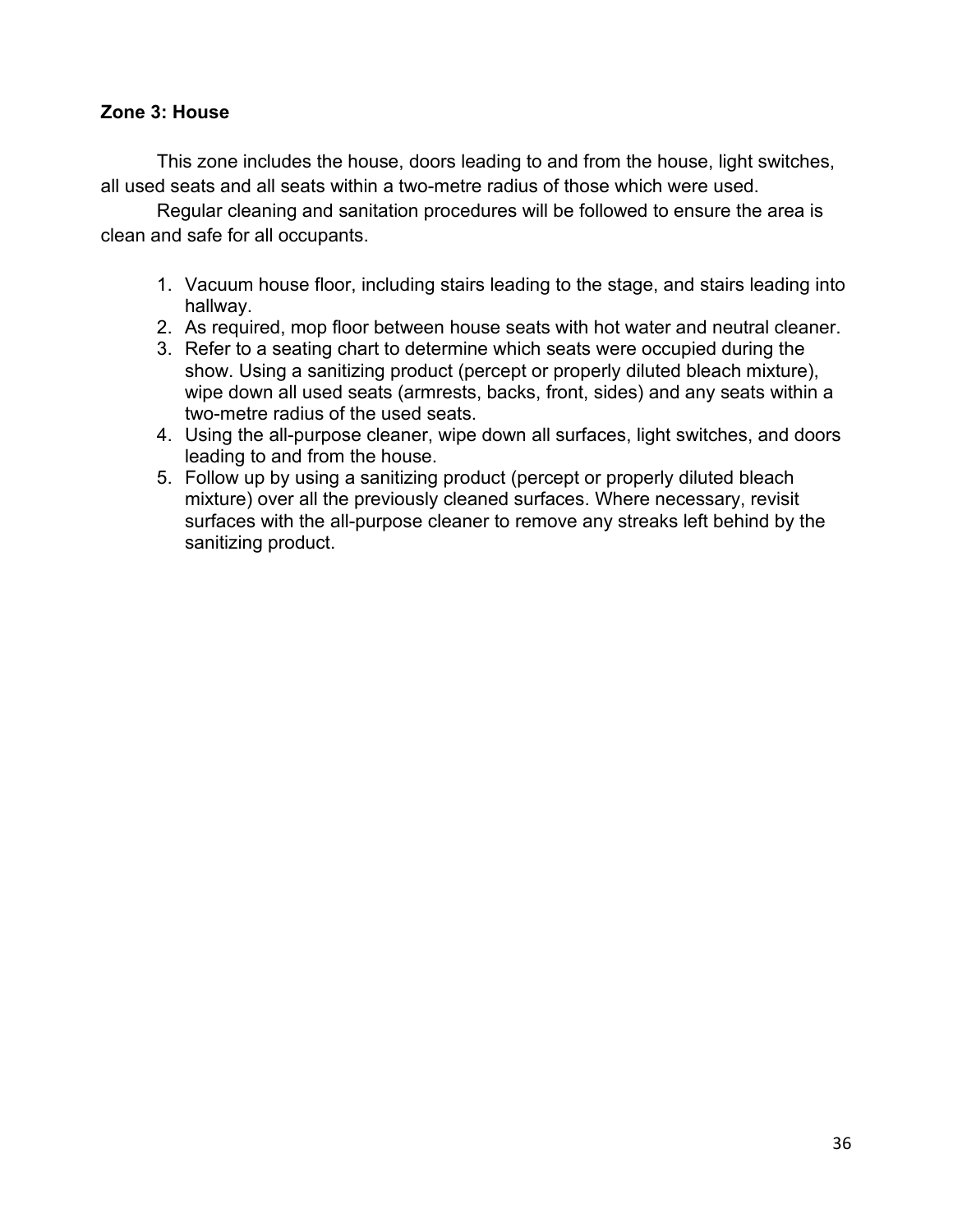#### **Zone 3: House**

This zone includes the house, doors leading to and from the house, light switches, all used seats and all seats within a two-metre radius of those which were used.

- 1. Vacuum house floor, including stairs leading to the stage, and stairs leading into hallway.
- 2. As required, mop floor between house seats with hot water and neutral cleaner.
- 3. Refer to a seating chart to determine which seats were occupied during the show. Using a sanitizing product (percept or properly diluted bleach mixture), wipe down all used seats (armrests, backs, front, sides) and any seats within a two-metre radius of the used seats.
- 4. Using the all-purpose cleaner, wipe down all surfaces, light switches, and doors leading to and from the house.
- 5. Follow up by using a sanitizing product (percept or properly diluted bleach mixture) over all the previously cleaned surfaces. Where necessary, revisit surfaces with the all-purpose cleaner to remove any streaks left behind by the sanitizing product.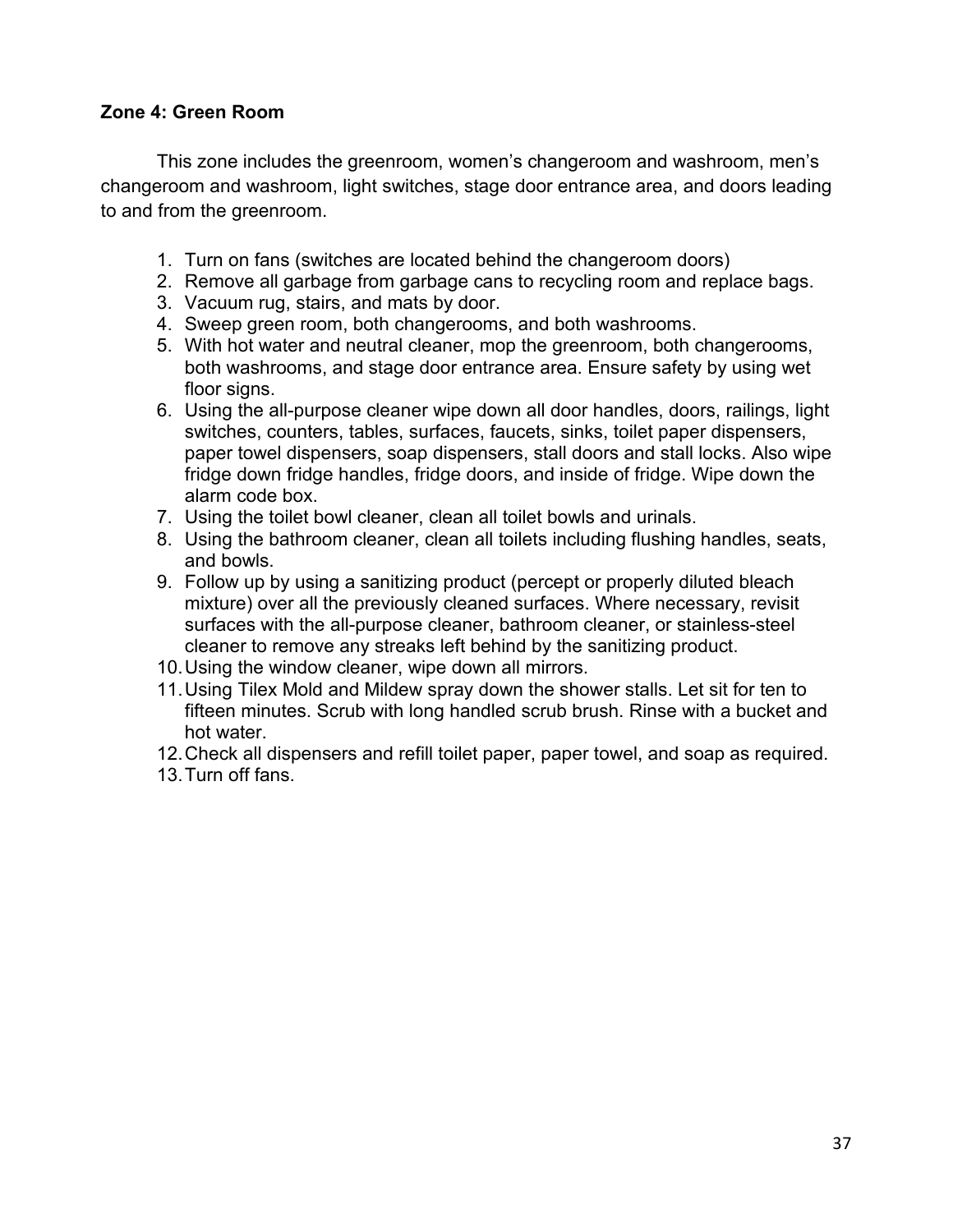#### **Zone 4: Green Room**

This zone includes the greenroom, women's changeroom and washroom, men's changeroom and washroom, light switches, stage door entrance area, and doors leading to and from the greenroom.

- 1. Turn on fans (switches are located behind the changeroom doors)
- 2. Remove all garbage from garbage cans to recycling room and replace bags.
- 3. Vacuum rug, stairs, and mats by door.
- 4. Sweep green room, both changerooms, and both washrooms.
- 5. With hot water and neutral cleaner, mop the greenroom, both changerooms, both washrooms, and stage door entrance area. Ensure safety by using wet floor signs.
- 6. Using the all-purpose cleaner wipe down all door handles, doors, railings, light switches, counters, tables, surfaces, faucets, sinks, toilet paper dispensers, paper towel dispensers, soap dispensers, stall doors and stall locks. Also wipe fridge down fridge handles, fridge doors, and inside of fridge. Wipe down the alarm code box.
- 7. Using the toilet bowl cleaner, clean all toilet bowls and urinals.
- 8. Using the bathroom cleaner, clean all toilets including flushing handles, seats, and bowls.
- 9. Follow up by using a sanitizing product (percept or properly diluted bleach mixture) over all the previously cleaned surfaces. Where necessary, revisit surfaces with the all-purpose cleaner, bathroom cleaner, or stainless-steel cleaner to remove any streaks left behind by the sanitizing product.
- 10.Using the window cleaner, wipe down all mirrors.
- 11.Using Tilex Mold and Mildew spray down the shower stalls. Let sit for ten to fifteen minutes. Scrub with long handled scrub brush. Rinse with a bucket and hot water.
- 12.Check all dispensers and refill toilet paper, paper towel, and soap as required.
- 13.Turn off fans.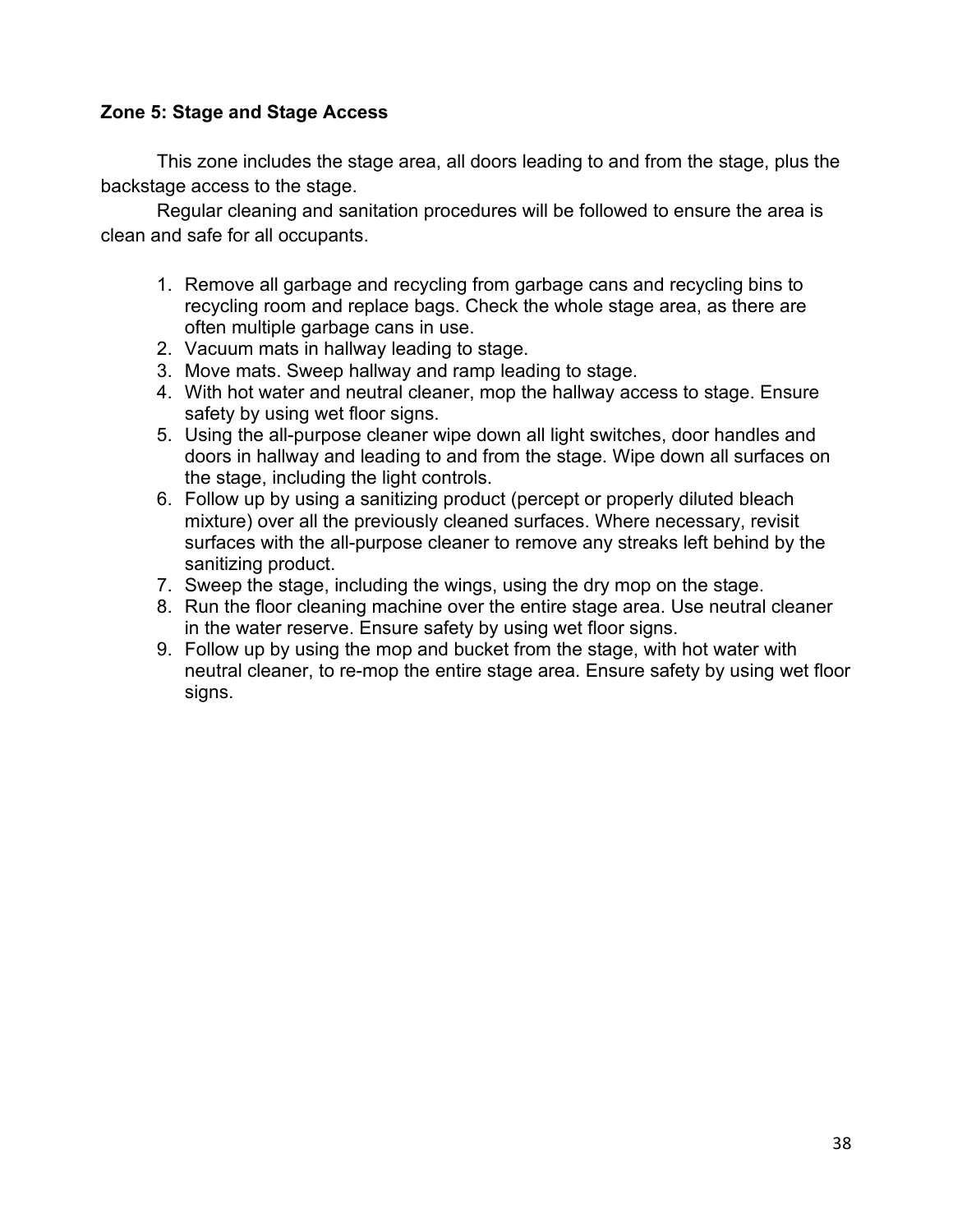#### **Zone 5: Stage and Stage Access**

This zone includes the stage area, all doors leading to and from the stage, plus the backstage access to the stage.

- 1. Remove all garbage and recycling from garbage cans and recycling bins to recycling room and replace bags. Check the whole stage area, as there are often multiple garbage cans in use.
- 2. Vacuum mats in hallway leading to stage.
- 3. Move mats. Sweep hallway and ramp leading to stage.
- 4. With hot water and neutral cleaner, mop the hallway access to stage. Ensure safety by using wet floor signs.
- 5. Using the all-purpose cleaner wipe down all light switches, door handles and doors in hallway and leading to and from the stage. Wipe down all surfaces on the stage, including the light controls.
- 6. Follow up by using a sanitizing product (percept or properly diluted bleach mixture) over all the previously cleaned surfaces. Where necessary, revisit surfaces with the all-purpose cleaner to remove any streaks left behind by the sanitizing product.
- 7. Sweep the stage, including the wings, using the dry mop on the stage.
- 8. Run the floor cleaning machine over the entire stage area. Use neutral cleaner in the water reserve. Ensure safety by using wet floor signs.
- 9. Follow up by using the mop and bucket from the stage, with hot water with neutral cleaner, to re-mop the entire stage area. Ensure safety by using wet floor signs.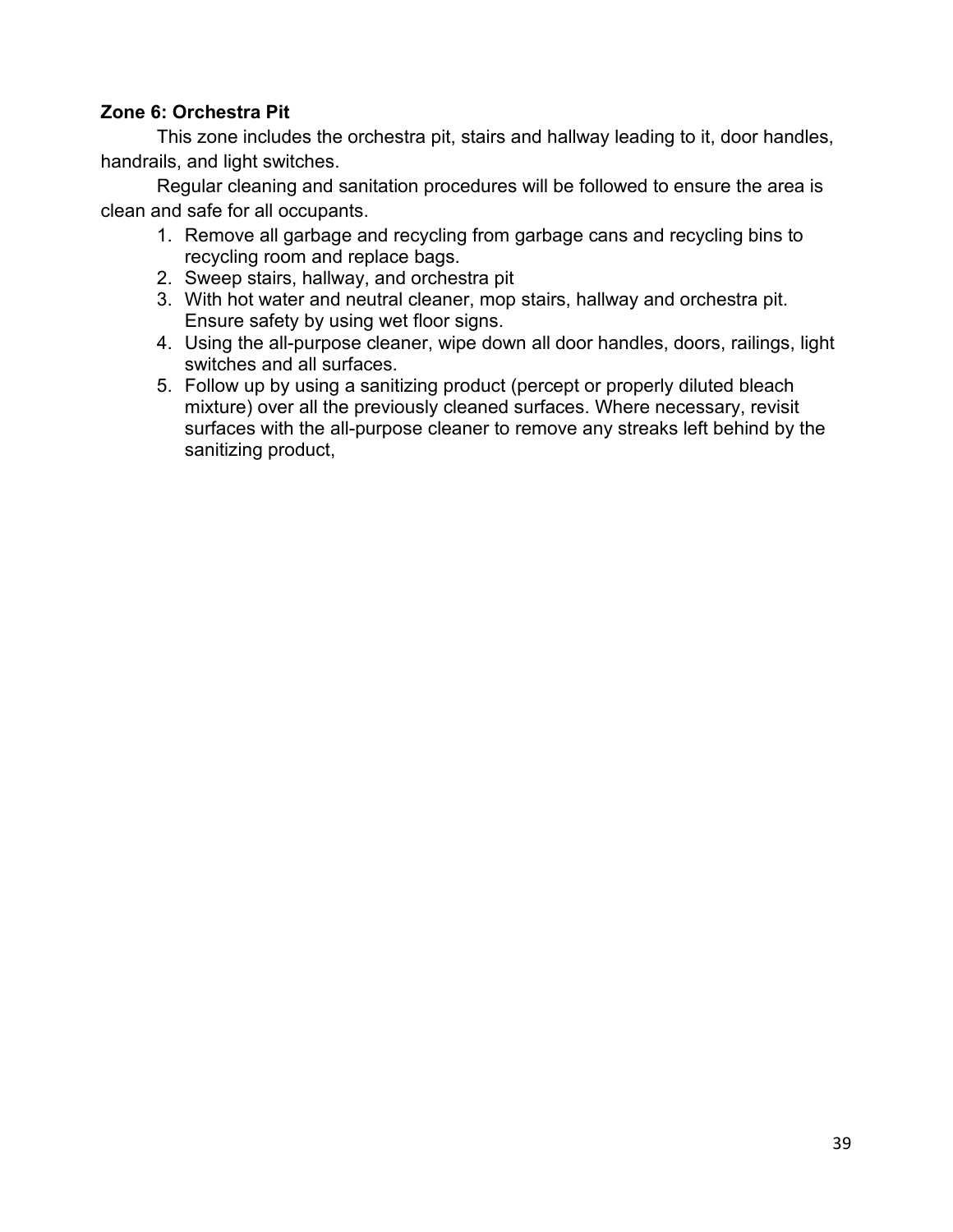## **Zone 6: Orchestra Pit**

This zone includes the orchestra pit, stairs and hallway leading to it, door handles, handrails, and light switches.

- 1. Remove all garbage and recycling from garbage cans and recycling bins to recycling room and replace bags.
- 2. Sweep stairs, hallway, and orchestra pit
- 3. With hot water and neutral cleaner, mop stairs, hallway and orchestra pit. Ensure safety by using wet floor signs.
- 4. Using the all-purpose cleaner, wipe down all door handles, doors, railings, light switches and all surfaces.
- 5. Follow up by using a sanitizing product (percept or properly diluted bleach mixture) over all the previously cleaned surfaces. Where necessary, revisit surfaces with the all-purpose cleaner to remove any streaks left behind by the sanitizing product,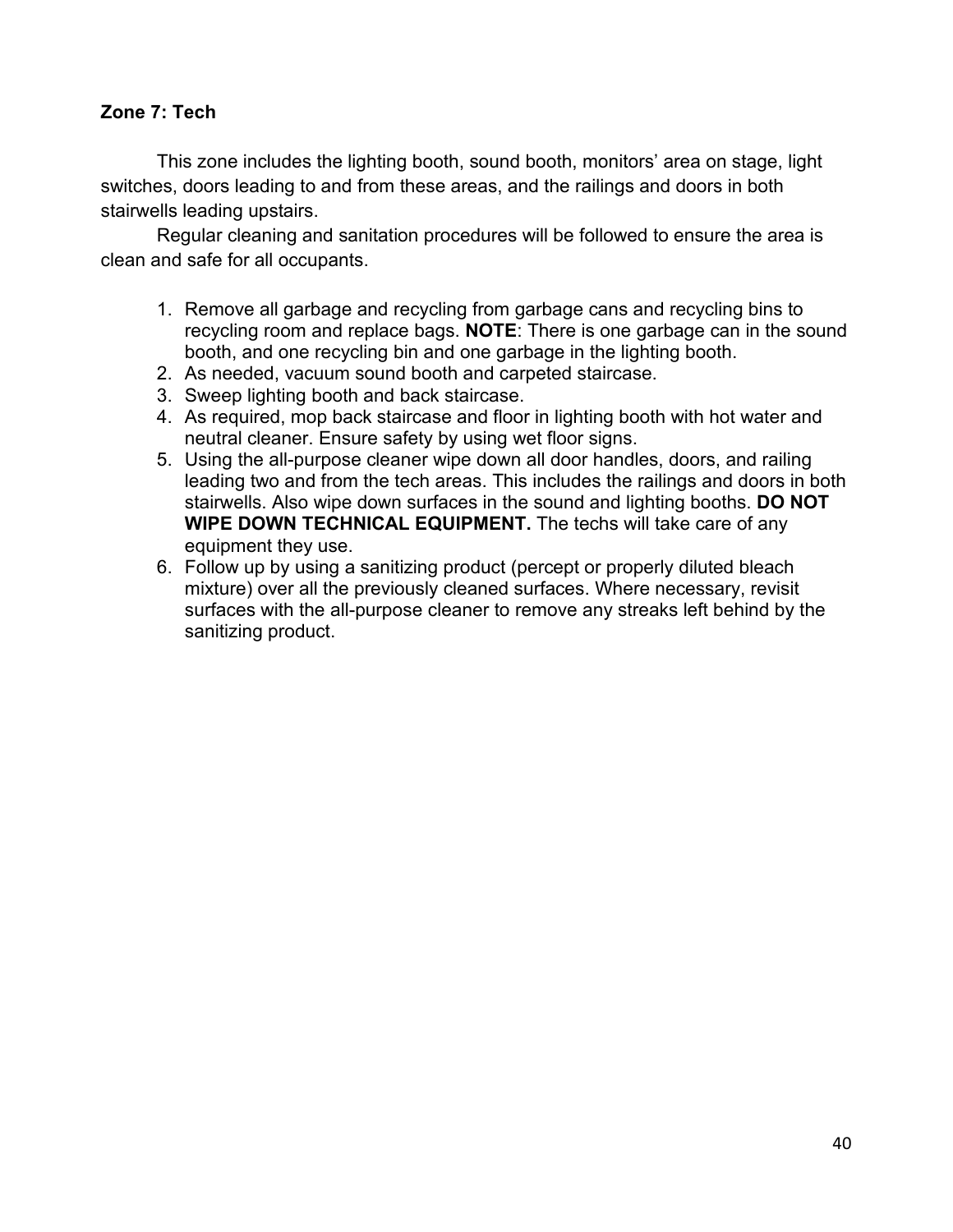## **Zone 7: Tech**

This zone includes the lighting booth, sound booth, monitors' area on stage, light switches, doors leading to and from these areas, and the railings and doors in both stairwells leading upstairs.

- 1. Remove all garbage and recycling from garbage cans and recycling bins to recycling room and replace bags. **NOTE**: There is one garbage can in the sound booth, and one recycling bin and one garbage in the lighting booth.
- 2. As needed, vacuum sound booth and carpeted staircase.
- 3. Sweep lighting booth and back staircase.
- 4. As required, mop back staircase and floor in lighting booth with hot water and neutral cleaner. Ensure safety by using wet floor signs.
- 5. Using the all-purpose cleaner wipe down all door handles, doors, and railing leading two and from the tech areas. This includes the railings and doors in both stairwells. Also wipe down surfaces in the sound and lighting booths. **DO NOT WIPE DOWN TECHNICAL EQUIPMENT.** The techs will take care of any equipment they use.
- 6. Follow up by using a sanitizing product (percept or properly diluted bleach mixture) over all the previously cleaned surfaces. Where necessary, revisit surfaces with the all-purpose cleaner to remove any streaks left behind by the sanitizing product.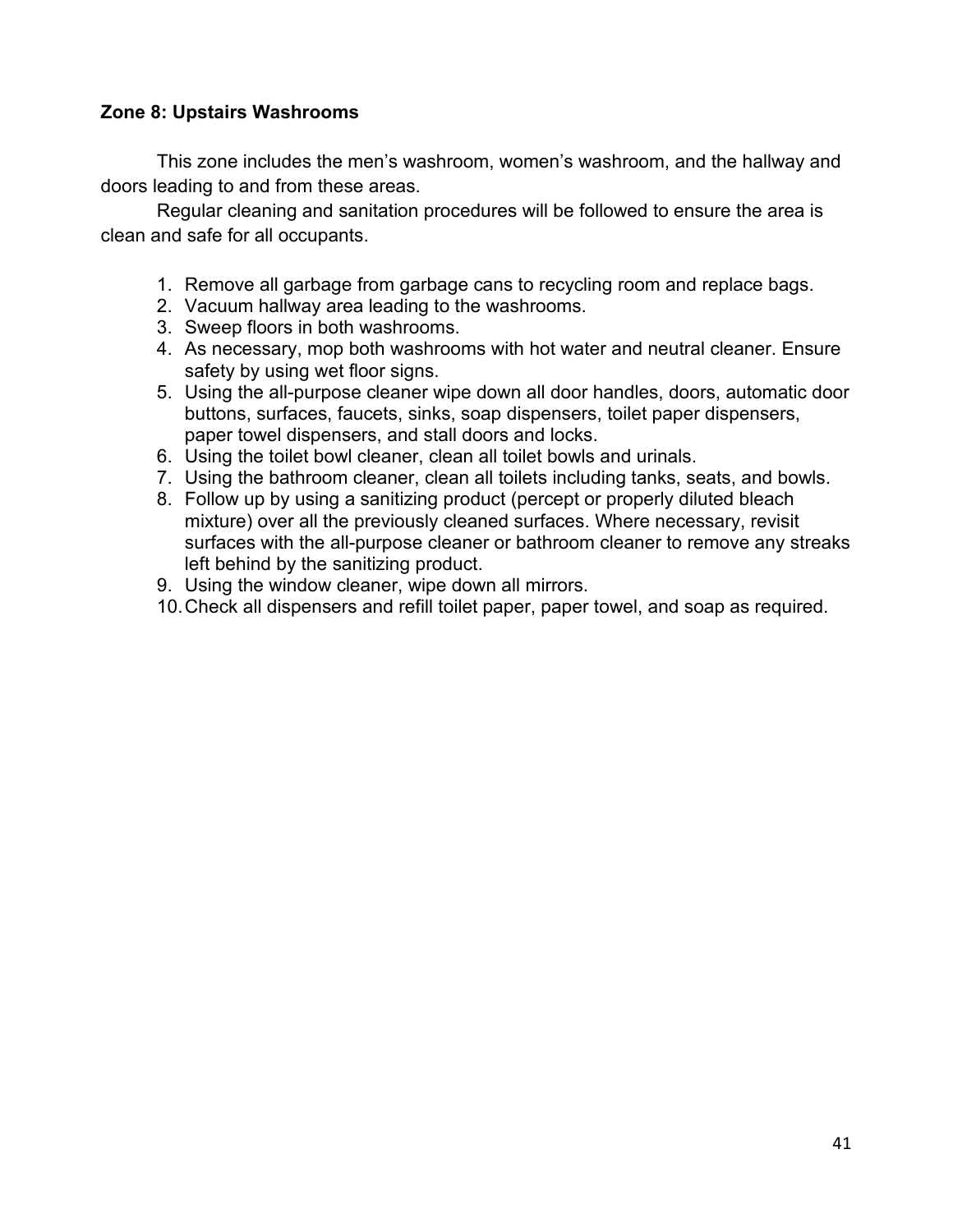### **Zone 8: Upstairs Washrooms**

This zone includes the men's washroom, women's washroom, and the hallway and doors leading to and from these areas.

- 1. Remove all garbage from garbage cans to recycling room and replace bags.
- 2. Vacuum hallway area leading to the washrooms.
- 3. Sweep floors in both washrooms.
- 4. As necessary, mop both washrooms with hot water and neutral cleaner. Ensure safety by using wet floor signs.
- 5. Using the all-purpose cleaner wipe down all door handles, doors, automatic door buttons, surfaces, faucets, sinks, soap dispensers, toilet paper dispensers, paper towel dispensers, and stall doors and locks.
- 6. Using the toilet bowl cleaner, clean all toilet bowls and urinals.
- 7. Using the bathroom cleaner, clean all toilets including tanks, seats, and bowls.
- 8. Follow up by using a sanitizing product (percept or properly diluted bleach mixture) over all the previously cleaned surfaces. Where necessary, revisit surfaces with the all-purpose cleaner or bathroom cleaner to remove any streaks left behind by the sanitizing product.
- 9. Using the window cleaner, wipe down all mirrors.
- 10.Check all dispensers and refill toilet paper, paper towel, and soap as required.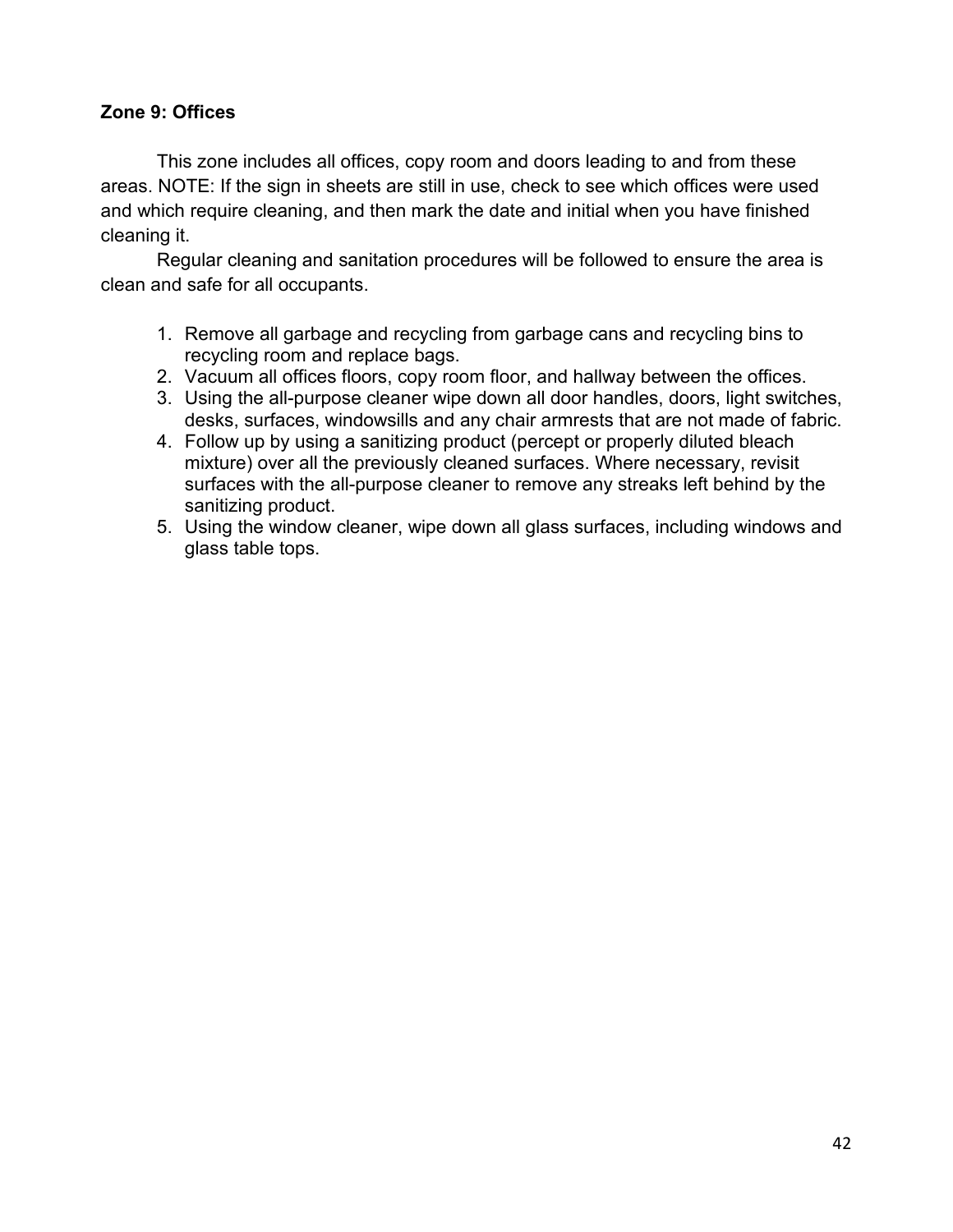### **Zone 9: Offices**

This zone includes all offices, copy room and doors leading to and from these areas. NOTE: If the sign in sheets are still in use, check to see which offices were used and which require cleaning, and then mark the date and initial when you have finished cleaning it.

- 1. Remove all garbage and recycling from garbage cans and recycling bins to recycling room and replace bags.
- 2. Vacuum all offices floors, copy room floor, and hallway between the offices.
- 3. Using the all-purpose cleaner wipe down all door handles, doors, light switches, desks, surfaces, windowsills and any chair armrests that are not made of fabric.
- 4. Follow up by using a sanitizing product (percept or properly diluted bleach mixture) over all the previously cleaned surfaces. Where necessary, revisit surfaces with the all-purpose cleaner to remove any streaks left behind by the sanitizing product.
- 5. Using the window cleaner, wipe down all glass surfaces, including windows and glass table tops.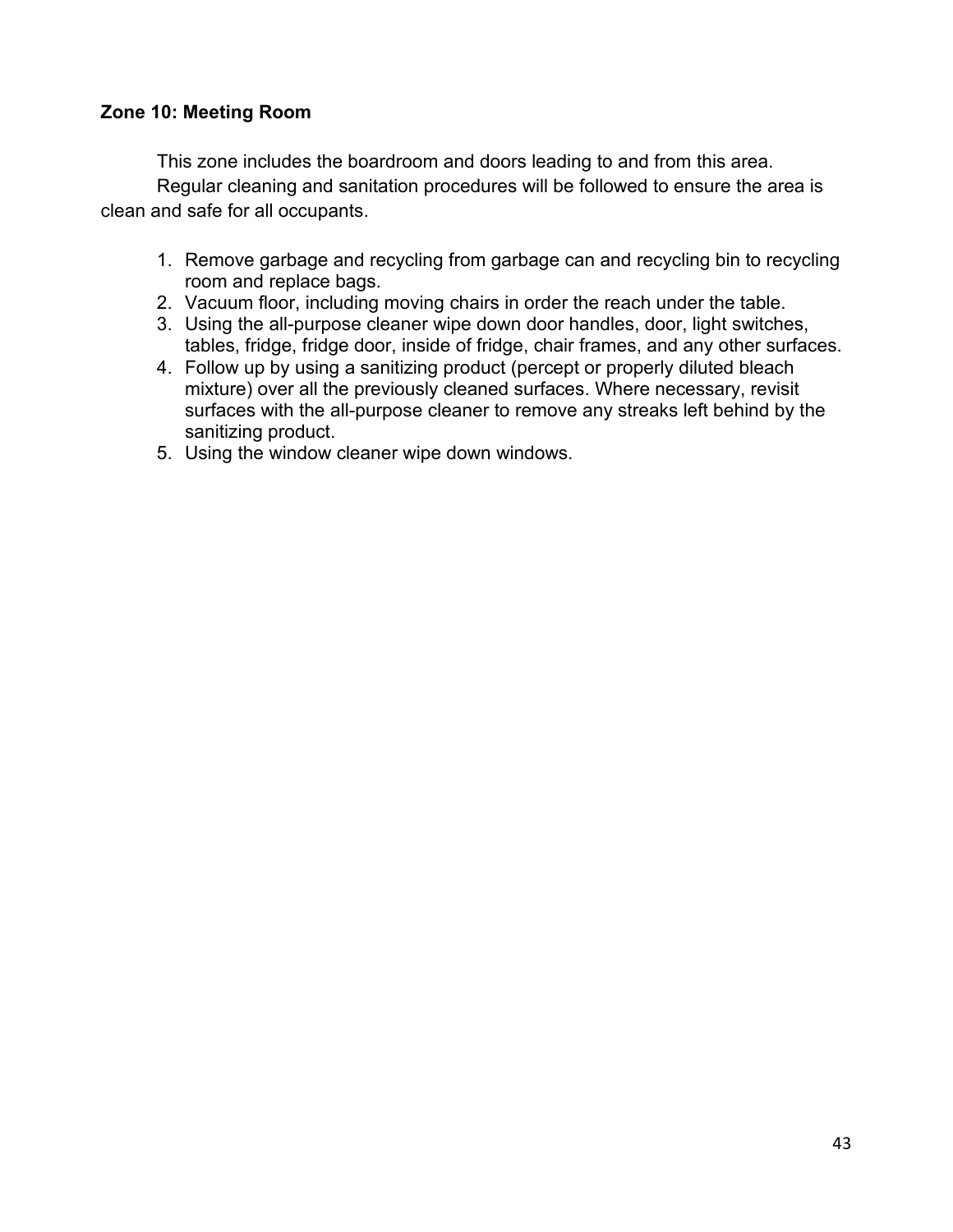#### **Zone 10: Meeting Room**

This zone includes the boardroom and doors leading to and from this area. Regular cleaning and sanitation procedures will be followed to ensure the area is clean and safe for all occupants.

- 1. Remove garbage and recycling from garbage can and recycling bin to recycling room and replace bags.
- 2. Vacuum floor, including moving chairs in order the reach under the table.
- 3. Using the all-purpose cleaner wipe down door handles, door, light switches, tables, fridge, fridge door, inside of fridge, chair frames, and any other surfaces.
- 4. Follow up by using a sanitizing product (percept or properly diluted bleach mixture) over all the previously cleaned surfaces. Where necessary, revisit surfaces with the all-purpose cleaner to remove any streaks left behind by the sanitizing product.
- 5. Using the window cleaner wipe down windows.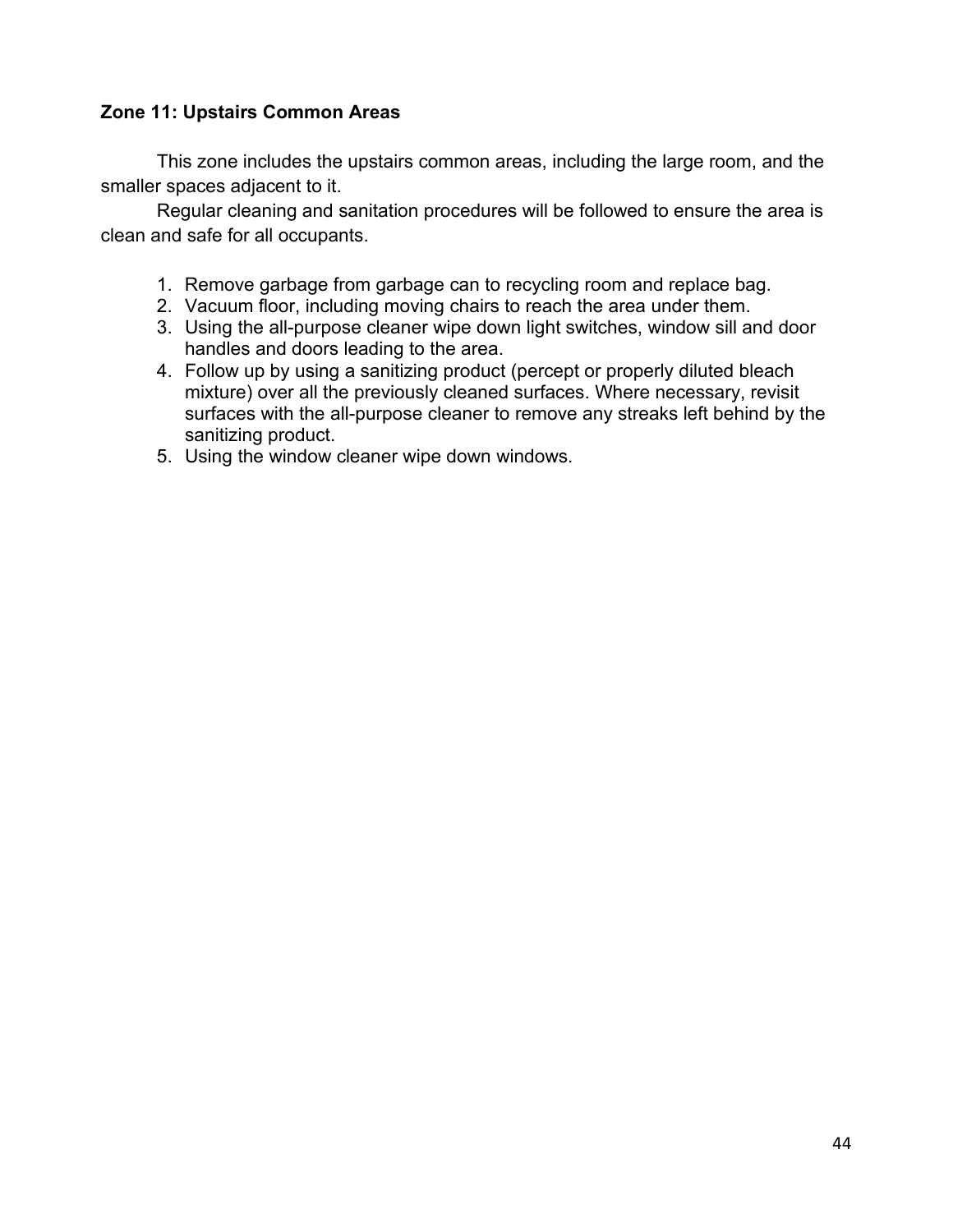### **Zone 11: Upstairs Common Areas**

This zone includes the upstairs common areas, including the large room, and the smaller spaces adjacent to it.

- 1. Remove garbage from garbage can to recycling room and replace bag.
- 2. Vacuum floor, including moving chairs to reach the area under them.
- 3. Using the all-purpose cleaner wipe down light switches, window sill and door handles and doors leading to the area.
- 4. Follow up by using a sanitizing product (percept or properly diluted bleach mixture) over all the previously cleaned surfaces. Where necessary, revisit surfaces with the all-purpose cleaner to remove any streaks left behind by the sanitizing product.
- 5. Using the window cleaner wipe down windows.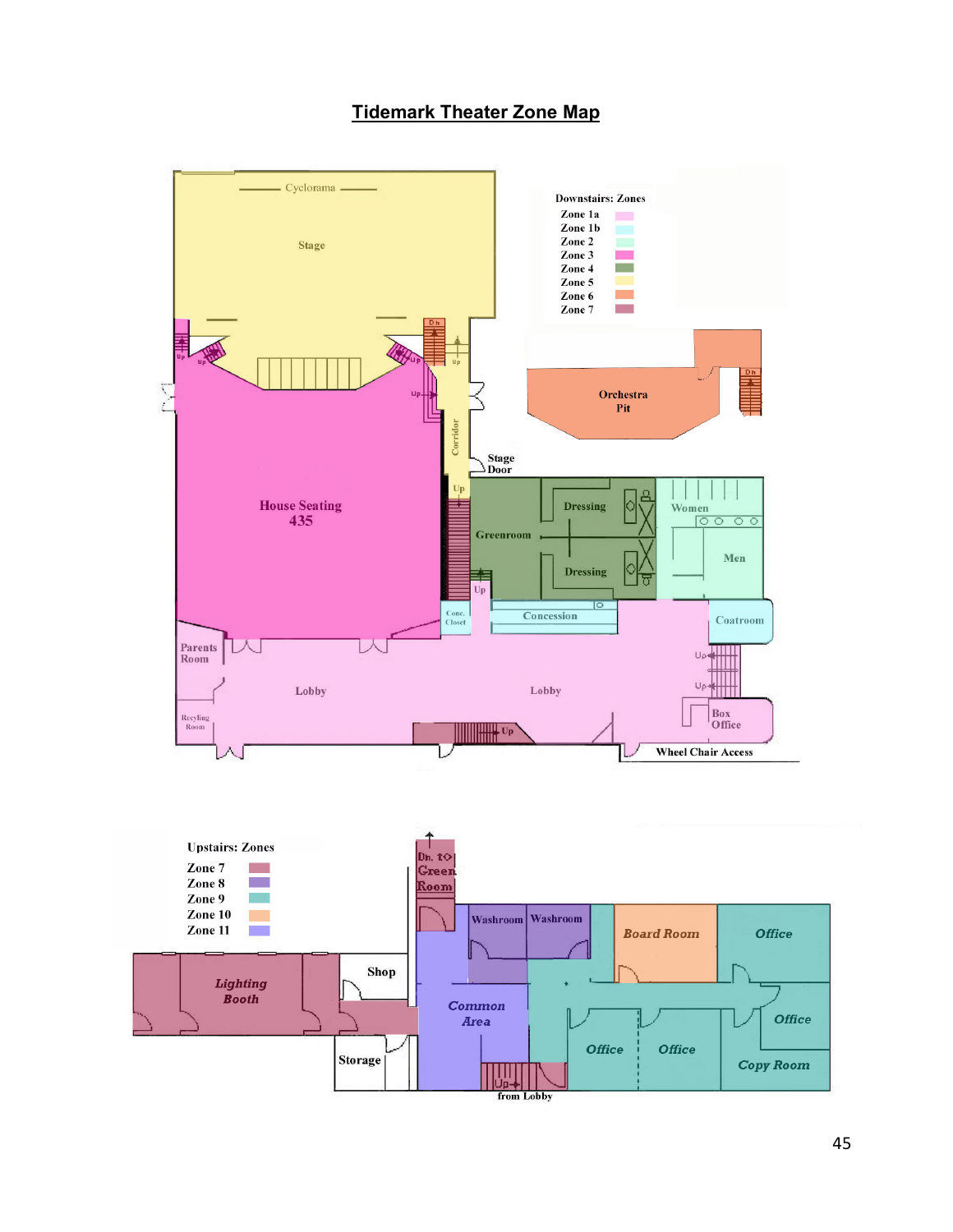# **Tidemark Theater Zone Map**

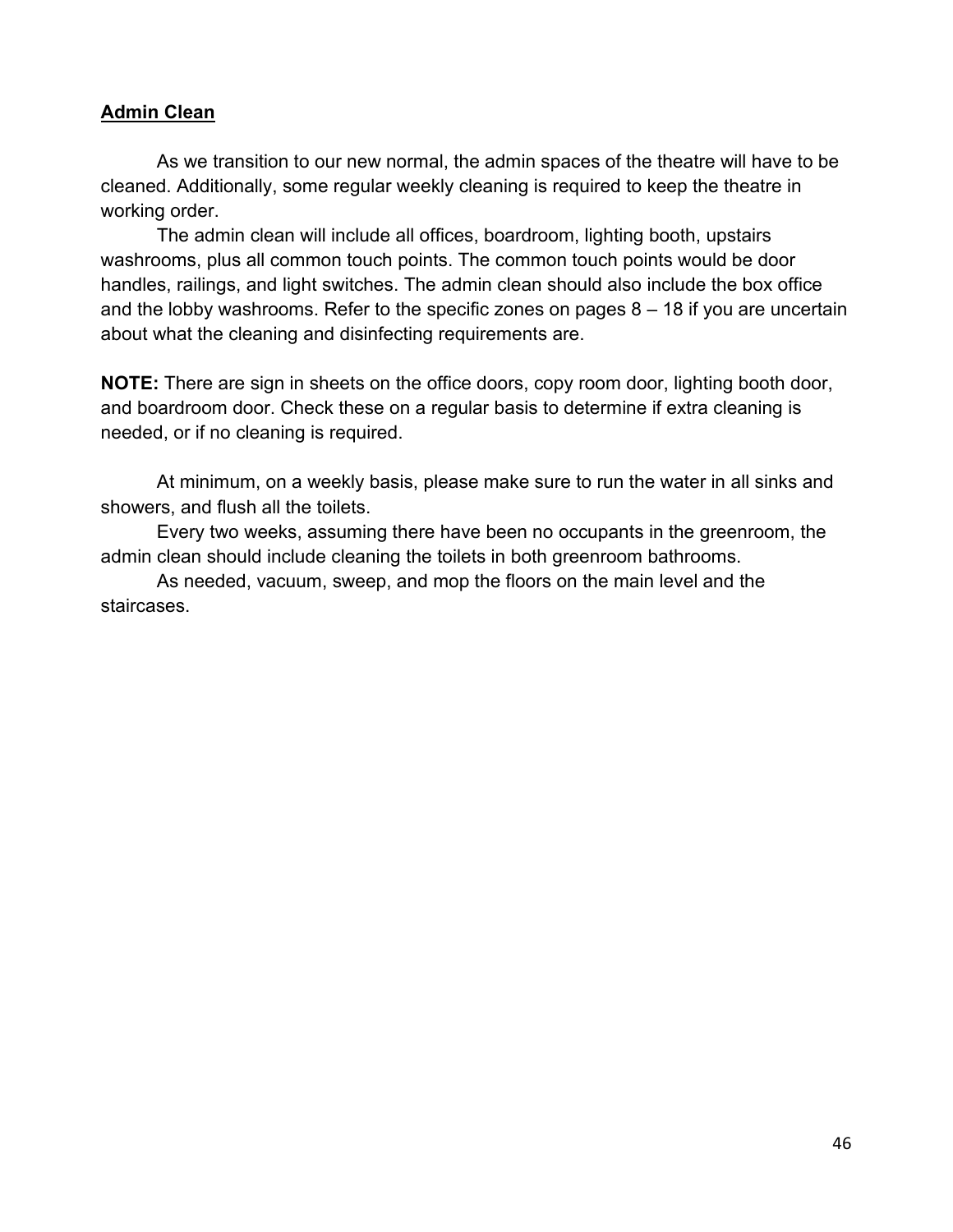#### **Admin Clean**

As we transition to our new normal, the admin spaces of the theatre will have to be cleaned. Additionally, some regular weekly cleaning is required to keep the theatre in working order.

The admin clean will include all offices, boardroom, lighting booth, upstairs washrooms, plus all common touch points. The common touch points would be door handles, railings, and light switches. The admin clean should also include the box office and the lobby washrooms. Refer to the specific zones on pages 8 – 18 if you are uncertain about what the cleaning and disinfecting requirements are.

**NOTE:** There are sign in sheets on the office doors, copy room door, lighting booth door, and boardroom door. Check these on a regular basis to determine if extra cleaning is needed, or if no cleaning is required.

At minimum, on a weekly basis, please make sure to run the water in all sinks and showers, and flush all the toilets.

Every two weeks, assuming there have been no occupants in the greenroom, the admin clean should include cleaning the toilets in both greenroom bathrooms.

As needed, vacuum, sweep, and mop the floors on the main level and the staircases.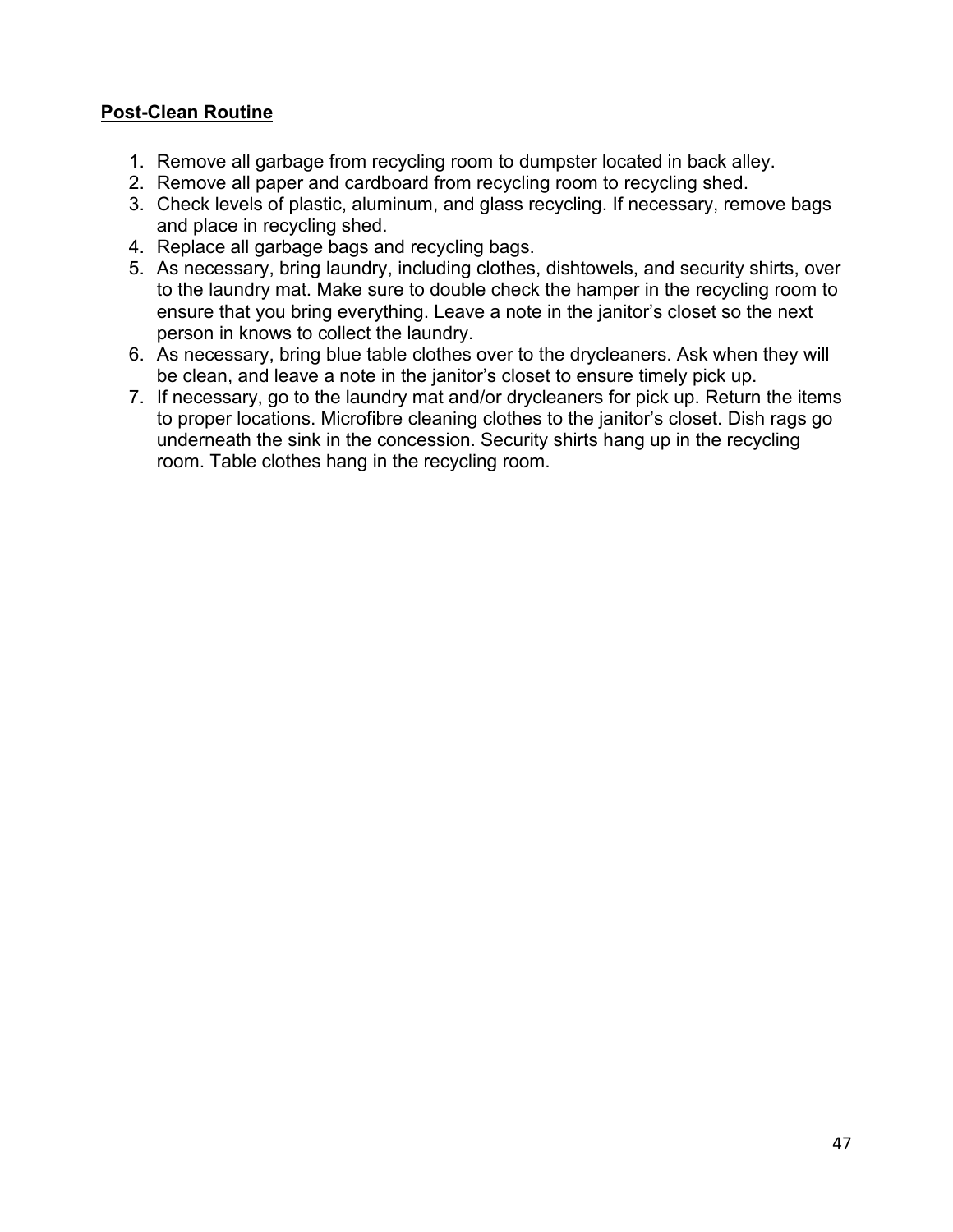## **Post-Clean Routine**

- 1. Remove all garbage from recycling room to dumpster located in back alley.
- 2. Remove all paper and cardboard from recycling room to recycling shed.
- 3. Check levels of plastic, aluminum, and glass recycling. If necessary, remove bags and place in recycling shed.
- 4. Replace all garbage bags and recycling bags.
- 5. As necessary, bring laundry, including clothes, dishtowels, and security shirts, over to the laundry mat. Make sure to double check the hamper in the recycling room to ensure that you bring everything. Leave a note in the janitor's closet so the next person in knows to collect the laundry.
- 6. As necessary, bring blue table clothes over to the drycleaners. Ask when they will be clean, and leave a note in the janitor's closet to ensure timely pick up.
- 7. If necessary, go to the laundry mat and/or drycleaners for pick up. Return the items to proper locations. Microfibre cleaning clothes to the janitor's closet. Dish rags go underneath the sink in the concession. Security shirts hang up in the recycling room. Table clothes hang in the recycling room.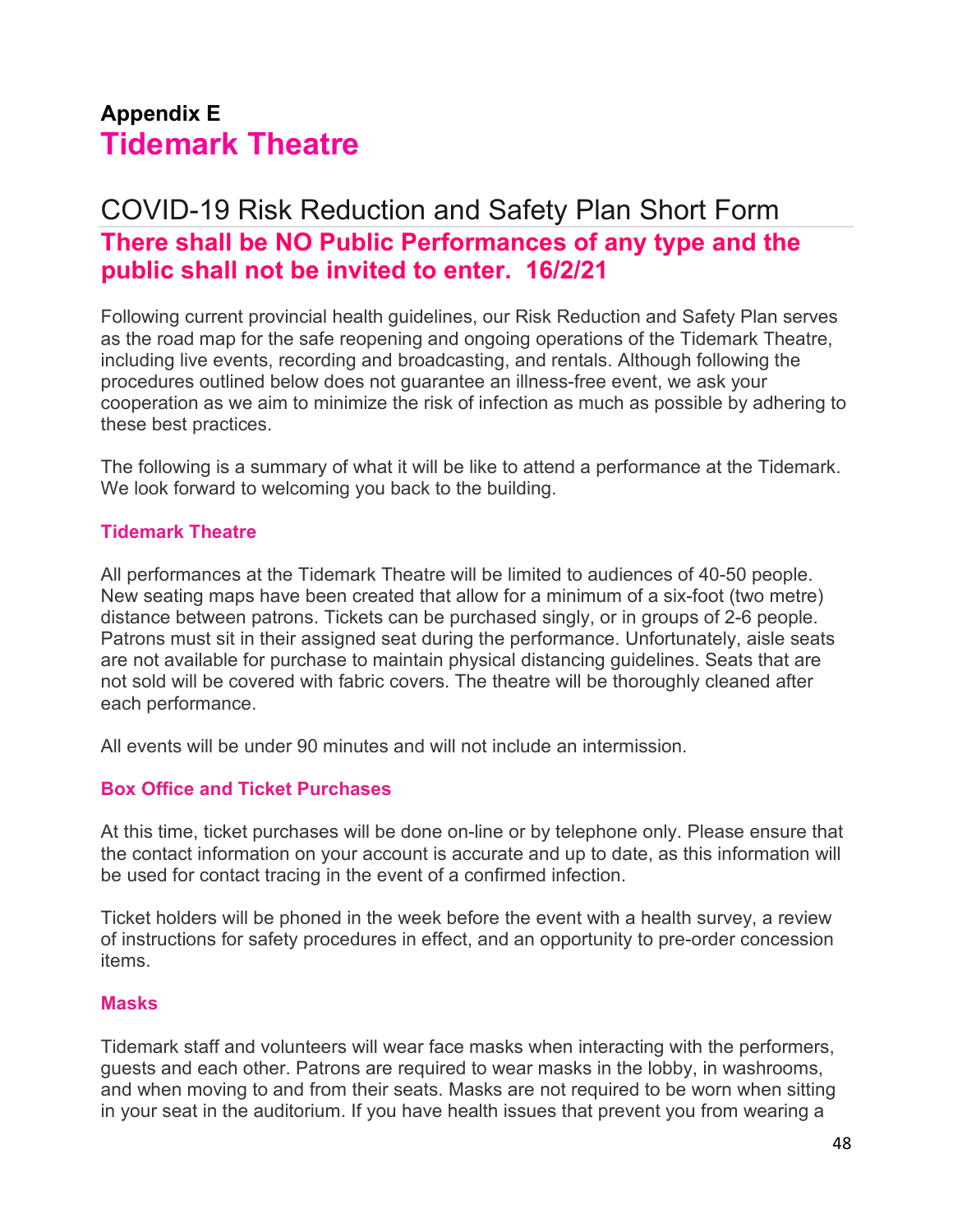# **Appendix E Tidemark Theatre**

# COVID-19 Risk Reduction and Safety Plan Short Form **There shall be NO Public Performances of any type and the public shall not be invited to enter. 16/2/21**

Following current provincial health guidelines, our Risk Reduction and Safety Plan serves as the road map for the safe reopening and ongoing operations of the Tidemark Theatre, including live events, recording and broadcasting, and rentals. Although following the procedures outlined below does not guarantee an illness-free event, we ask your cooperation as we aim to minimize the risk of infection as much as possible by adhering to these best practices.

The following is a summary of what it will be like to attend a performance at the Tidemark. We look forward to welcoming you back to the building.

#### **Tidemark Theatre**

All performances at the Tidemark Theatre will be limited to audiences of 40-50 people. New seating maps have been created that allow for a minimum of a six-foot (two metre) distance between patrons. Tickets can be purchased singly, or in groups of 2-6 people. Patrons must sit in their assigned seat during the performance. Unfortunately, aisle seats are not available for purchase to maintain physical distancing guidelines. Seats that are not sold will be covered with fabric covers. The theatre will be thoroughly cleaned after each performance.

All events will be under 90 minutes and will not include an intermission.

### **Box Office and Ticket Purchases**

At this time, ticket purchases will be done on-line or by telephone only. Please ensure that the contact information on your account is accurate and up to date, as this information will be used for contact tracing in the event of a confirmed infection.

Ticket holders will be phoned in the week before the event with a health survey, a review of instructions for safety procedures in effect, and an opportunity to pre-order concession items.

#### **Masks**

Tidemark staff and volunteers will wear face masks when interacting with the performers, guests and each other. Patrons are required to wear masks in the lobby, in washrooms, and when moving to and from their seats. Masks are not required to be worn when sitting in your seat in the auditorium. If you have health issues that prevent you from wearing a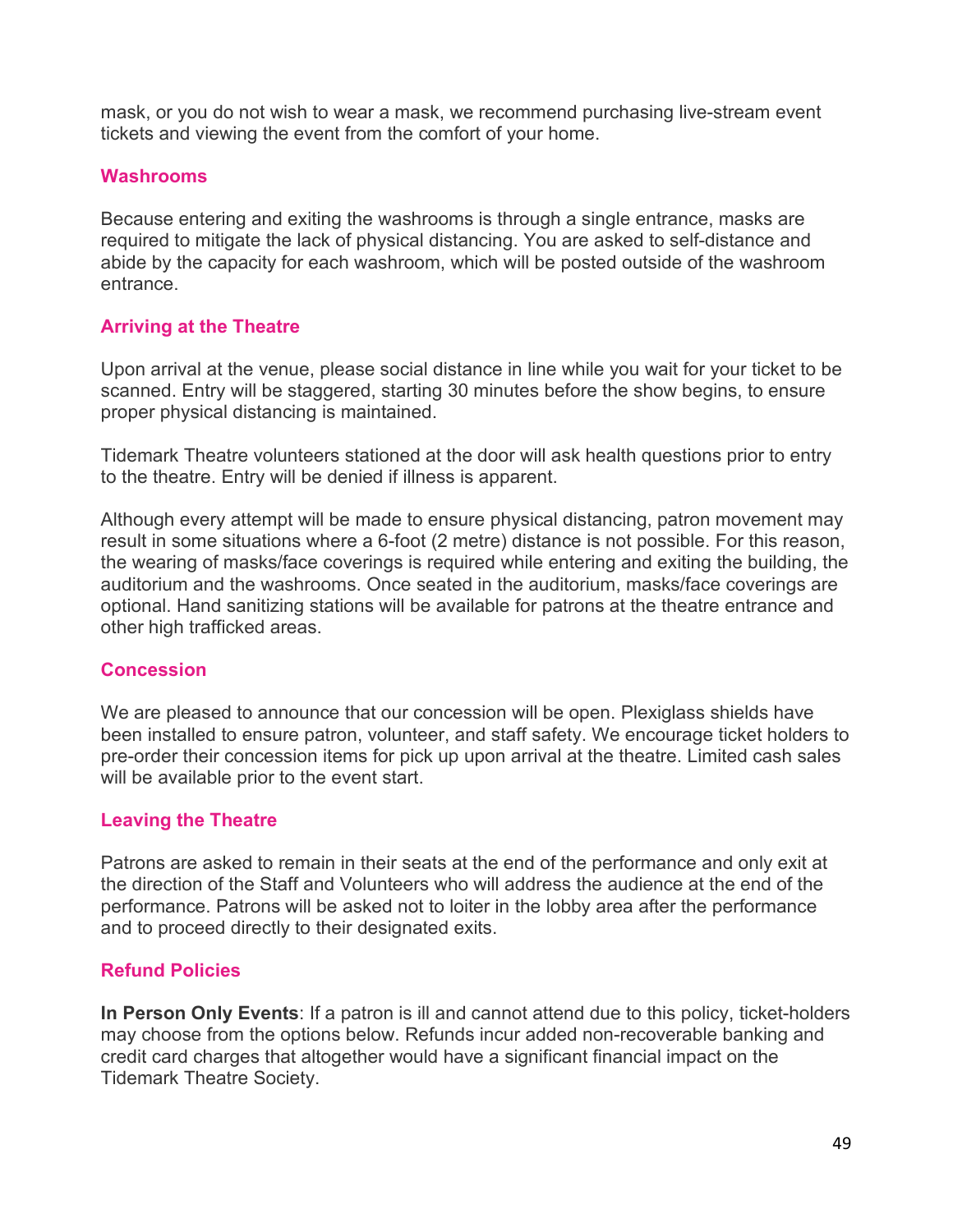mask, or you do not wish to wear a mask, we recommend purchasing live-stream event tickets and viewing the event from the comfort of your home.

#### **Washrooms**

Because entering and exiting the washrooms is through a single entrance, masks are required to mitigate the lack of physical distancing. You are asked to self-distance and abide by the capacity for each washroom, which will be posted outside of the washroom entrance.

# **Arriving at the Theatre**

Upon arrival at the venue, please social distance in line while you wait for your ticket to be scanned. Entry will be staggered, starting 30 minutes before the show begins, to ensure proper physical distancing is maintained.

Tidemark Theatre volunteers stationed at the door will ask health questions prior to entry to the theatre. Entry will be denied if illness is apparent.

Although every attempt will be made to ensure physical distancing, patron movement may result in some situations where a 6-foot (2 metre) distance is not possible. For this reason, the wearing of masks/face coverings is required while entering and exiting the building, the auditorium and the washrooms. Once seated in the auditorium, masks/face coverings are optional. Hand sanitizing stations will be available for patrons at the theatre entrance and other high trafficked areas.

### **Concession**

We are pleased to announce that our concession will be open. Plexiglass shields have been installed to ensure patron, volunteer, and staff safety. We encourage ticket holders to pre-order their concession items for pick up upon arrival at the theatre. Limited cash sales will be available prior to the event start.

### **Leaving the Theatre**

Patrons are asked to remain in their seats at the end of the performance and only exit at the direction of the Staff and Volunteers who will address the audience at the end of the performance. Patrons will be asked not to loiter in the lobby area after the performance and to proceed directly to their designated exits.

### **Refund Policies**

**In Person Only Events**: If a patron is ill and cannot attend due to this policy, ticket-holders may choose from the options below. Refunds incur added non-recoverable banking and credit card charges that altogether would have a significant financial impact on the Tidemark Theatre Society.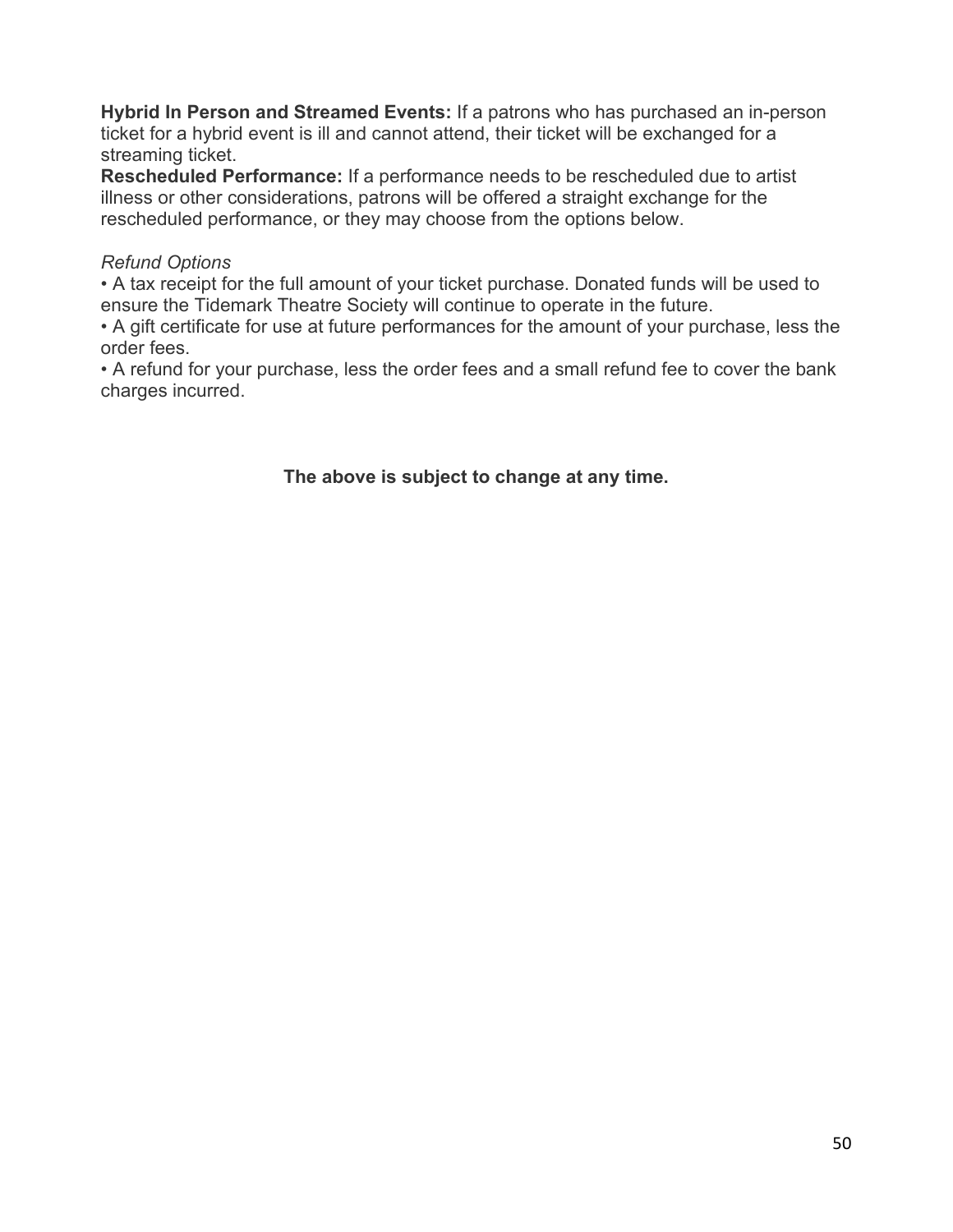**Hybrid In Person and Streamed Events:** If a patrons who has purchased an in-person ticket for a hybrid event is ill and cannot attend, their ticket will be exchanged for a streaming ticket.

**Rescheduled Performance:** If a performance needs to be rescheduled due to artist illness or other considerations, patrons will be offered a straight exchange for the rescheduled performance, or they may choose from the options below.

### *Refund Options*

• A tax receipt for the full amount of your ticket purchase. Donated funds will be used to ensure the Tidemark Theatre Society will continue to operate in the future.

• A gift certificate for use at future performances for the amount of your purchase, less the order fees.

• A refund for your purchase, less the order fees and a small refund fee to cover the bank charges incurred.

# **The above is subject to change at any time.**